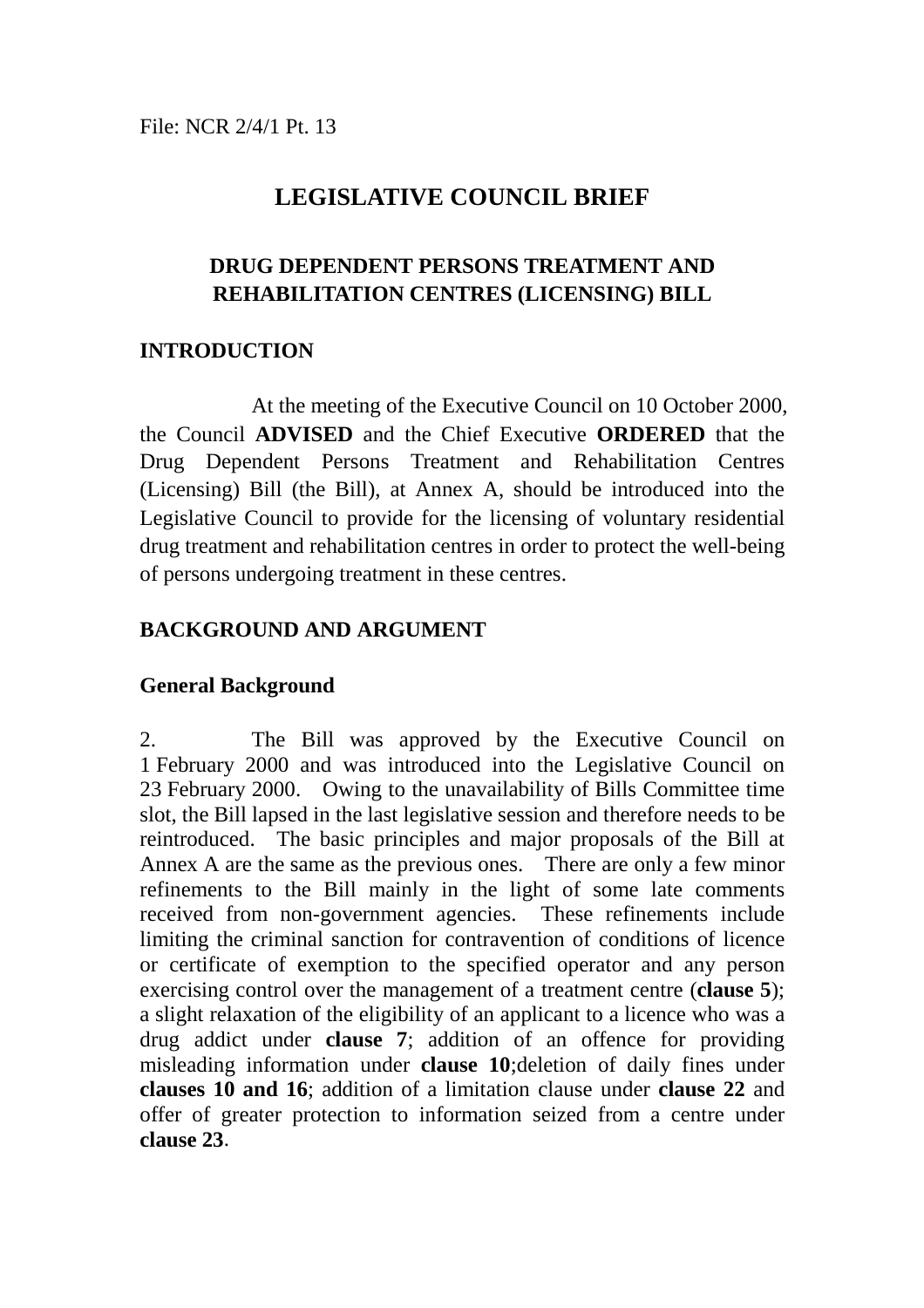# **LEGISLATIVE COUNCIL BRIEF**

# **DRUG DEPENDENT PERSONS TREATMENT AND REHABILITATION CENTRES (LICENSING) BILL**

# **INTRODUCTION**

At the meeting of the Executive Council on 10 October 2000, the Council **ADVISED** and the Chief Executive **ORDERED** that the Drug Dependent Persons Treatment and Rehabilitation Centres (Licensing) Bill (the Bill), at Annex A, should be introduced into the Legislative Council to provide for the licensing of voluntary residential drug treatment and rehabilitation centres in order to protect the well-being of persons undergoing treatment in these centres.

# **BACKGROUND AND ARGUMENT**

# **General Background**

2. The Bill was approved by the Executive Council on 1 February 2000 and was introduced into the Legislative Council on 23 February 2000. Owing to the unavailability of Bills Committee time slot, the Bill lapsed in the last legislative session and therefore needs to be reintroduced. The basic principles and major proposals of the Bill at Annex A are the same as the previous ones. There are only a few minor refinements to the Bill mainly in the light of some late comments received from non-government agencies. These refinements include limiting the criminal sanction for contravention of conditions of licence or certificate of exemption to the specified operator and any person exercising control over the management of a treatment centre (**clause 5**); a slight relaxation of the eligibility of an applicant to a licence who was a drug addict under **clause 7**; addition of an offence for providing misleading information under **clause 10**;deletion of daily fines under **clauses 10 and 16**; addition of a limitation clause under **clause 22** and offer of greater protection to information seized from a centre under **clause 23**.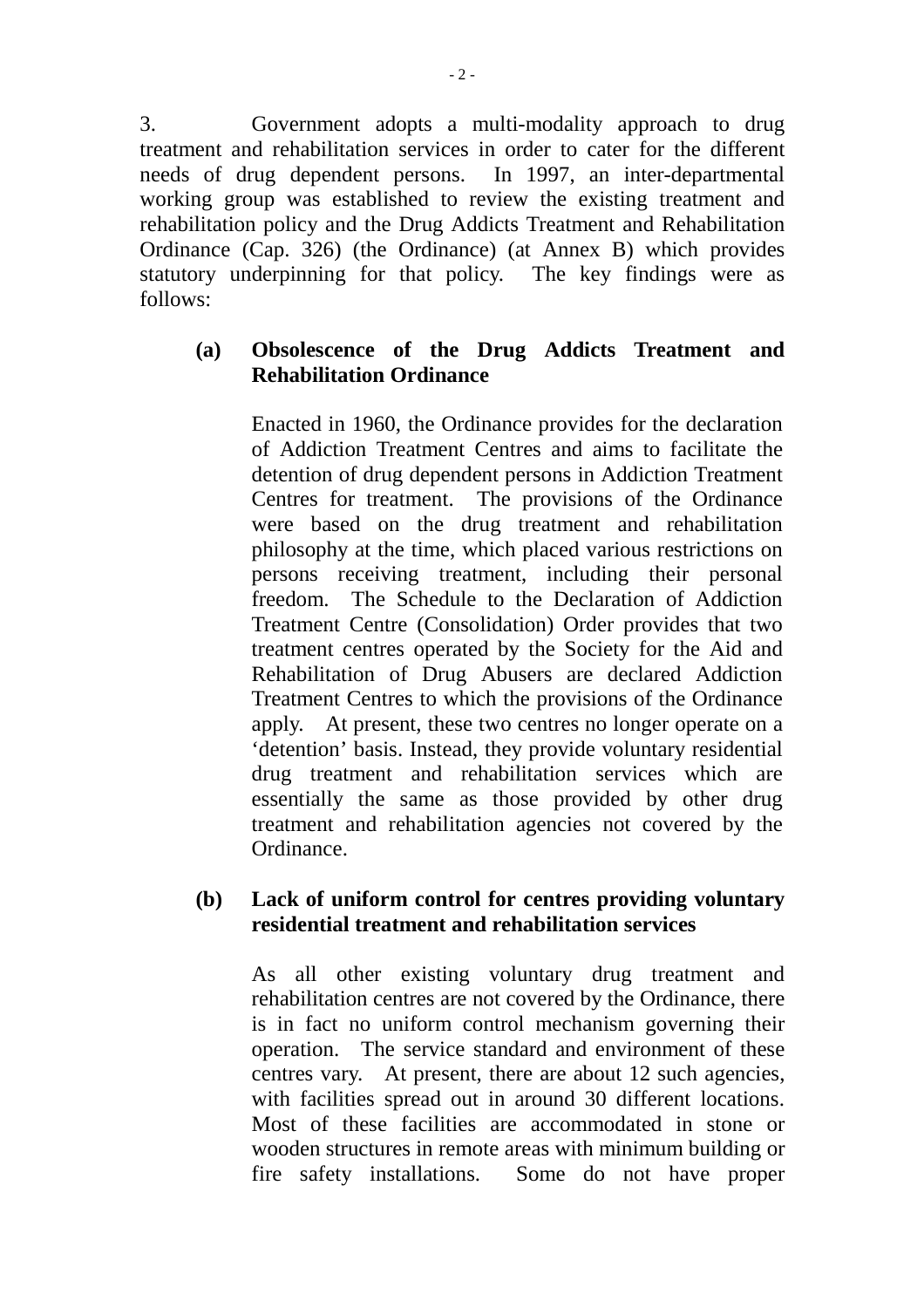3. Government adopts a multi-modality approach to drug treatment and rehabilitation services in order to cater for the different needs of drug dependent persons. In 1997, an inter-departmental working group was established to review the existing treatment and rehabilitation policy and the Drug Addicts Treatment and Rehabilitation Ordinance (Cap. 326) (the Ordinance) (at Annex B) which provides statutory underpinning for that policy. The key findings were as follows:

# **(a) Obsolescence of the Drug Addicts Treatment and Rehabilitation Ordinance**

Enacted in 1960, the Ordinance provides for the declaration of Addiction Treatment Centres and aims to facilitate the detention of drug dependent persons in Addiction Treatment Centres for treatment. The provisions of the Ordinance were based on the drug treatment and rehabilitation philosophy at the time, which placed various restrictions on persons receiving treatment, including their personal freedom. The Schedule to the Declaration of Addiction Treatment Centre (Consolidation) Order provides that two treatment centres operated by the Society for the Aid and Rehabilitation of Drug Abusers are declared Addiction Treatment Centres to which the provisions of the Ordinance apply. At present, these two centres no longer operate on a 'detention' basis. Instead, they provide voluntary residential drug treatment and rehabilitation services which are essentially the same as those provided by other drug treatment and rehabilitation agencies not covered by the Ordinance.

# **(b) Lack of uniform control for centres providing voluntary residential treatment and rehabilitation services**

As all other existing voluntary drug treatment and rehabilitation centres are not covered by the Ordinance, there is in fact no uniform control mechanism governing their operation. The service standard and environment of these centres vary. At present, there are about 12 such agencies, with facilities spread out in around 30 different locations. Most of these facilities are accommodated in stone or wooden structures in remote areas with minimum building or fire safety installations. Some do not have proper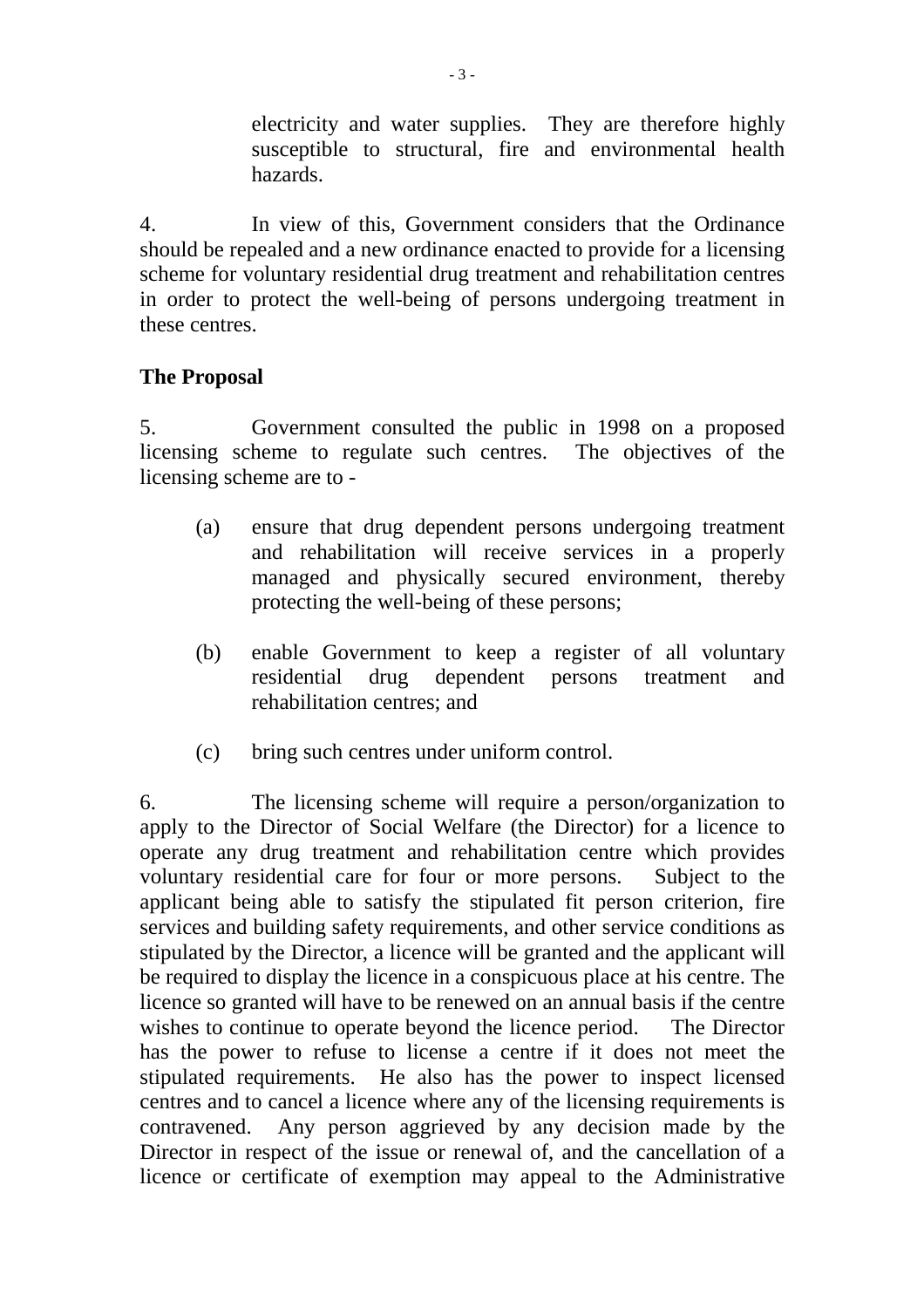electricity and water supplies. They are therefore highly susceptible to structural, fire and environmental health hazards.

4. In view of this, Government considers that the Ordinance should be repealed and a new ordinance enacted to provide for a licensing scheme for voluntary residential drug treatment and rehabilitation centres in order to protect the well-being of persons undergoing treatment in these centres.

# **The Proposal**

5. Government consulted the public in 1998 on a proposed licensing scheme to regulate such centres. The objectives of the licensing scheme are to -

- (a) ensure that drug dependent persons undergoing treatment and rehabilitation will receive services in a properly managed and physically secured environment, thereby protecting the well-being of these persons;
- (b) enable Government to keep a register of all voluntary residential drug dependent persons treatment and rehabilitation centres; and
- (c) bring such centres under uniform control.

6. The licensing scheme will require a person/organization to apply to the Director of Social Welfare (the Director) for a licence to operate any drug treatment and rehabilitation centre which provides voluntary residential care for four or more persons. Subject to the applicant being able to satisfy the stipulated fit person criterion, fire services and building safety requirements, and other service conditions as stipulated by the Director, a licence will be granted and the applicant will be required to display the licence in a conspicuous place at his centre. The licence so granted will have to be renewed on an annual basis if the centre wishes to continue to operate beyond the licence period. The Director has the power to refuse to license a centre if it does not meet the stipulated requirements. He also has the power to inspect licensed centres and to cancel a licence where any of the licensing requirements is contravened. Any person aggrieved by any decision made by the Director in respect of the issue or renewal of, and the cancellation of a licence or certificate of exemption may appeal to the Administrative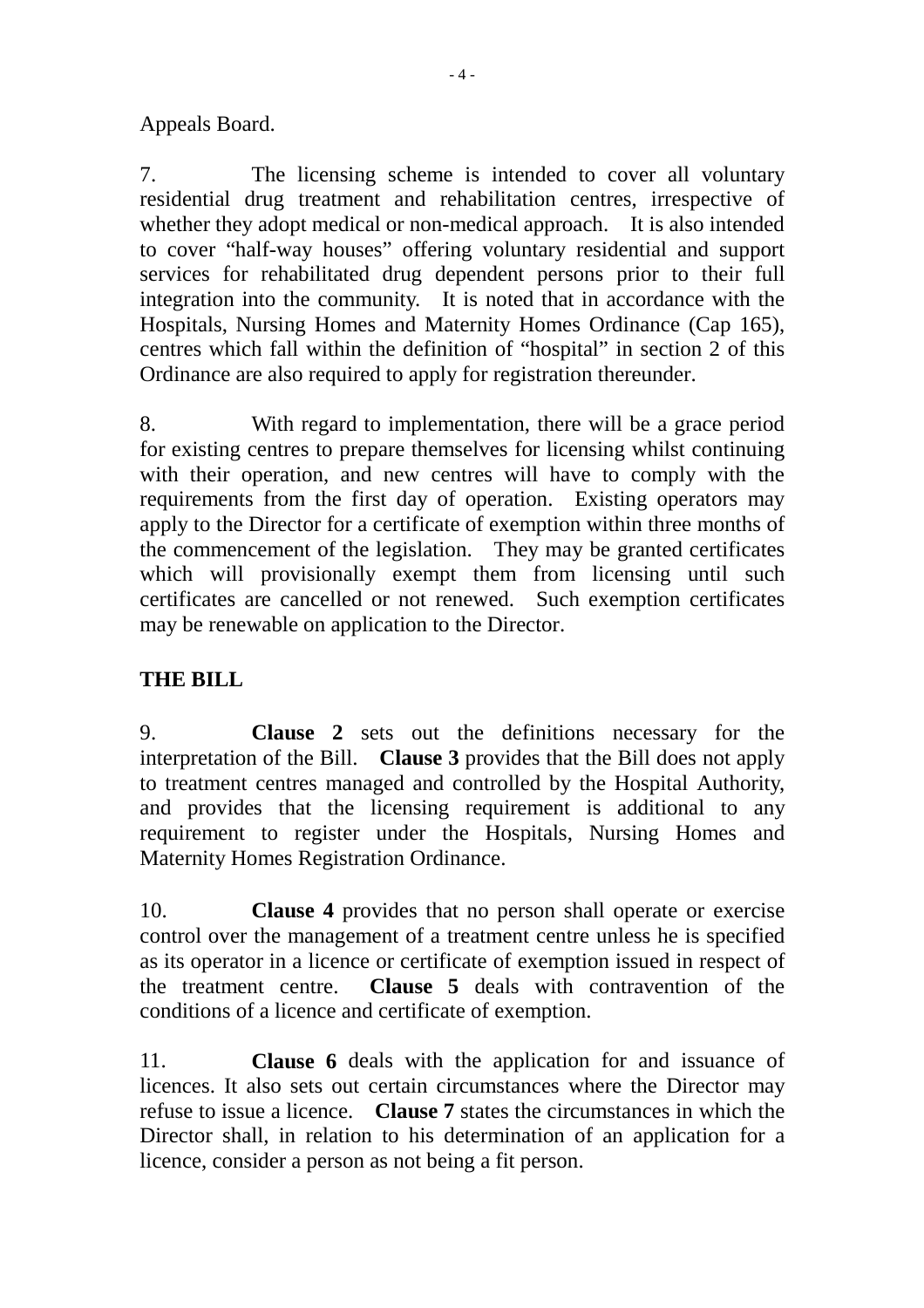Appeals Board.

7. The licensing scheme is intended to cover all voluntary residential drug treatment and rehabilitation centres, irrespective of whether they adopt medical or non-medical approach. It is also intended to cover "half-way houses" offering voluntary residential and support services for rehabilitated drug dependent persons prior to their full integration into the community. It is noted that in accordance with the Hospitals, Nursing Homes and Maternity Homes Ordinance (Cap 165), centres which fall within the definition of "hospital" in section 2 of this Ordinance are also required to apply for registration thereunder.

8. With regard to implementation, there will be a grace period for existing centres to prepare themselves for licensing whilst continuing with their operation, and new centres will have to comply with the requirements from the first day of operation. Existing operators may apply to the Director for a certificate of exemption within three months of the commencement of the legislation. They may be granted certificates which will provisionally exempt them from licensing until such certificates are cancelled or not renewed. Such exemption certificates may be renewable on application to the Director.

# **THE BILL**

9. **Clause 2** sets out the definitions necessary for the interpretation of the Bill. **Clause 3** provides that the Bill does not apply to treatment centres managed and controlled by the Hospital Authority, and provides that the licensing requirement is additional to any requirement to register under the Hospitals, Nursing Homes and Maternity Homes Registration Ordinance.

10. **Clause 4** provides that no person shall operate or exercise control over the management of a treatment centre unless he is specified as its operator in a licence or certificate of exemption issued in respect of the treatment centre. **Clause 5** deals with contravention of the conditions of a licence and certificate of exemption.

11. **Clause 6** deals with the application for and issuance of licences. It also sets out certain circumstances where the Director may refuse to issue a licence. **Clause 7** states the circumstances in which the Director shall, in relation to his determination of an application for a licence, consider a person as not being a fit person.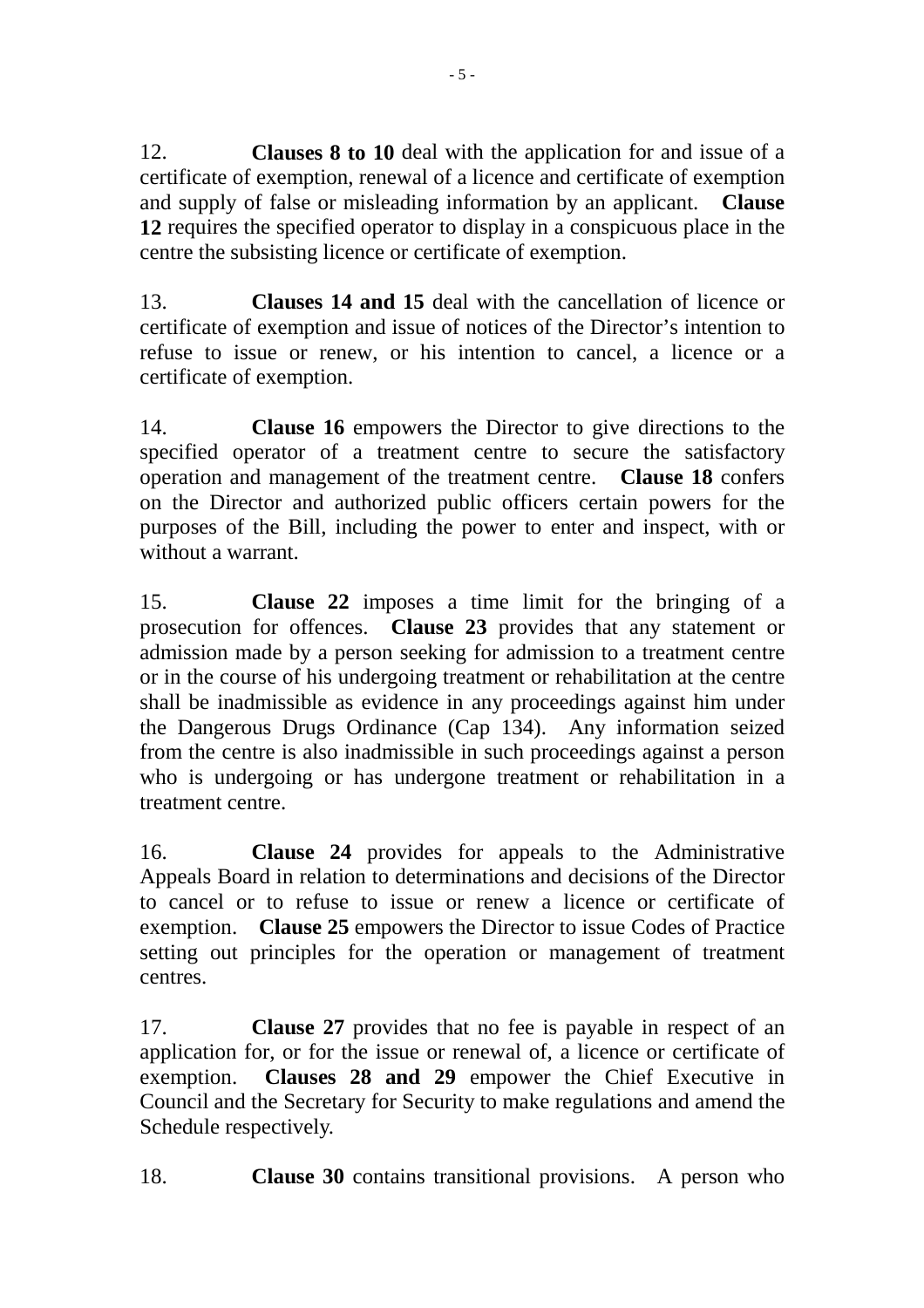12. **Clauses 8 to 10** deal with the application for and issue of a certificate of exemption, renewal of a licence and certificate of exemption and supply of false or misleading information by an applicant. **Clause 12** requires the specified operator to display in a conspicuous place in the centre the subsisting licence or certificate of exemption.

13. **Clauses 14 and 15** deal with the cancellation of licence or certificate of exemption and issue of notices of the Director's intention to refuse to issue or renew, or his intention to cancel, a licence or a certificate of exemption.

14. **Clause 16** empowers the Director to give directions to the specified operator of a treatment centre to secure the satisfactory operation and management of the treatment centre. **Clause 18** confers on the Director and authorized public officers certain powers for the purposes of the Bill, including the power to enter and inspect, with or without a warrant.

15. **Clause 22** imposes a time limit for the bringing of a prosecution for offences. **Clause 23** provides that any statement or admission made by a person seeking for admission to a treatment centre or in the course of his undergoing treatment or rehabilitation at the centre shall be inadmissible as evidence in any proceedings against him under the Dangerous Drugs Ordinance (Cap 134). Any information seized from the centre is also inadmissible in such proceedings against a person who is undergoing or has undergone treatment or rehabilitation in a treatment centre.

16. **Clause 24** provides for appeals to the Administrative Appeals Board in relation to determinations and decisions of the Director to cancel or to refuse to issue or renew a licence or certificate of exemption. **Clause 25** empowers the Director to issue Codes of Practice setting out principles for the operation or management of treatment centres.

17. **Clause 27** provides that no fee is payable in respect of an application for, or for the issue or renewal of, a licence or certificate of exemption. **Clauses 28 and 29** empower the Chief Executive in Council and the Secretary for Security to make regulations and amend the Schedule respectively.

18. **Clause 30** contains transitional provisions. A person who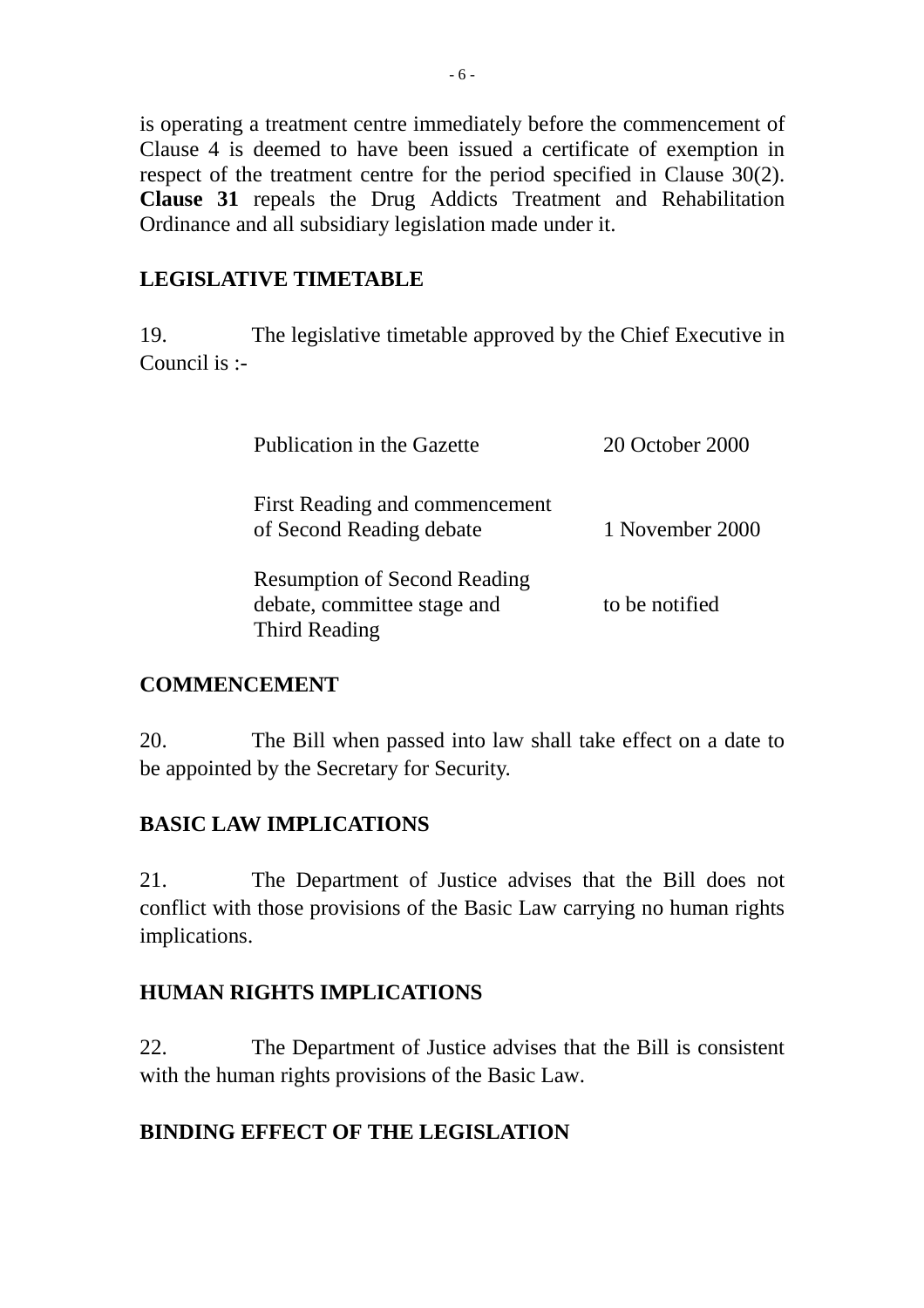is operating a treatment centre immediately before the commencement of Clause 4 is deemed to have been issued a certificate of exemption in respect of the treatment centre for the period specified in Clause 30(2). **Clause 31** repeals the Drug Addicts Treatment and Rehabilitation Ordinance and all subsidiary legislation made under it.

# **LEGISLATIVE TIMETABLE**

19. The legislative timetable approved by the Chief Executive in Council is :-

| Publication in the Gazette                                                                 | 20 October 2000 |
|--------------------------------------------------------------------------------------------|-----------------|
| First Reading and commencement<br>of Second Reading debate                                 | 1 November 2000 |
| <b>Resumption of Second Reading</b><br>debate, committee stage and<br><b>Third Reading</b> | to be notified  |

# **COMMENCEMENT**

20. The Bill when passed into law shall take effect on a date to be appointed by the Secretary for Security.

# **BASIC LAW IMPLICATIONS**

21. The Department of Justice advises that the Bill does not conflict with those provisions of the Basic Law carrying no human rights implications.

# **HUMAN RIGHTS IMPLICATIONS**

22. The Department of Justice advises that the Bill is consistent with the human rights provisions of the Basic Law.

# **BINDING EFFECT OF THE LEGISLATION**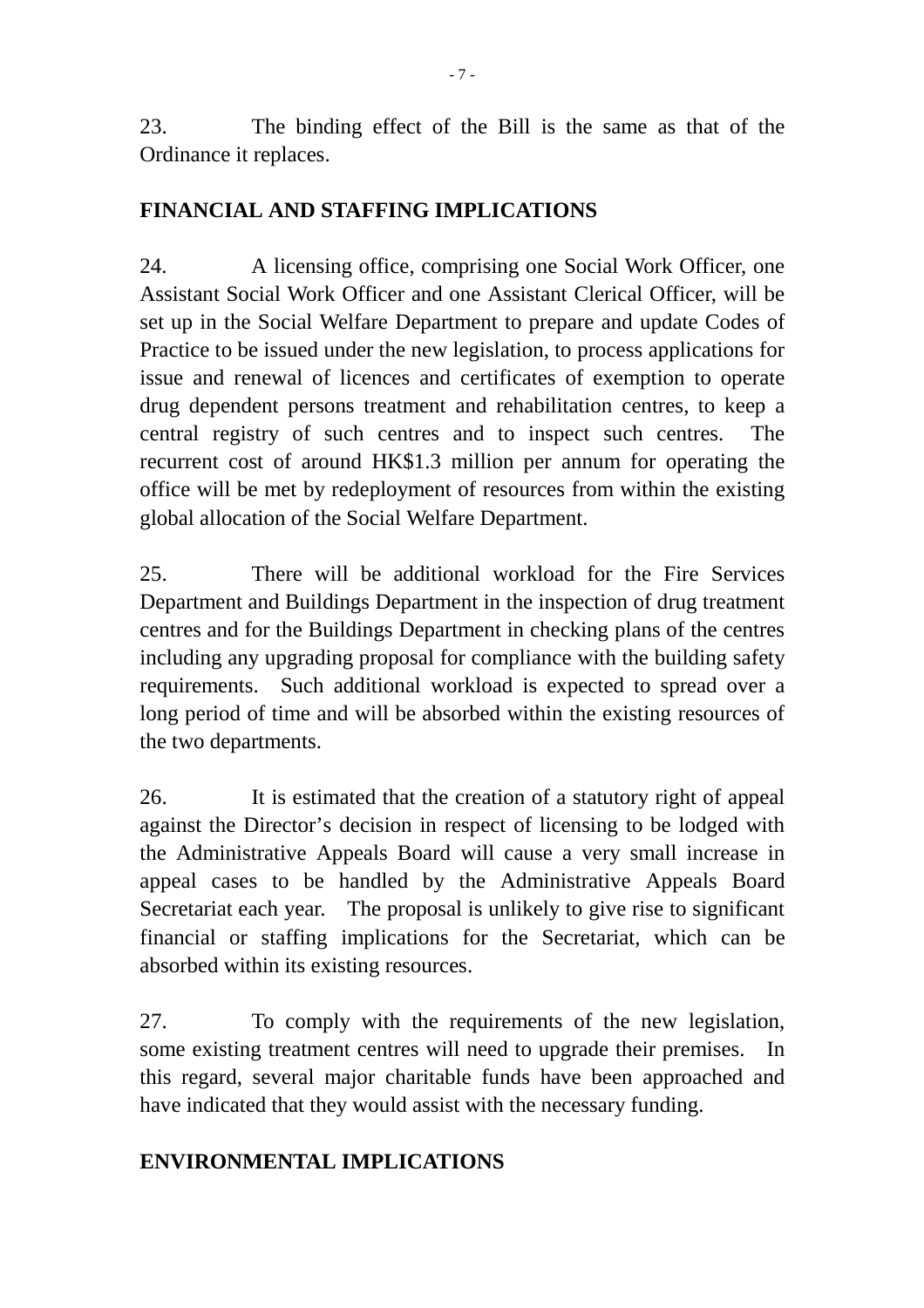23. The binding effect of the Bill is the same as that of the Ordinance it replaces.

# **FINANCIAL AND STAFFING IMPLICATIONS**

24. A licensing office, comprising one Social Work Officer, one Assistant Social Work Officer and one Assistant Clerical Officer, will be set up in the Social Welfare Department to prepare and update Codes of Practice to be issued under the new legislation, to process applications for issue and renewal of licences and certificates of exemption to operate drug dependent persons treatment and rehabilitation centres, to keep a central registry of such centres and to inspect such centres. The recurrent cost of around HK\$1.3 million per annum for operating the office will be met by redeployment of resources from within the existing global allocation of the Social Welfare Department.

25. There will be additional workload for the Fire Services Department and Buildings Department in the inspection of drug treatment centres and for the Buildings Department in checking plans of the centres including any upgrading proposal for compliance with the building safety requirements. Such additional workload is expected to spread over a long period of time and will be absorbed within the existing resources of the two departments.

26. It is estimated that the creation of a statutory right of appeal against the Director's decision in respect of licensing to be lodged with the Administrative Appeals Board will cause a very small increase in appeal cases to be handled by the Administrative Appeals Board Secretariat each year. The proposal is unlikely to give rise to significant financial or staffing implications for the Secretariat, which can be absorbed within its existing resources.

27. To comply with the requirements of the new legislation, some existing treatment centres will need to upgrade their premises. In this regard, several major charitable funds have been approached and have indicated that they would assist with the necessary funding.

# **ENVIRONMENTAL IMPLICATIONS**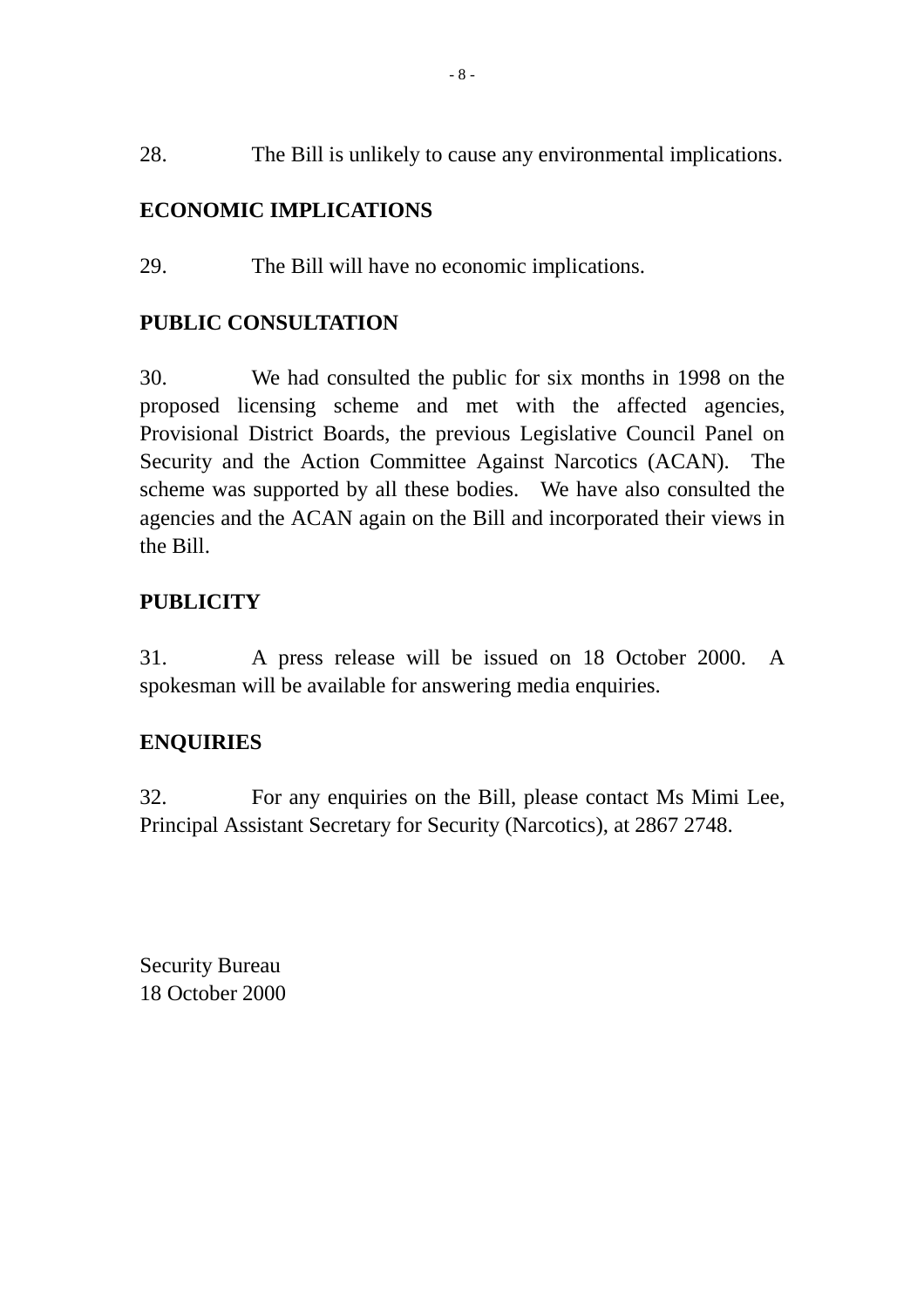28. The Bill is unlikely to cause any environmental implications.

# **ECONOMIC IMPLICATIONS**

29. The Bill will have no economic implications.

# **PUBLIC CONSULTATION**

30. We had consulted the public for six months in 1998 on the proposed licensing scheme and met with the affected agencies, Provisional District Boards, the previous Legislative Council Panel on Security and the Action Committee Against Narcotics (ACAN). The scheme was supported by all these bodies. We have also consulted the agencies and the ACAN again on the Bill and incorporated their views in the Bill.

# **PUBLICITY**

31. A press release will be issued on 18 October 2000. A spokesman will be available for answering media enquiries.

# **ENQUIRIES**

32. For any enquiries on the Bill, please contact Ms Mimi Lee, Principal Assistant Secretary for Security (Narcotics), at 2867 2748.

Security Bureau 18 October 2000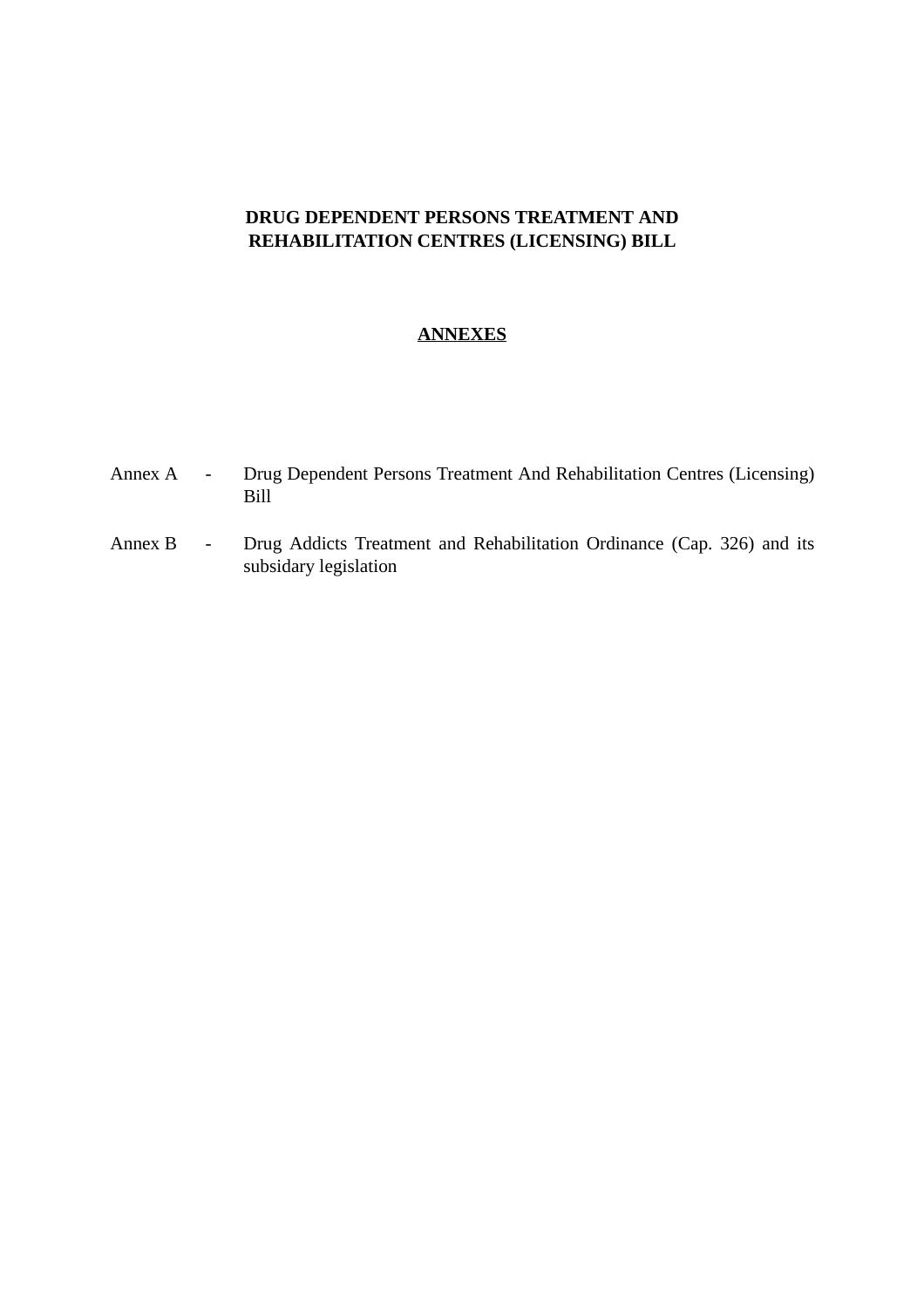# **DRUG DEPENDENT PERSONS TREATMENT AND REHABILITATION CENTRES (LICENSING) BILL**

### **ANNEXES**

- Annex A Drug Dependent Persons Treatment And Rehabilitation Centres (Licensing) Bill
- Annex B Drug Addicts Treatment and Rehabilitation Ordinance (Cap. 326) and its subsidary legislation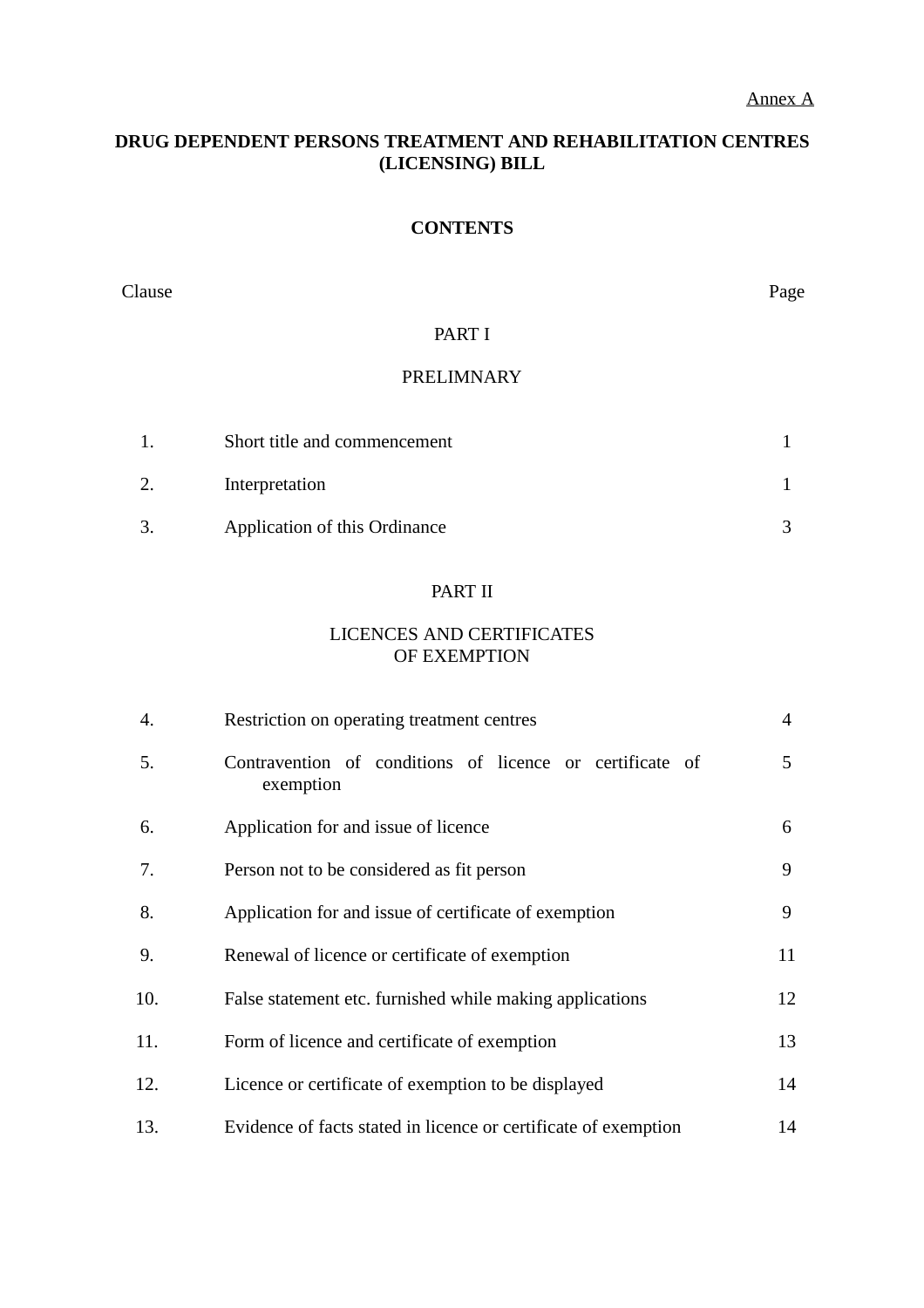### **DRUG DEPENDENT PERSONS TREATMENT AND REHABILITATION CENTRES (LICENSING) BILL**

### **CONTENTS**

Clause Page

### PART I

### PRELIMNARY

| Short title and commencement  |  |
|-------------------------------|--|
| Interpretation                |  |
| Application of this Ordinance |  |

### PART II

### LICENCES AND CERTIFICATES OF EXEMPTION

| 4.  | Restriction on operating treatment centres                            | $\overline{4}$ |
|-----|-----------------------------------------------------------------------|----------------|
| 5.  | Contravention of conditions of licence or certificate of<br>exemption | 5              |
| 6.  | Application for and issue of licence                                  | 6              |
| 7.  | Person not to be considered as fit person                             | 9              |
| 8.  | Application for and issue of certificate of exemption                 | 9              |
| 9.  | Renewal of licence or certificate of exemption                        | 11             |
| 10. | False statement etc. furnished while making applications              | 12             |
| 11. | Form of licence and certificate of exemption                          | 13             |
| 12. | Licence or certificate of exemption to be displayed                   | 14             |
| 13. | Evidence of facts stated in licence or certificate of exemption       | 14             |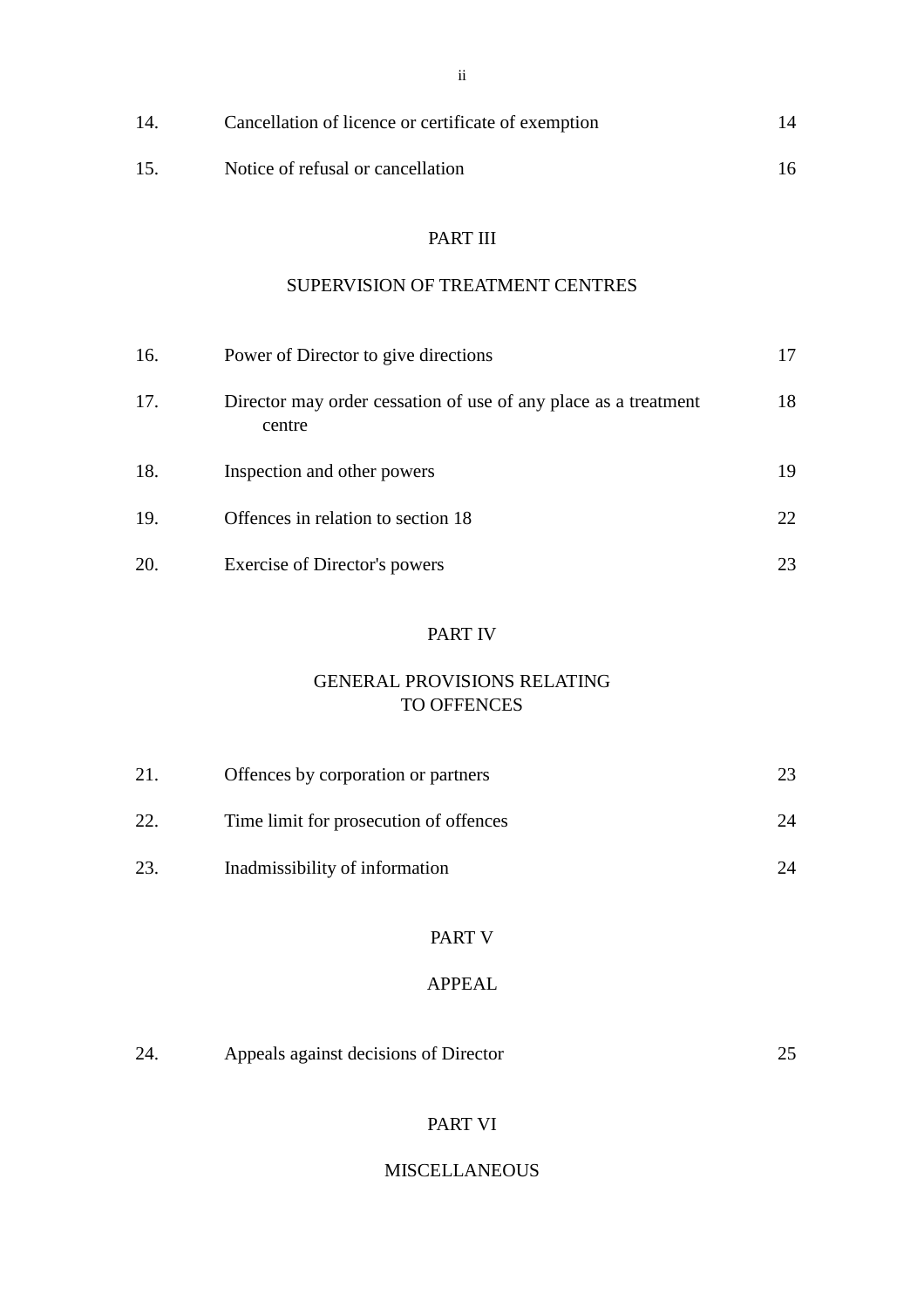| 14. | Cancellation of licence or certificate of exemption |    |
|-----|-----------------------------------------------------|----|
| 15. | Notice of refusal or cancellation                   | 16 |

### PART III

# SUPERVISION OF TREATMENT CENTRES

| 16. | Power of Director to give directions                                      |    |
|-----|---------------------------------------------------------------------------|----|
| 17. | Director may order cessation of use of any place as a treatment<br>centre | 18 |
| 18. | Inspection and other powers                                               | 19 |
| 19. | Offences in relation to section 18                                        | 22 |
| 20. | Exercise of Director's powers                                             | 23 |

### PART IV

### GENERAL PROVISIONS RELATING TO OFFENCES

| 21. | Offences by corporation or partners    |    |
|-----|----------------------------------------|----|
| 22. | Time limit for prosecution of offences | 24 |
| 23  | Inadmissibility of information         | 24 |

## PART V

## APPEAL

| 24<br>Appeals against decisions of Director |  |
|---------------------------------------------|--|
|---------------------------------------------|--|

### PART VI

### MISCELLANEOUS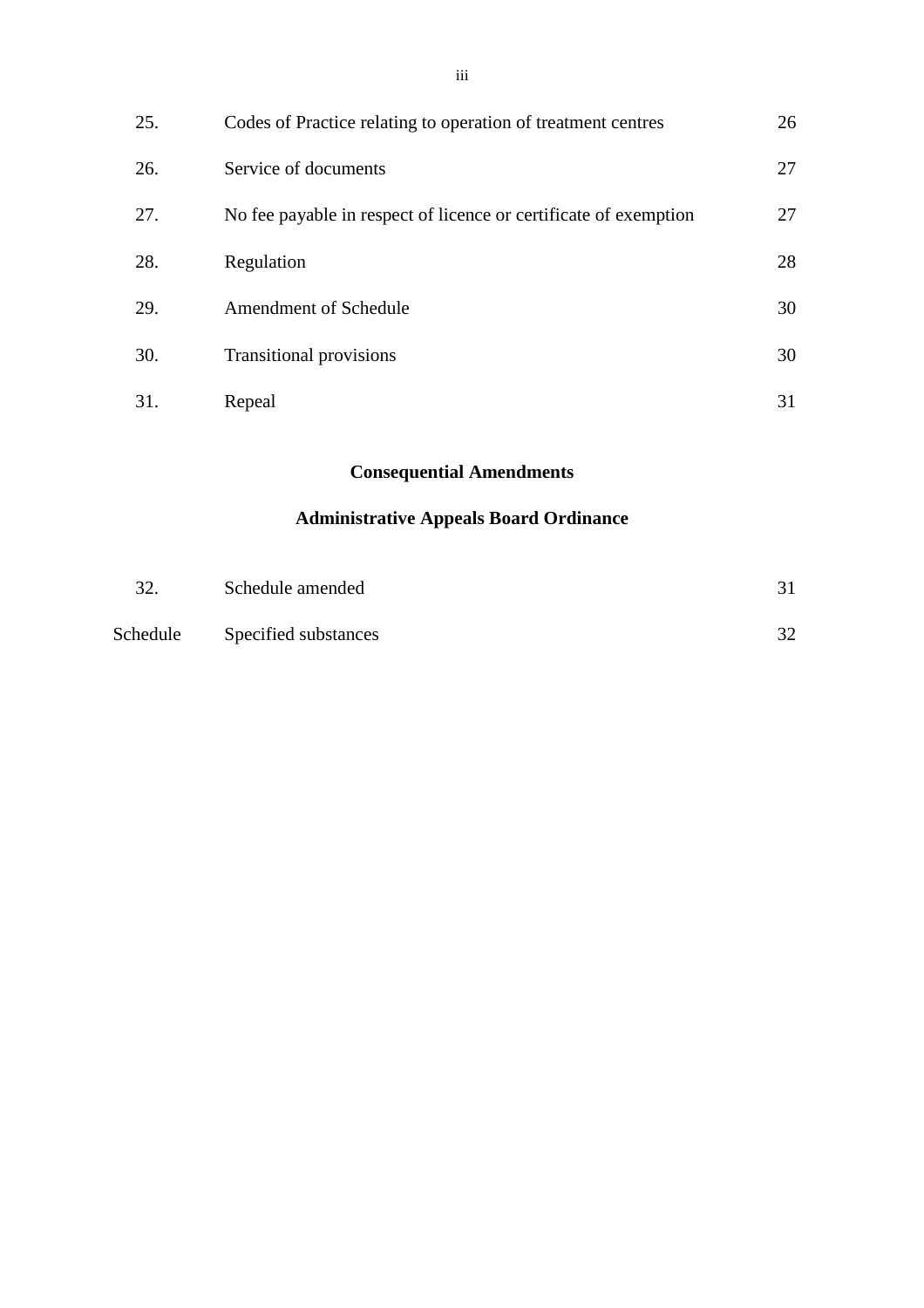| 25. | Codes of Practice relating to operation of treatment centres     | 26 |
|-----|------------------------------------------------------------------|----|
| 26. | Service of documents                                             | 27 |
| 27. | No fee payable in respect of licence or certificate of exemption | 27 |
| 28. | Regulation                                                       | 28 |
| 29. | <b>Amendment of Schedule</b>                                     | 30 |
| 30. | <b>Transitional provisions</b>                                   | 30 |

31. Repeal 31

# **Consequential Amendments**

# **Administrative Appeals Board Ordinance**

| 32.      | Schedule amended     |    |
|----------|----------------------|----|
| Schedule | Specified substances | 32 |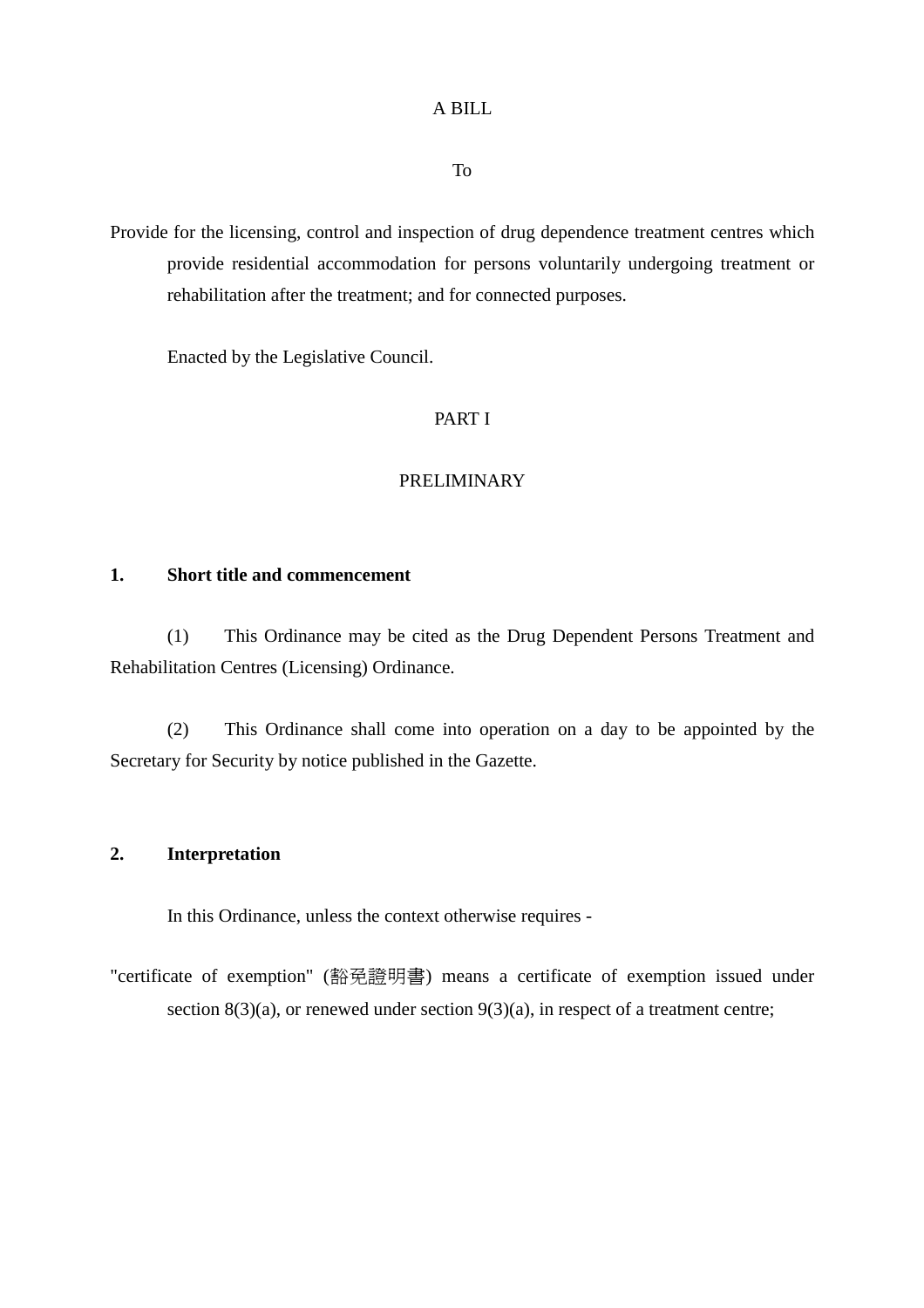### A BILL

To

Provide for the licensing, control and inspection of drug dependence treatment centres which provide residential accommodation for persons voluntarily undergoing treatment or rehabilitation after the treatment; and for connected purposes.

Enacted by the Legislative Council.

### PART I

#### PRELIMINARY

### **1. Short title and commencement**

(1) This Ordinance may be cited as the Drug Dependent Persons Treatment and Rehabilitation Centres (Licensing) Ordinance.

(2) This Ordinance shall come into operation on a day to be appointed by the Secretary for Security by notice published in the Gazette.

### **2. Interpretation**

In this Ordinance, unless the context otherwise requires -

"certificate of exemption" (豁免證明書) means a certificate of exemption issued under section  $8(3)(a)$ , or renewed under section  $9(3)(a)$ , in respect of a treatment centre;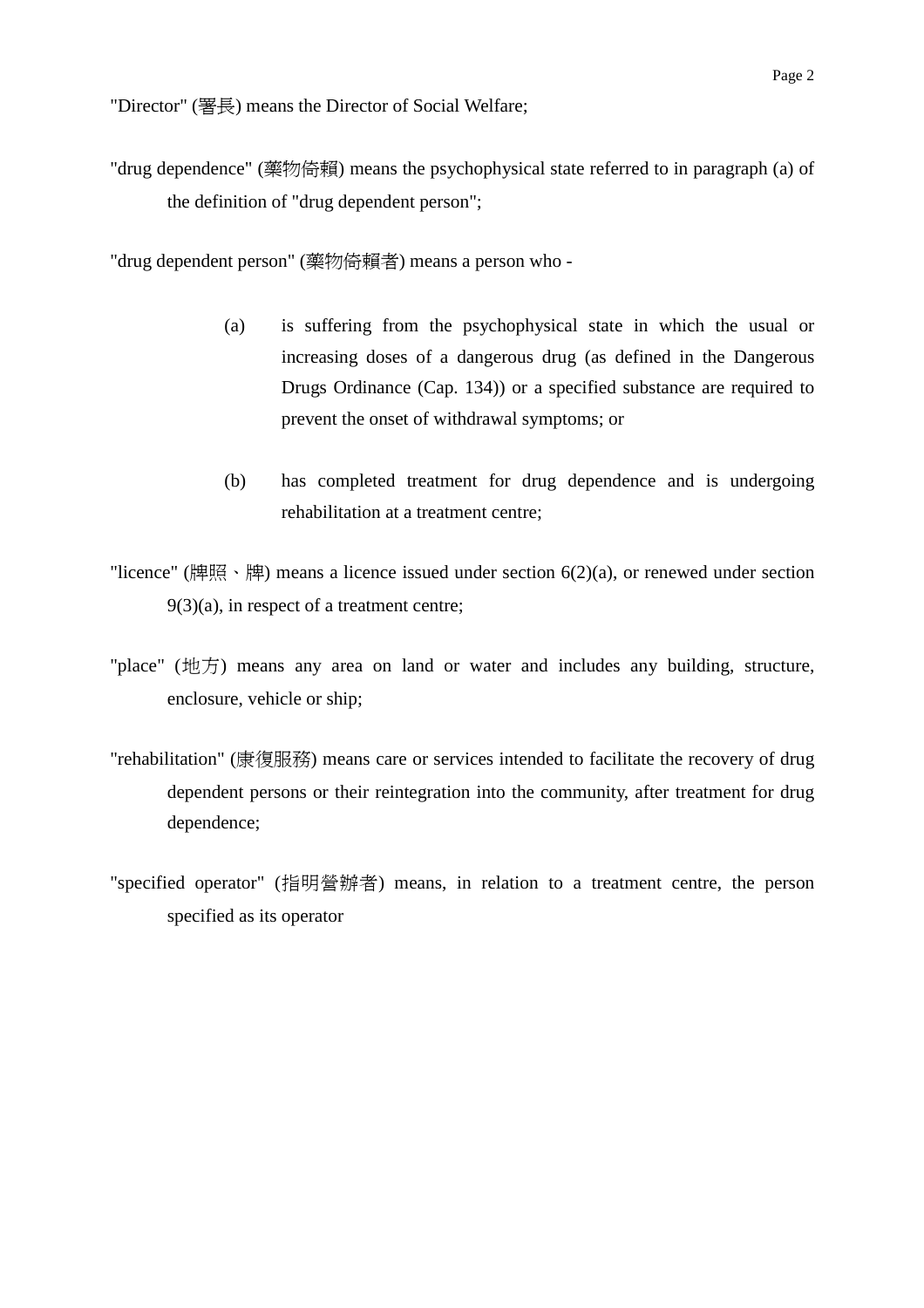"drug dependence" (藥物倚賴) means the psychophysical state referred to in paragraph (a) of the definition of "drug dependent person";

"drug dependent person" (藥物倚賴者) means a person who -

- (a) is suffering from the psychophysical state in which the usual or increasing doses of a dangerous drug (as defined in the Dangerous Drugs Ordinance (Cap. 134)) or a specified substance are required to prevent the onset of withdrawal symptoms; or
- (b) has completed treatment for drug dependence and is undergoing rehabilitation at a treatment centre;
- "licence" (牌照、牌) means a licence issued under section  $6(2)(a)$ , or renewed under section 9(3)(a), in respect of a treatment centre;
- "place" (地方) means any area on land or water and includes any building, structure, enclosure, vehicle or ship;
- "rehabilitation" (康復服務) means care or services intended to facilitate the recovery of drug dependent persons or their reintegration into the community, after treatment for drug dependence;
- "specified operator" (指明營辦者) means, in relation to a treatment centre, the person specified as its operator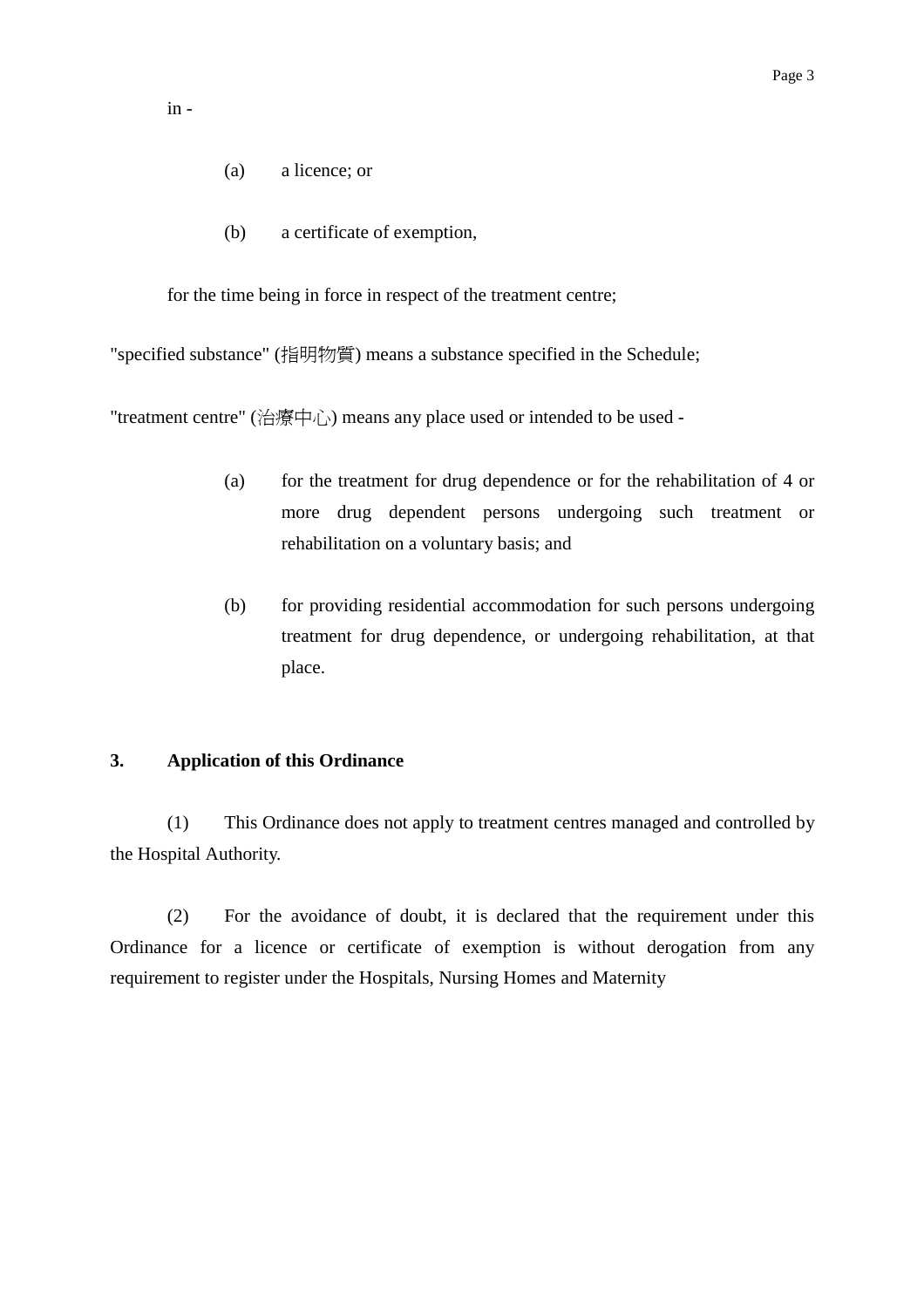in -

- (a) a licence; or
- (b) a certificate of exemption,

for the time being in force in respect of the treatment centre;

"specified substance" (指明物質) means a substance specified in the Schedule;

"treatment centre" (治療中心) means any place used or intended to be used -

- (a) for the treatment for drug dependence or for the rehabilitation of 4 or more drug dependent persons undergoing such treatment or rehabilitation on a voluntary basis; and
- (b) for providing residential accommodation for such persons undergoing treatment for drug dependence, or undergoing rehabilitation, at that place.

#### **3. Application of this Ordinance**

(1) This Ordinance does not apply to treatment centres managed and controlled by the Hospital Authority.

(2) For the avoidance of doubt, it is declared that the requirement under this Ordinance for a licence or certificate of exemption is without derogation from any requirement to register under the Hospitals, Nursing Homes and Maternity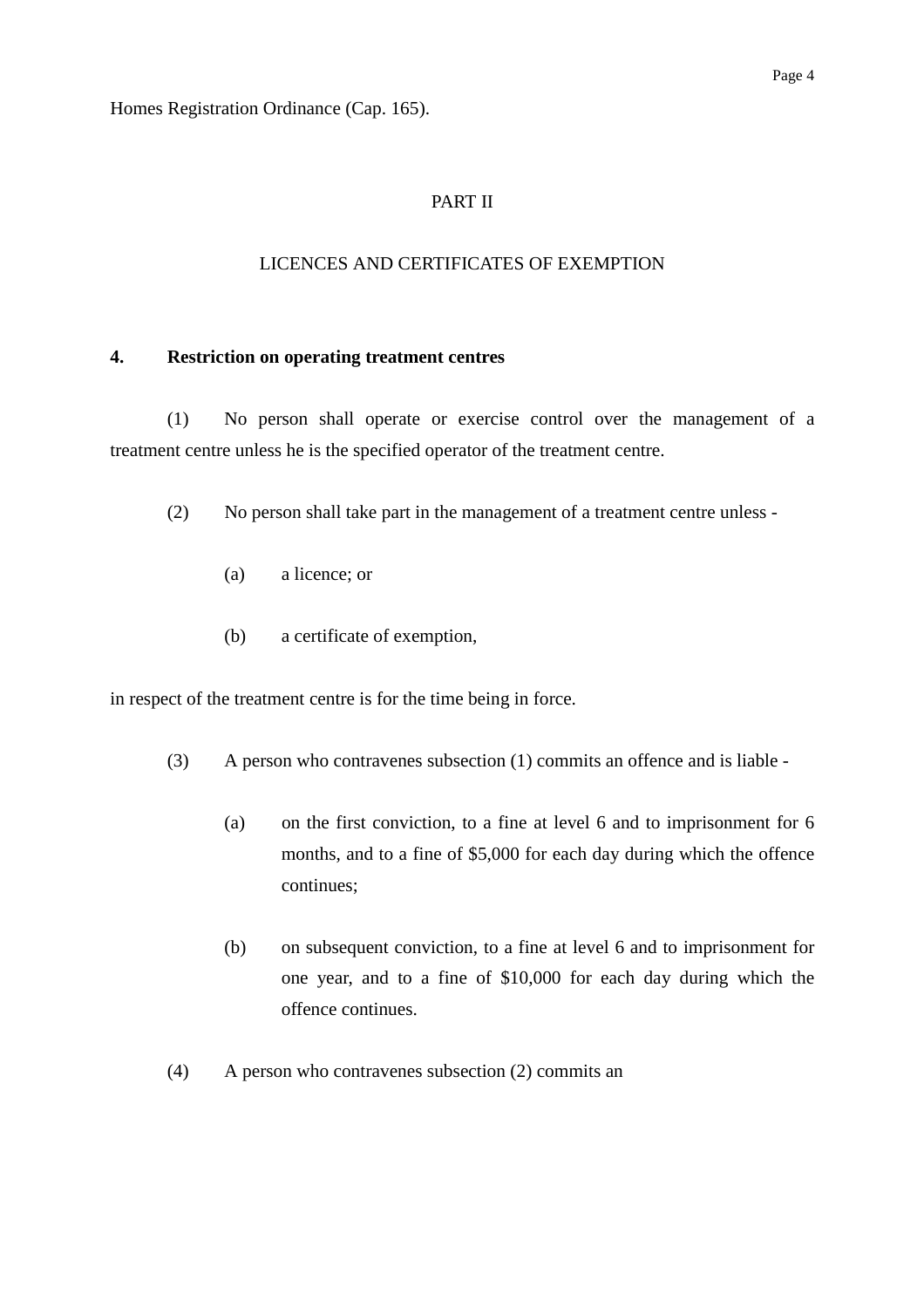Homes Registration Ordinance (Cap. 165).

### PART II

### LICENCES AND CERTIFICATES OF EXEMPTION

#### **4. Restriction on operating treatment centres**

(1) No person shall operate or exercise control over the management of a treatment centre unless he is the specified operator of the treatment centre.

- (2) No person shall take part in the management of a treatment centre unless
	- (a) a licence; or
	- (b) a certificate of exemption,

in respect of the treatment centre is for the time being in force.

- (3) A person who contravenes subsection (1) commits an offence and is liable
	- (a) on the first conviction, to a fine at level 6 and to imprisonment for 6 months, and to a fine of \$5,000 for each day during which the offence continues;
	- (b) on subsequent conviction, to a fine at level 6 and to imprisonment for one year, and to a fine of \$10,000 for each day during which the offence continues.
- (4) A person who contravenes subsection (2) commits an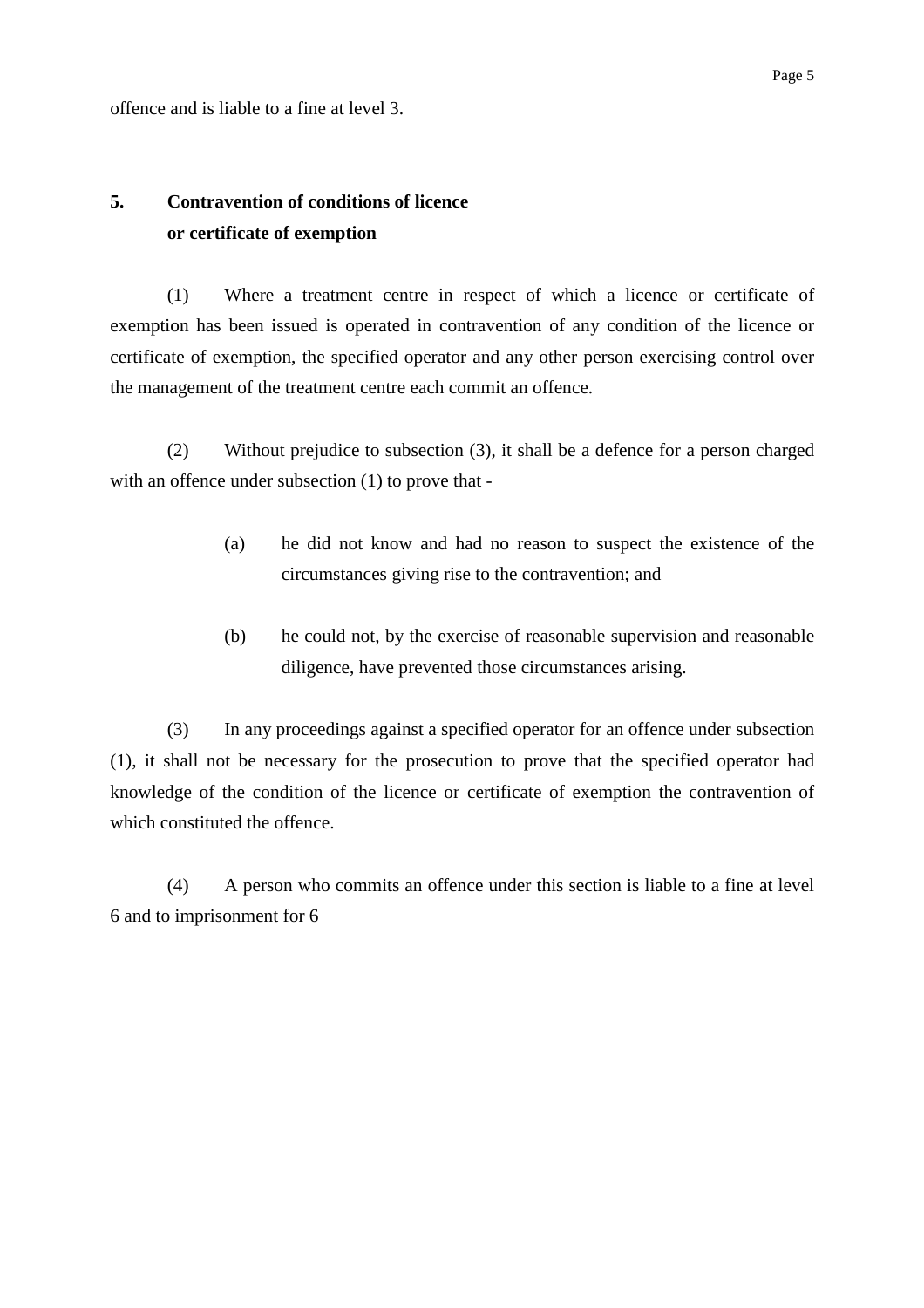offence and is liable to a fine at level 3.

# **5. Contravention of conditions of licence or certificate of exemption**

(1) Where a treatment centre in respect of which a licence or certificate of exemption has been issued is operated in contravention of any condition of the licence or certificate of exemption, the specified operator and any other person exercising control over the management of the treatment centre each commit an offence.

(2) Without prejudice to subsection (3), it shall be a defence for a person charged with an offence under subsection (1) to prove that -

- (a) he did not know and had no reason to suspect the existence of the circumstances giving rise to the contravention; and
- (b) he could not, by the exercise of reasonable supervision and reasonable diligence, have prevented those circumstances arising.

(3) In any proceedings against a specified operator for an offence under subsection (1), it shall not be necessary for the prosecution to prove that the specified operator had knowledge of the condition of the licence or certificate of exemption the contravention of which constituted the offence.

(4) A person who commits an offence under this section is liable to a fine at level 6 and to imprisonment for 6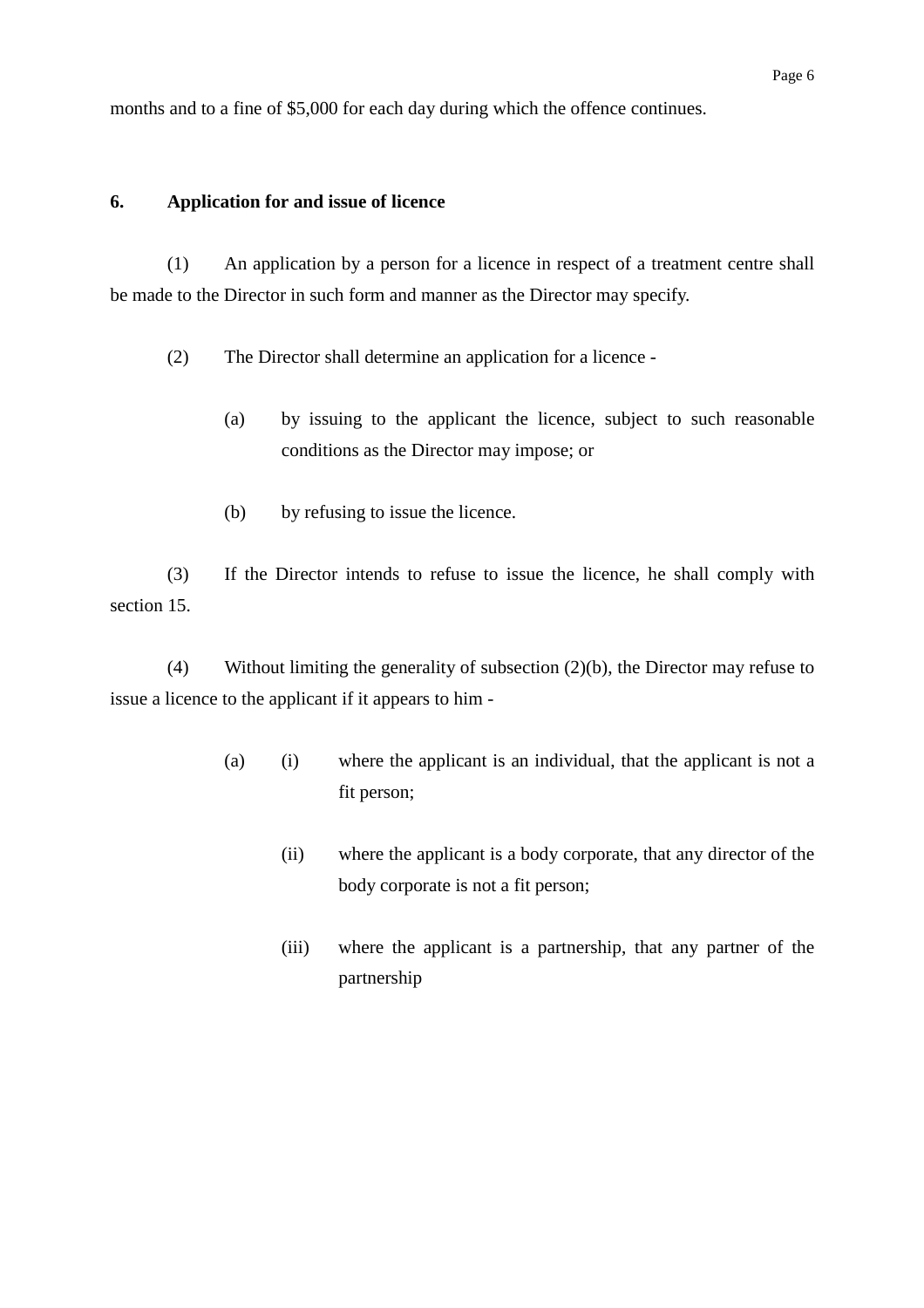months and to a fine of \$5,000 for each day during which the offence continues.

### **6. Application for and issue of licence**

(1) An application by a person for a licence in respect of a treatment centre shall be made to the Director in such form and manner as the Director may specify.

- (2) The Director shall determine an application for a licence
	- (a) by issuing to the applicant the licence, subject to such reasonable conditions as the Director may impose; or
	- (b) by refusing to issue the licence.

(3) If the Director intends to refuse to issue the licence, he shall comply with section 15.

(4) Without limiting the generality of subsection (2)(b), the Director may refuse to issue a licence to the applicant if it appears to him -

- (a) (i) where the applicant is an individual, that the applicant is not a fit person;
	- (ii) where the applicant is a body corporate, that any director of the body corporate is not a fit person;
	- (iii) where the applicant is a partnership, that any partner of the partnership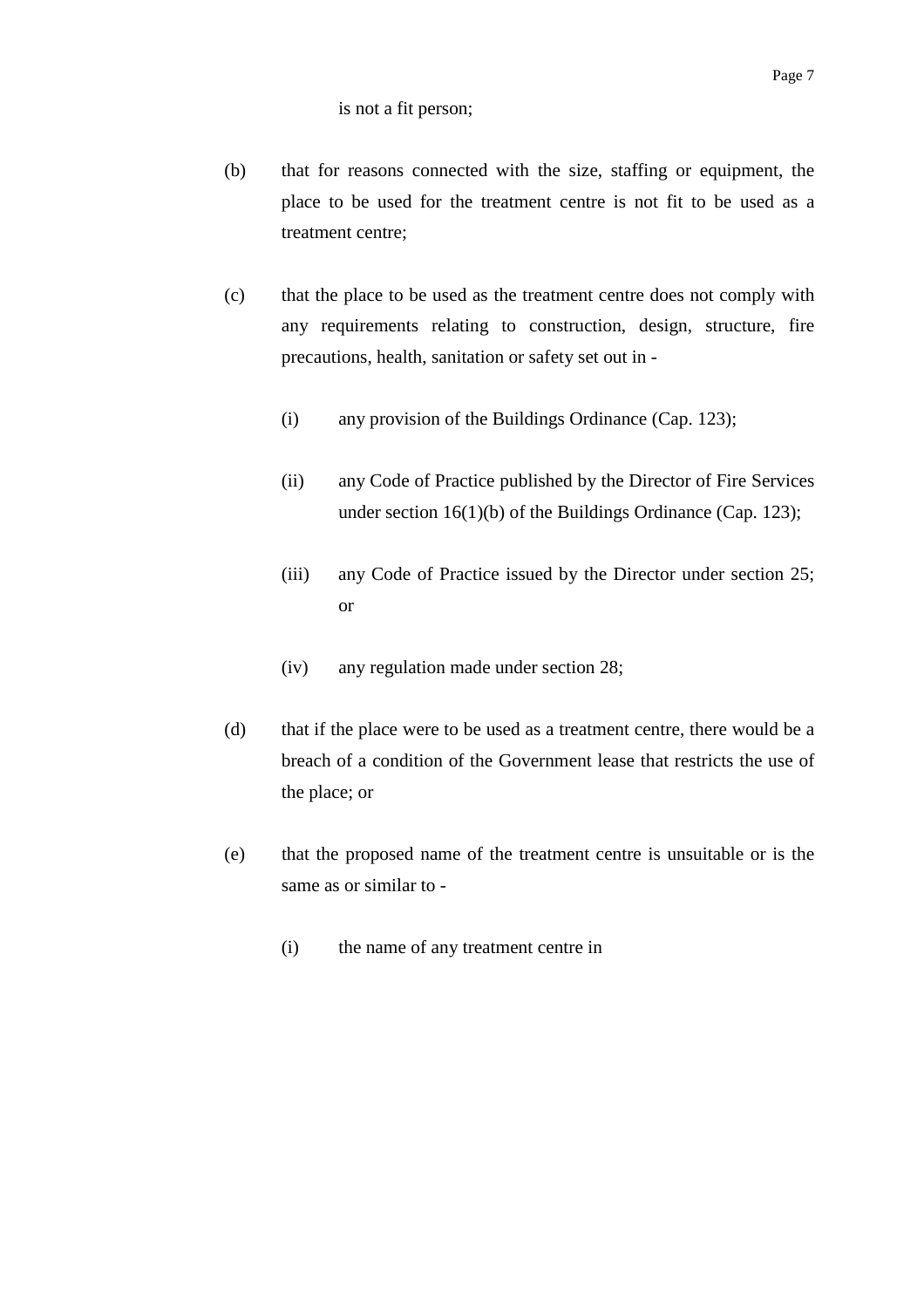- (b) that for reasons connected with the size, staffing or equipment, the place to be used for the treatment centre is not fit to be used as a treatment centre;
- (c) that the place to be used as the treatment centre does not comply with any requirements relating to construction, design, structure, fire precautions, health, sanitation or safety set out in -
	- (i) any provision of the Buildings Ordinance (Cap. 123);
	- (ii) any Code of Practice published by the Director of Fire Services under section 16(1)(b) of the Buildings Ordinance (Cap. 123);
	- (iii) any Code of Practice issued by the Director under section 25; or
	- (iv) any regulation made under section 28;
- (d) that if the place were to be used as a treatment centre, there would be a breach of a condition of the Government lease that restricts the use of the place; or
- (e) that the proposed name of the treatment centre is unsuitable or is the same as or similar to -
	- (i) the name of any treatment centre in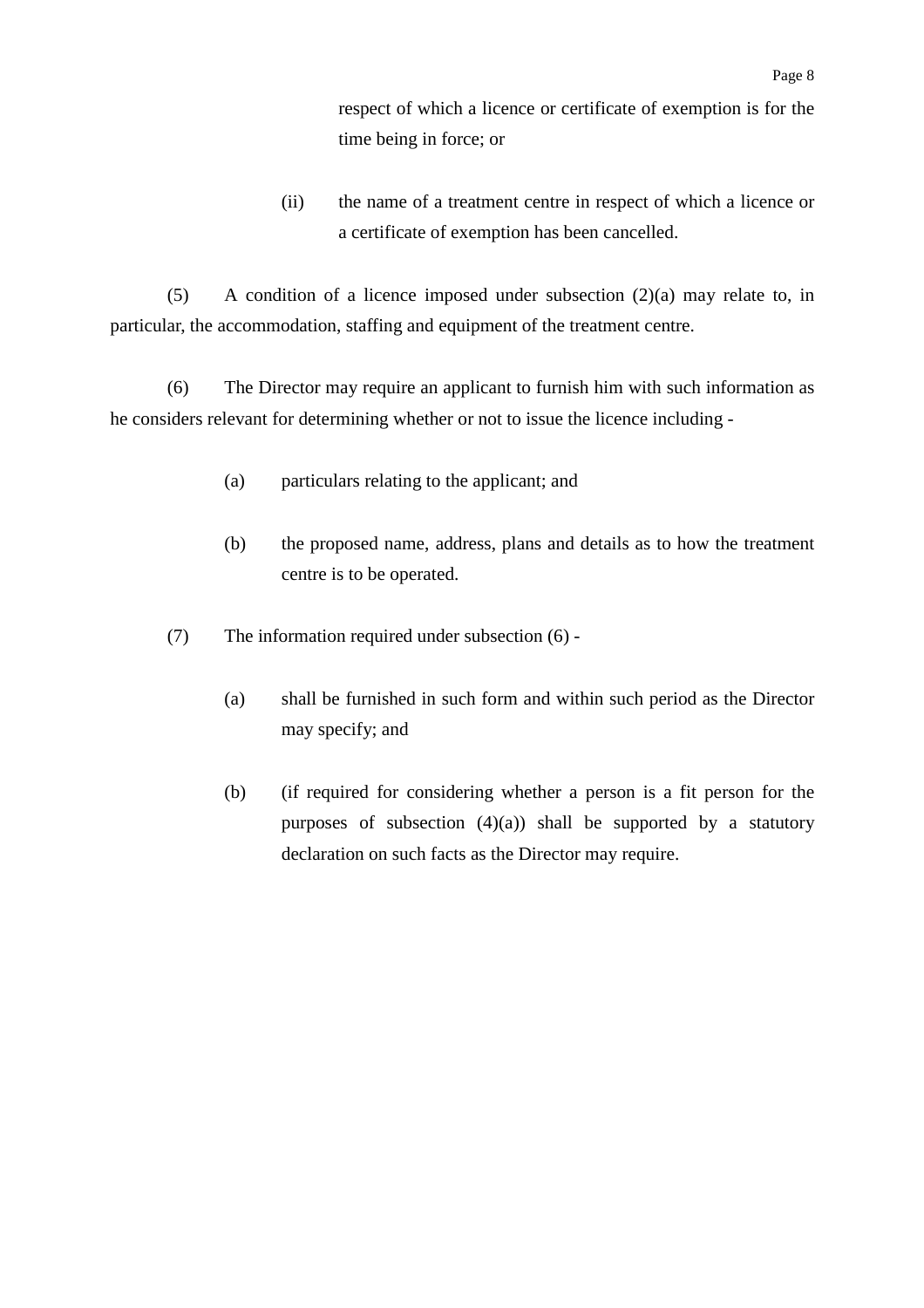respect of which a licence or certificate of exemption is for the time being in force; or

(ii) the name of a treatment centre in respect of which a licence or a certificate of exemption has been cancelled.

(5) A condition of a licence imposed under subsection (2)(a) may relate to, in particular, the accommodation, staffing and equipment of the treatment centre.

(6) The Director may require an applicant to furnish him with such information as he considers relevant for determining whether or not to issue the licence including -

- (a) particulars relating to the applicant; and
- (b) the proposed name, address, plans and details as to how the treatment centre is to be operated.
- (7) The information required under subsection (6)
	- (a) shall be furnished in such form and within such period as the Director may specify; and
	- (b) (if required for considering whether a person is a fit person for the purposes of subsection  $(4)(a)$ ) shall be supported by a statutory declaration on such facts as the Director may require.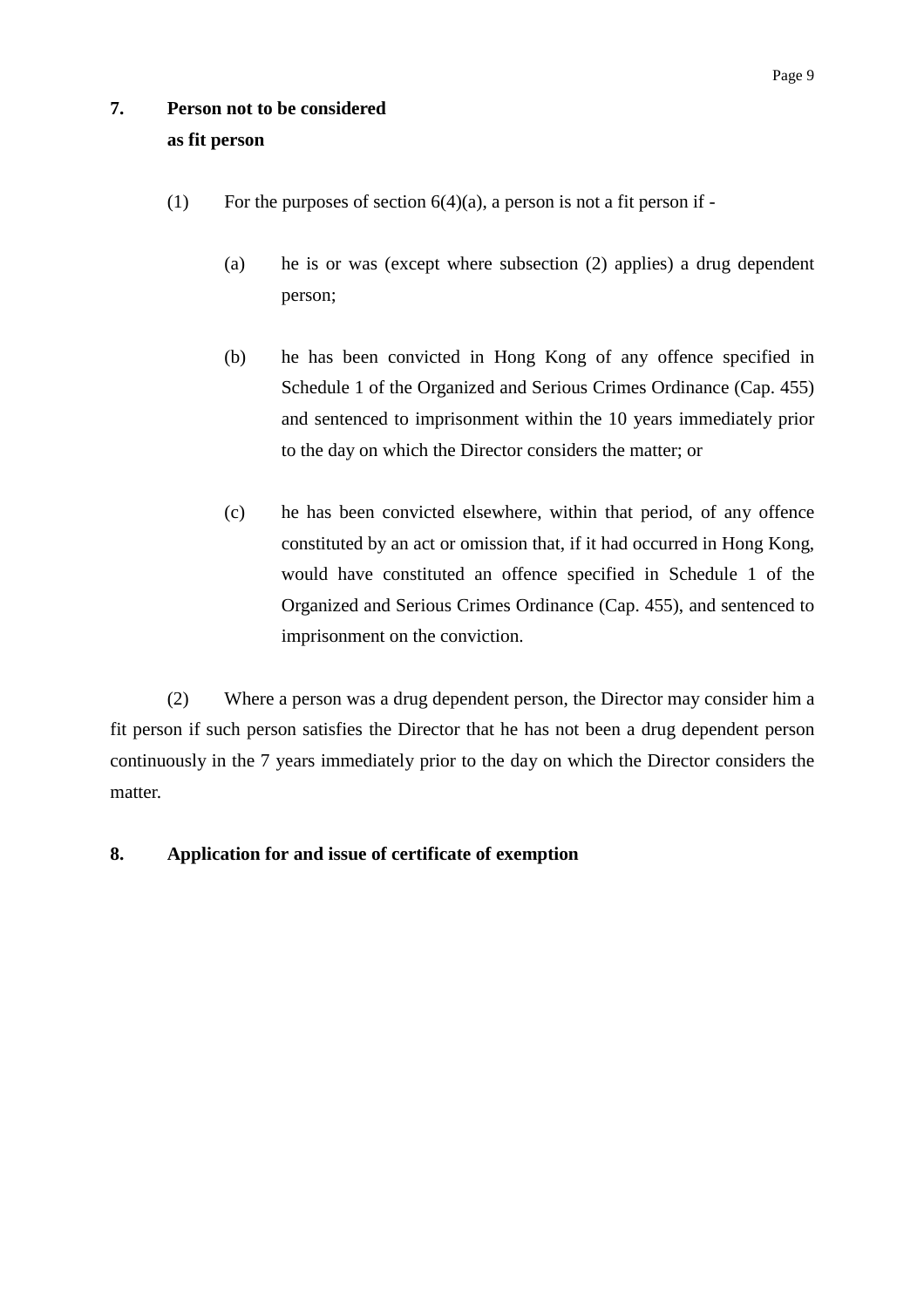# **7. Person not to be considered as fit person**

- (1) For the purposes of section  $6(4)(a)$ , a person is not a fit person if -
	- (a) he is or was (except where subsection (2) applies) a drug dependent person;
	- (b) he has been convicted in Hong Kong of any offence specified in Schedule 1 of the Organized and Serious Crimes Ordinance (Cap. 455) and sentenced to imprisonment within the 10 years immediately prior to the day on which the Director considers the matter; or
	- (c) he has been convicted elsewhere, within that period, of any offence constituted by an act or omission that, if it had occurred in Hong Kong, would have constituted an offence specified in Schedule 1 of the Organized and Serious Crimes Ordinance (Cap. 455), and sentenced to imprisonment on the conviction.

(2) Where a person was a drug dependent person, the Director may consider him a fit person if such person satisfies the Director that he has not been a drug dependent person continuously in the 7 years immediately prior to the day on which the Director considers the matter.

### **8. Application for and issue of certificate of exemption**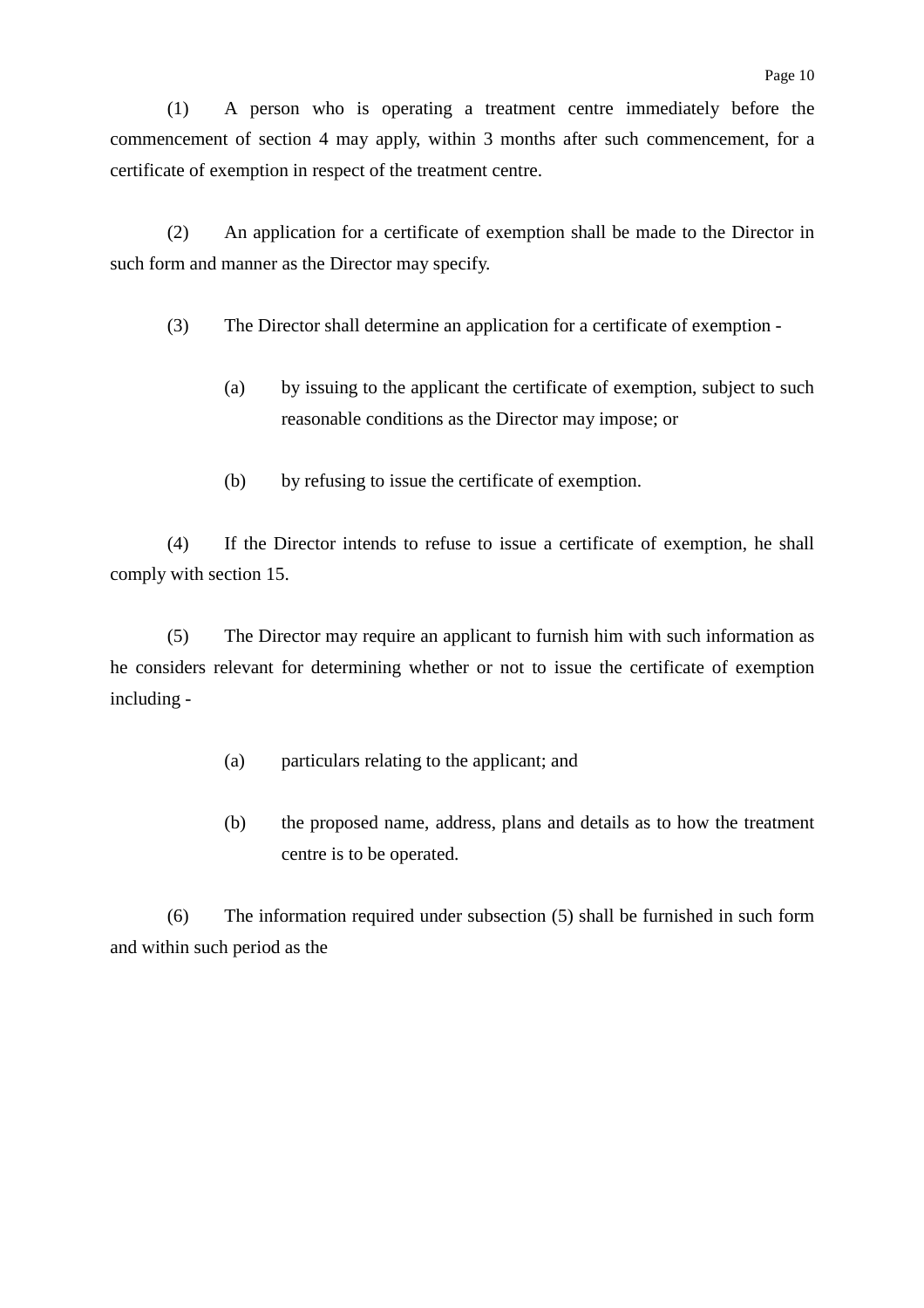(1) A person who is operating a treatment centre immediately before the commencement of section 4 may apply, within 3 months after such commencement, for a certificate of exemption in respect of the treatment centre.

(2) An application for a certificate of exemption shall be made to the Director in such form and manner as the Director may specify.

- (3) The Director shall determine an application for a certificate of exemption
	- (a) by issuing to the applicant the certificate of exemption, subject to such reasonable conditions as the Director may impose; or
	- (b) by refusing to issue the certificate of exemption.

(4) If the Director intends to refuse to issue a certificate of exemption, he shall comply with section 15.

(5) The Director may require an applicant to furnish him with such information as he considers relevant for determining whether or not to issue the certificate of exemption including -

- (a) particulars relating to the applicant; and
- (b) the proposed name, address, plans and details as to how the treatment centre is to be operated.

(6) The information required under subsection (5) shall be furnished in such form and within such period as the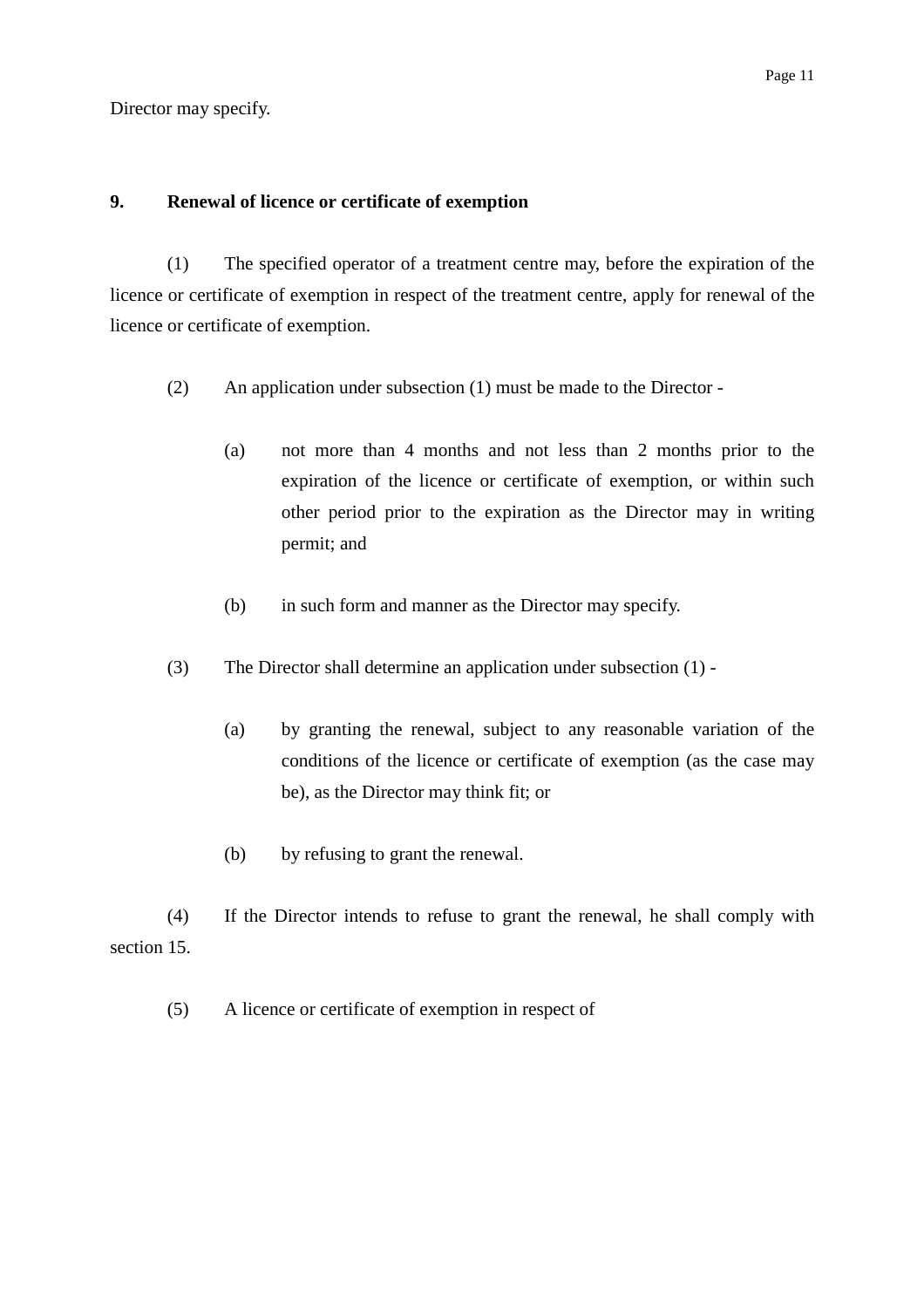Director may specify.

### **9. Renewal of licence or certificate of exemption**

(1) The specified operator of a treatment centre may, before the expiration of the licence or certificate of exemption in respect of the treatment centre, apply for renewal of the licence or certificate of exemption.

- (2) An application under subsection (1) must be made to the Director
	- (a) not more than 4 months and not less than 2 months prior to the expiration of the licence or certificate of exemption, or within such other period prior to the expiration as the Director may in writing permit; and
	- (b) in such form and manner as the Director may specify.
- (3) The Director shall determine an application under subsection (1)
	- (a) by granting the renewal, subject to any reasonable variation of the conditions of the licence or certificate of exemption (as the case may be), as the Director may think fit; or
	- (b) by refusing to grant the renewal.

(4) If the Director intends to refuse to grant the renewal, he shall comply with section 15

(5) A licence or certificate of exemption in respect of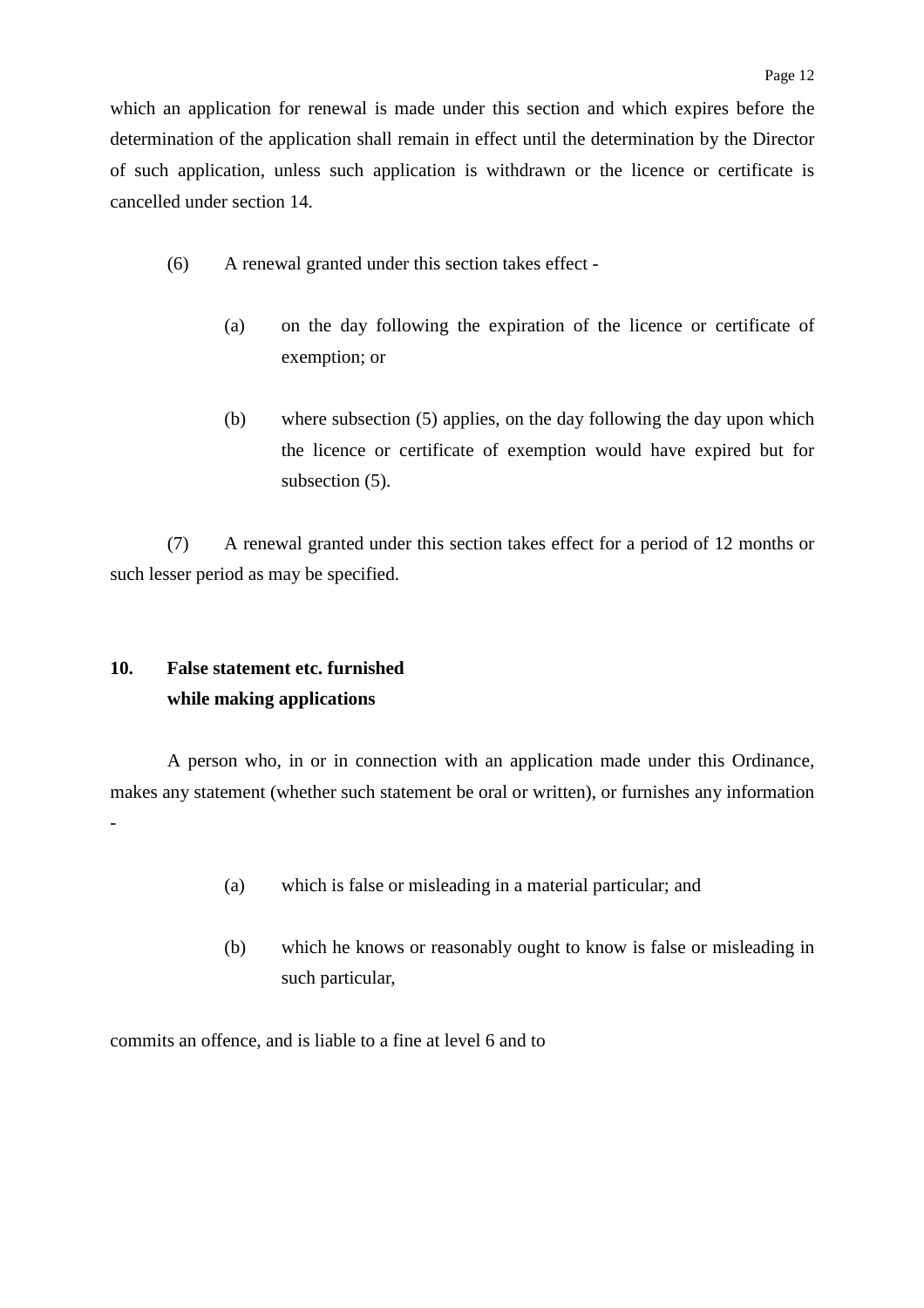which an application for renewal is made under this section and which expires before the determination of the application shall remain in effect until the determination by the Director of such application, unless such application is withdrawn or the licence or certificate is cancelled under section 14.

- (6) A renewal granted under this section takes effect
	- (a) on the day following the expiration of the licence or certificate of exemption; or
	- (b) where subsection (5) applies, on the day following the day upon which the licence or certificate of exemption would have expired but for subsection (5).

(7) A renewal granted under this section takes effect for a period of 12 months or such lesser period as may be specified.

# **10. False statement etc. furnished while making applications**

A person who, in or in connection with an application made under this Ordinance, makes any statement (whether such statement be oral or written), or furnishes any information -

- (a) which is false or misleading in a material particular; and
- (b) which he knows or reasonably ought to know is false or misleading in such particular,

commits an offence, and is liable to a fine at level 6 and to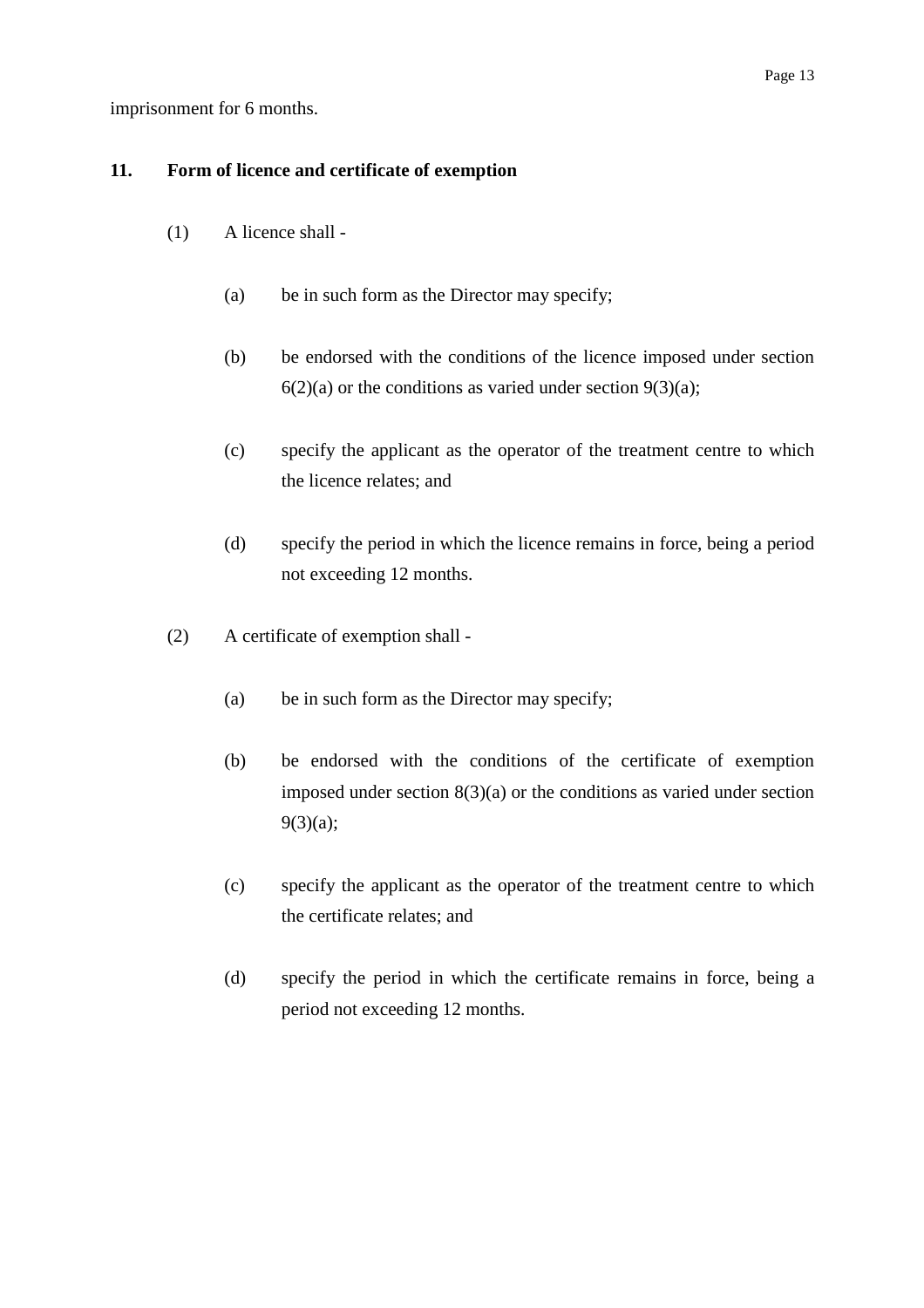imprisonment for 6 months.

### **11. Form of licence and certificate of exemption**

- (1) A licence shall
	- (a) be in such form as the Director may specify;
	- (b) be endorsed with the conditions of the licence imposed under section  $6(2)(a)$  or the conditions as varied under section  $9(3)(a)$ ;
	- (c) specify the applicant as the operator of the treatment centre to which the licence relates; and
	- (d) specify the period in which the licence remains in force, being a period not exceeding 12 months.
- (2) A certificate of exemption shall
	- (a) be in such form as the Director may specify;
	- (b) be endorsed with the conditions of the certificate of exemption imposed under section  $8(3)(a)$  or the conditions as varied under section 9(3)(a);
	- (c) specify the applicant as the operator of the treatment centre to which the certificate relates; and
	- (d) specify the period in which the certificate remains in force, being a period not exceeding 12 months.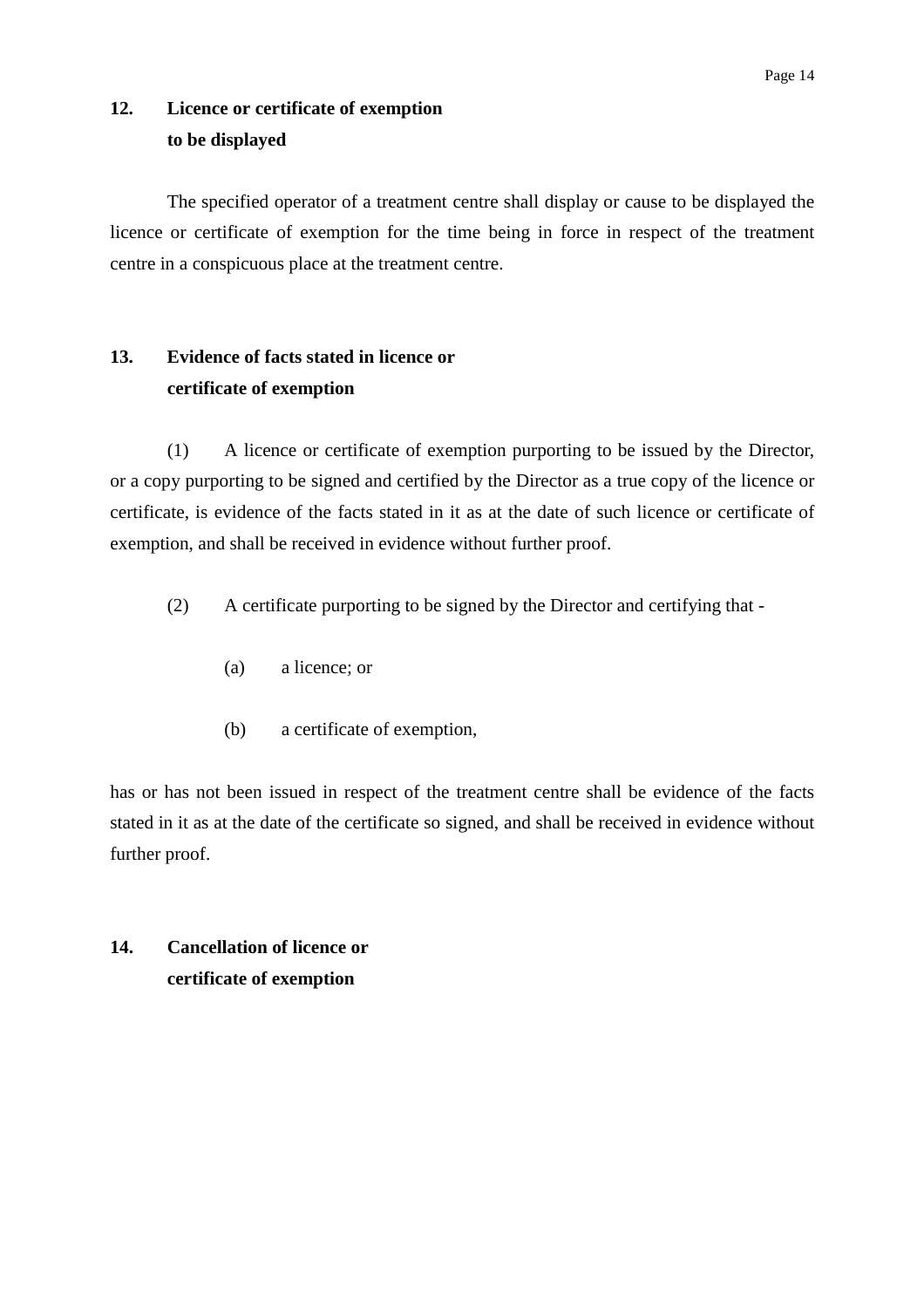# **12. Licence or certificate of exemption to be displayed**

The specified operator of a treatment centre shall display or cause to be displayed the licence or certificate of exemption for the time being in force in respect of the treatment centre in a conspicuous place at the treatment centre.

# **13. Evidence of facts stated in licence or certificate of exemption**

(1) A licence or certificate of exemption purporting to be issued by the Director, or a copy purporting to be signed and certified by the Director as a true copy of the licence or certificate, is evidence of the facts stated in it as at the date of such licence or certificate of exemption, and shall be received in evidence without further proof.

- (2) A certificate purporting to be signed by the Director and certifying that
	- (a) a licence; or
	- (b) a certificate of exemption,

has or has not been issued in respect of the treatment centre shall be evidence of the facts stated in it as at the date of the certificate so signed, and shall be received in evidence without further proof.

# **14. Cancellation of licence or certificate of exemption**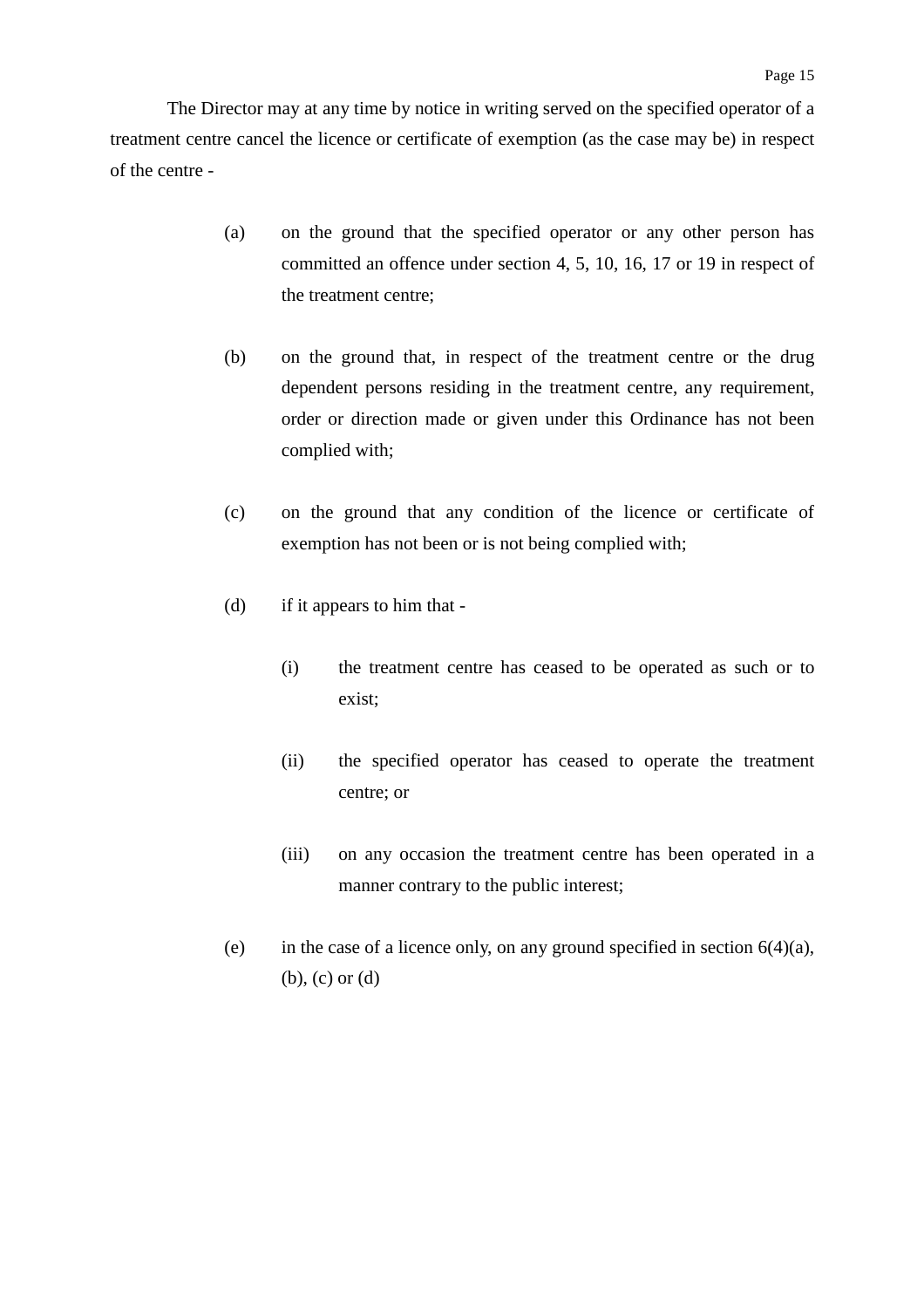The Director may at any time by notice in writing served on the specified operator of a treatment centre cancel the licence or certificate of exemption (as the case may be) in respect of the centre -

- (a) on the ground that the specified operator or any other person has committed an offence under section 4, 5, 10, 16, 17 or 19 in respect of the treatment centre;
- (b) on the ground that, in respect of the treatment centre or the drug dependent persons residing in the treatment centre, any requirement, order or direction made or given under this Ordinance has not been complied with;
- (c) on the ground that any condition of the licence or certificate of exemption has not been or is not being complied with;
- (d) if it appears to him that
	- (i) the treatment centre has ceased to be operated as such or to exist;
	- (ii) the specified operator has ceased to operate the treatment centre; or
	- (iii) on any occasion the treatment centre has been operated in a manner contrary to the public interest;
- (e) in the case of a licence only, on any ground specified in section  $6(4)(a)$ , (b), (c) or (d)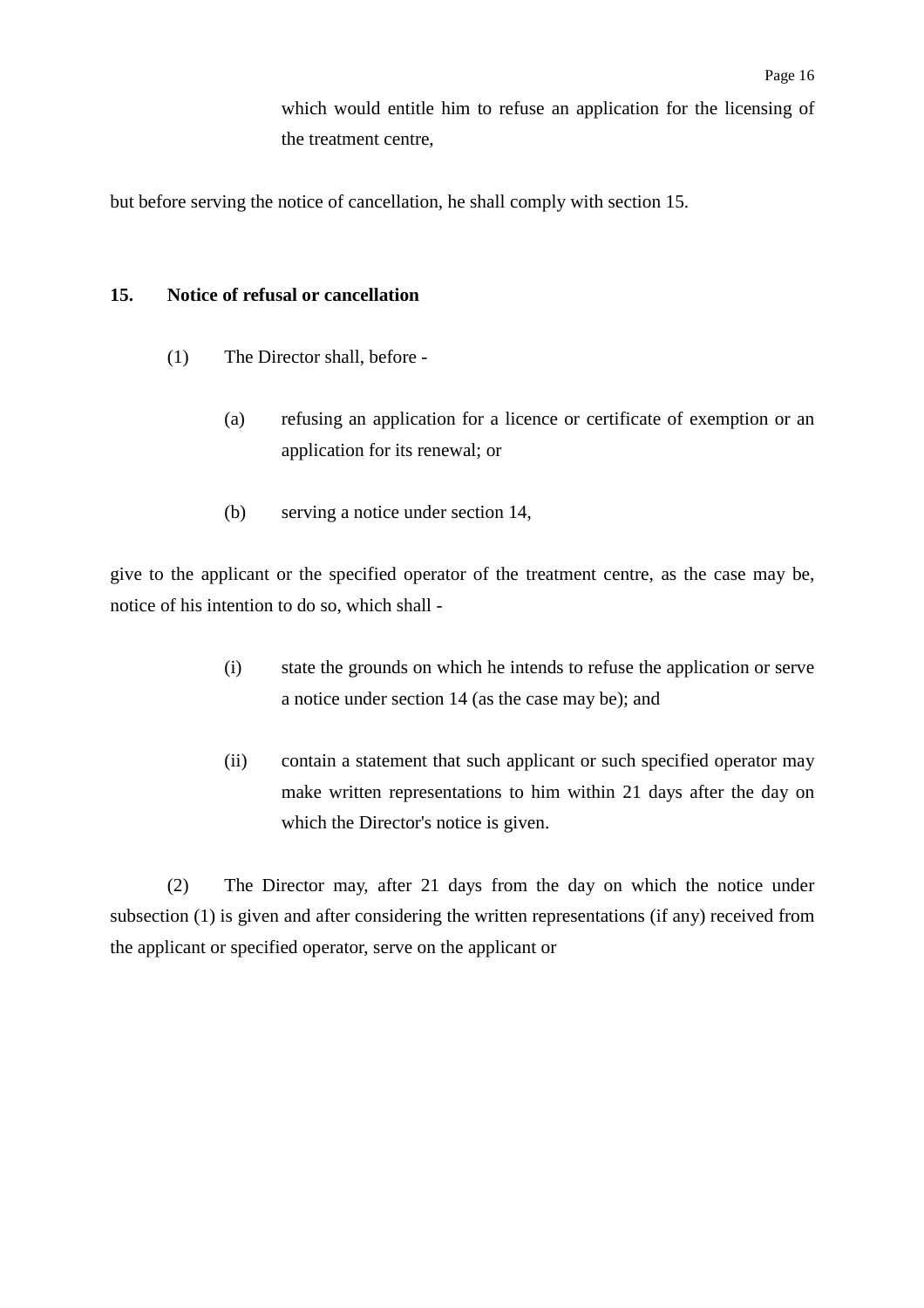which would entitle him to refuse an application for the licensing of the treatment centre,

but before serving the notice of cancellation, he shall comply with section 15.

#### **15. Notice of refusal or cancellation**

- (1) The Director shall, before
	- (a) refusing an application for a licence or certificate of exemption or an application for its renewal; or
	- (b) serving a notice under section 14,

give to the applicant or the specified operator of the treatment centre, as the case may be, notice of his intention to do so, which shall -

- (i) state the grounds on which he intends to refuse the application or serve a notice under section 14 (as the case may be); and
- (ii) contain a statement that such applicant or such specified operator may make written representations to him within 21 days after the day on which the Director's notice is given.

(2) The Director may, after 21 days from the day on which the notice under subsection (1) is given and after considering the written representations (if any) received from the applicant or specified operator, serve on the applicant or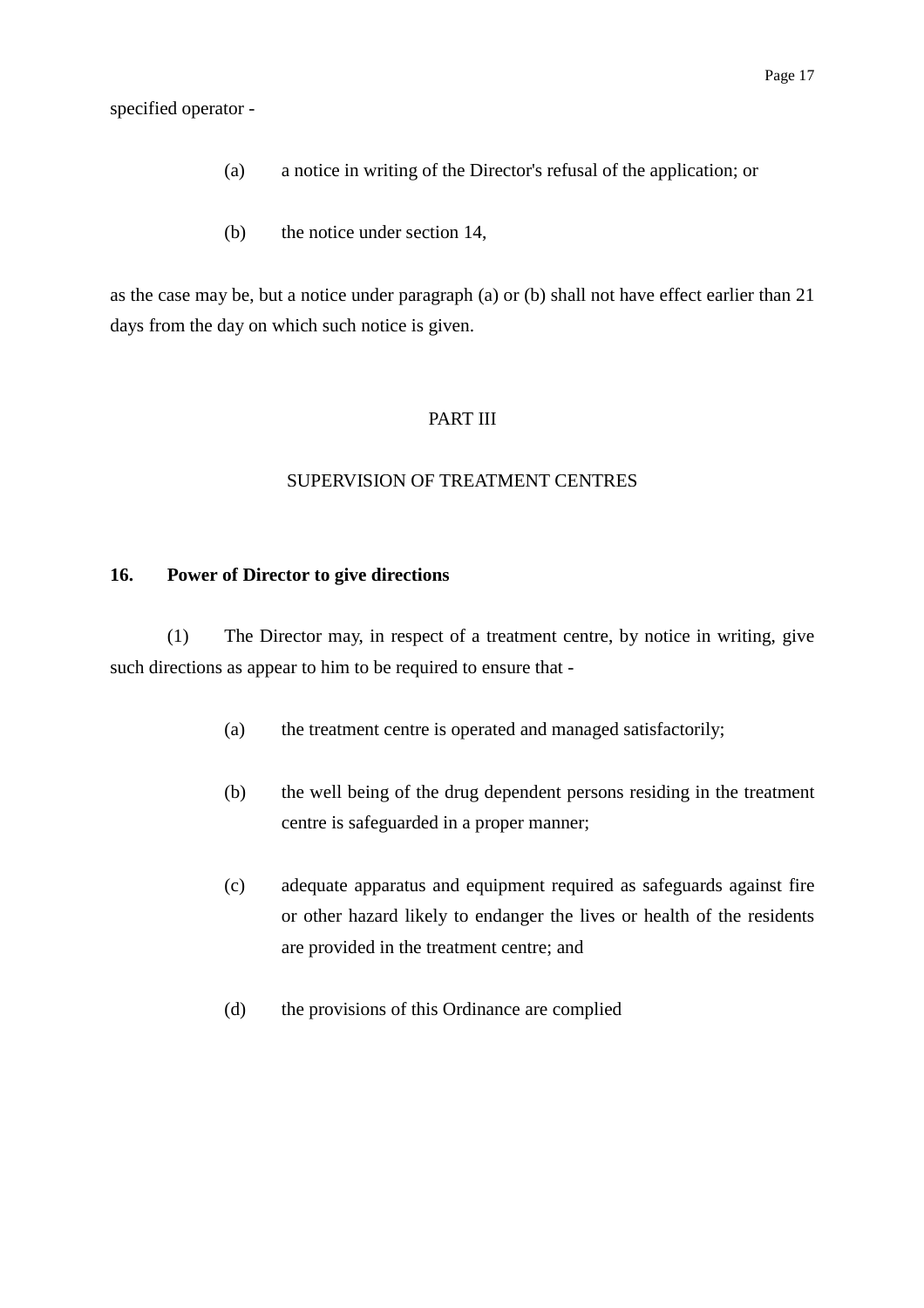specified operator -

- (a) a notice in writing of the Director's refusal of the application; or
- (b) the notice under section 14,

as the case may be, but a notice under paragraph (a) or (b) shall not have effect earlier than 21 days from the day on which such notice is given.

#### PART III

#### SUPERVISION OF TREATMENT CENTRES

#### **16. Power of Director to give directions**

(1) The Director may, in respect of a treatment centre, by notice in writing, give such directions as appear to him to be required to ensure that -

- (a) the treatment centre is operated and managed satisfactorily;
- (b) the well being of the drug dependent persons residing in the treatment centre is safeguarded in a proper manner;
- (c) adequate apparatus and equipment required as safeguards against fire or other hazard likely to endanger the lives or health of the residents are provided in the treatment centre; and
- (d) the provisions of this Ordinance are complied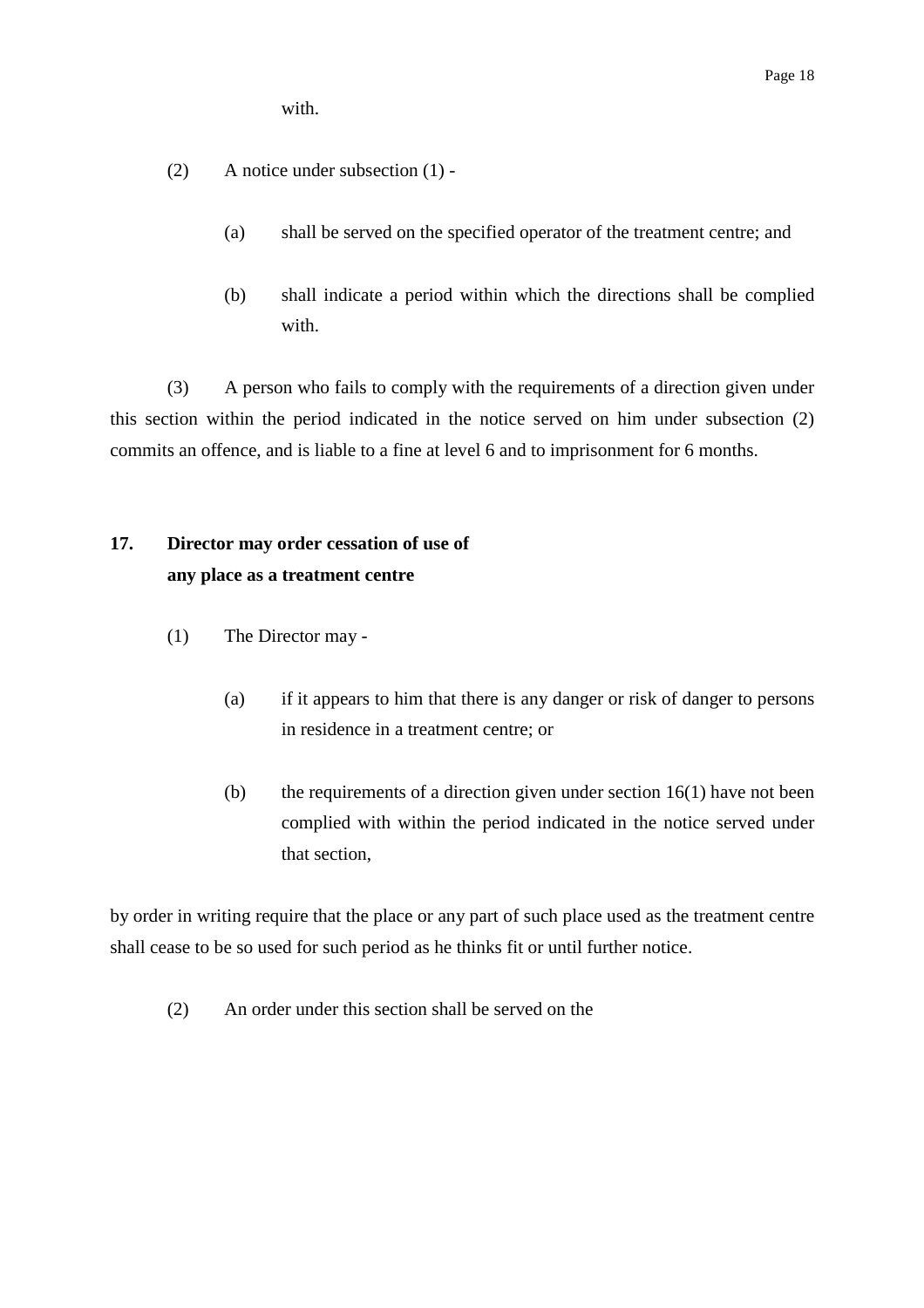with.

- (2) A notice under subsection (1)
	- (a) shall be served on the specified operator of the treatment centre; and
	- (b) shall indicate a period within which the directions shall be complied with.

(3) A person who fails to comply with the requirements of a direction given under this section within the period indicated in the notice served on him under subsection (2) commits an offence, and is liable to a fine at level 6 and to imprisonment for 6 months.

# **17. Director may order cessation of use of any place as a treatment centre**

- (1) The Director may
	- (a) if it appears to him that there is any danger or risk of danger to persons in residence in a treatment centre; or
	- (b) the requirements of a direction given under section  $16(1)$  have not been complied with within the period indicated in the notice served under that section,

by order in writing require that the place or any part of such place used as the treatment centre shall cease to be so used for such period as he thinks fit or until further notice.

(2) An order under this section shall be served on the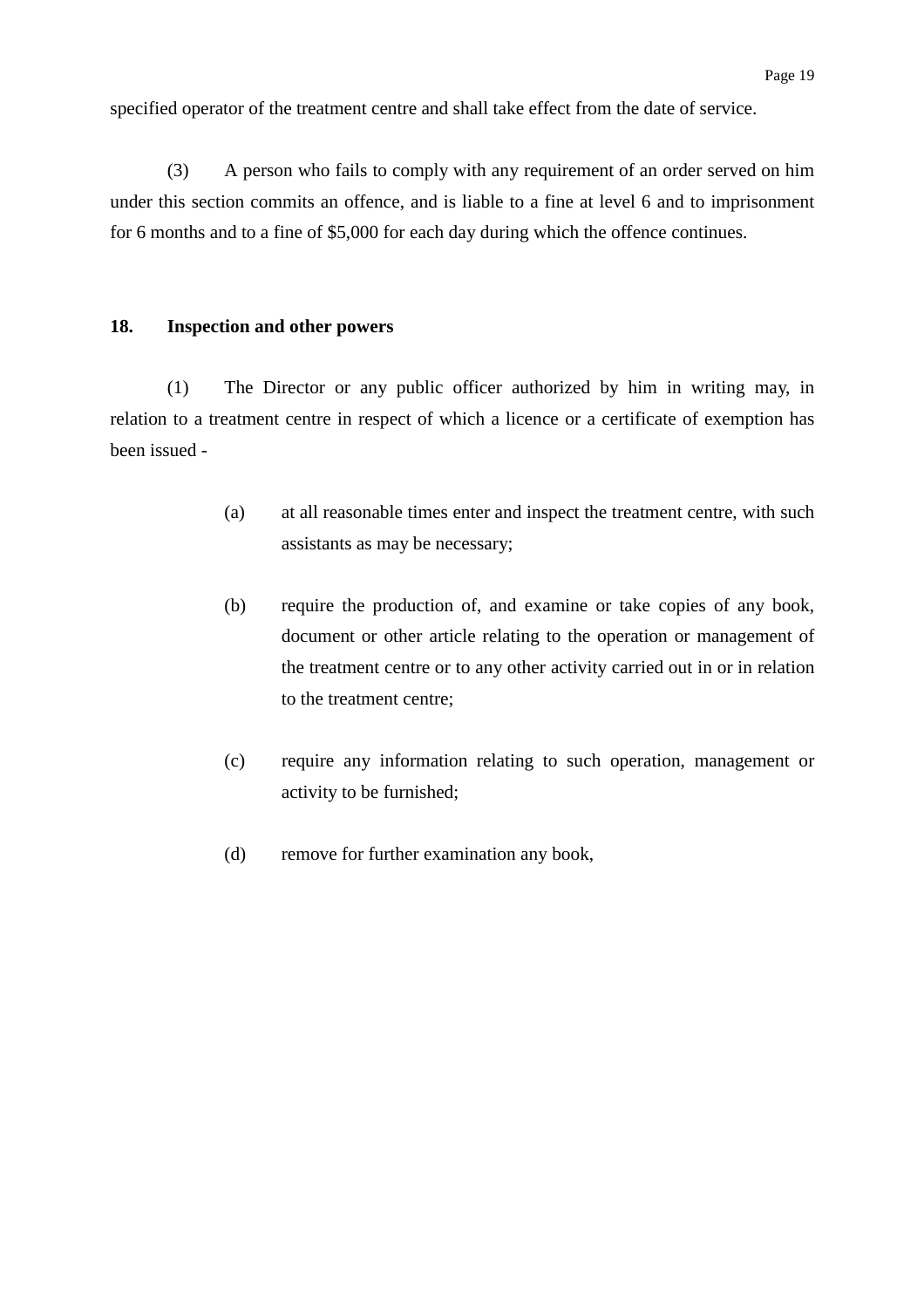specified operator of the treatment centre and shall take effect from the date of service.

(3) A person who fails to comply with any requirement of an order served on him under this section commits an offence, and is liable to a fine at level 6 and to imprisonment for 6 months and to a fine of \$5,000 for each day during which the offence continues.

#### **18. Inspection and other powers**

(1) The Director or any public officer authorized by him in writing may, in relation to a treatment centre in respect of which a licence or a certificate of exemption has been issued -

- (a) at all reasonable times enter and inspect the treatment centre, with such assistants as may be necessary;
- (b) require the production of, and examine or take copies of any book, document or other article relating to the operation or management of the treatment centre or to any other activity carried out in or in relation to the treatment centre;
- (c) require any information relating to such operation, management or activity to be furnished;
- (d) remove for further examination any book,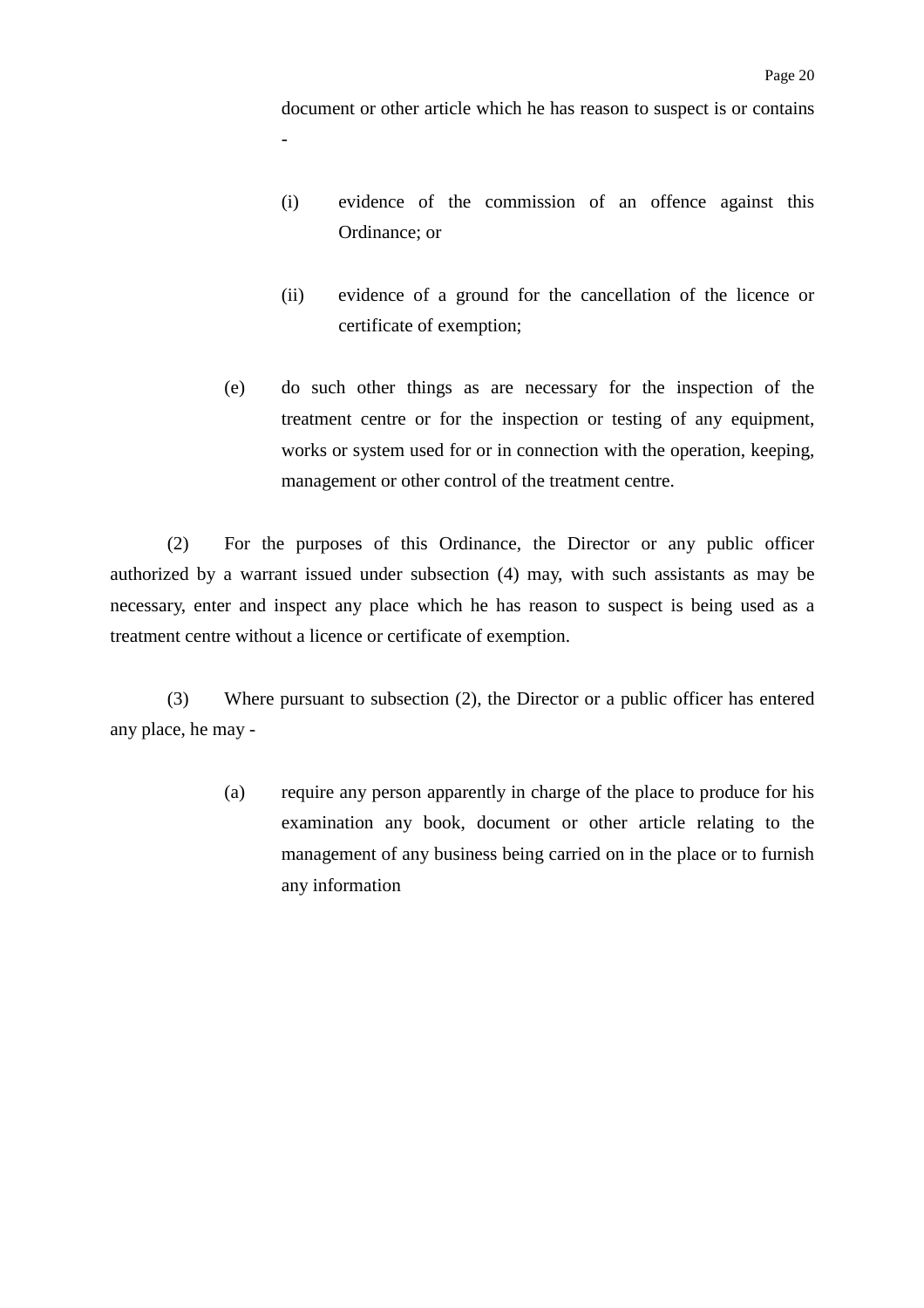document or other article which he has reason to suspect is or contains

- (i) evidence of the commission of an offence against this Ordinance; or
- (ii) evidence of a ground for the cancellation of the licence or certificate of exemption;
- (e) do such other things as are necessary for the inspection of the treatment centre or for the inspection or testing of any equipment, works or system used for or in connection with the operation, keeping, management or other control of the treatment centre.

(2) For the purposes of this Ordinance, the Director or any public officer authorized by a warrant issued under subsection (4) may, with such assistants as may be necessary, enter and inspect any place which he has reason to suspect is being used as a treatment centre without a licence or certificate of exemption.

-

(3) Where pursuant to subsection (2), the Director or a public officer has entered any place, he may -

> (a) require any person apparently in charge of the place to produce for his examination any book, document or other article relating to the management of any business being carried on in the place or to furnish any information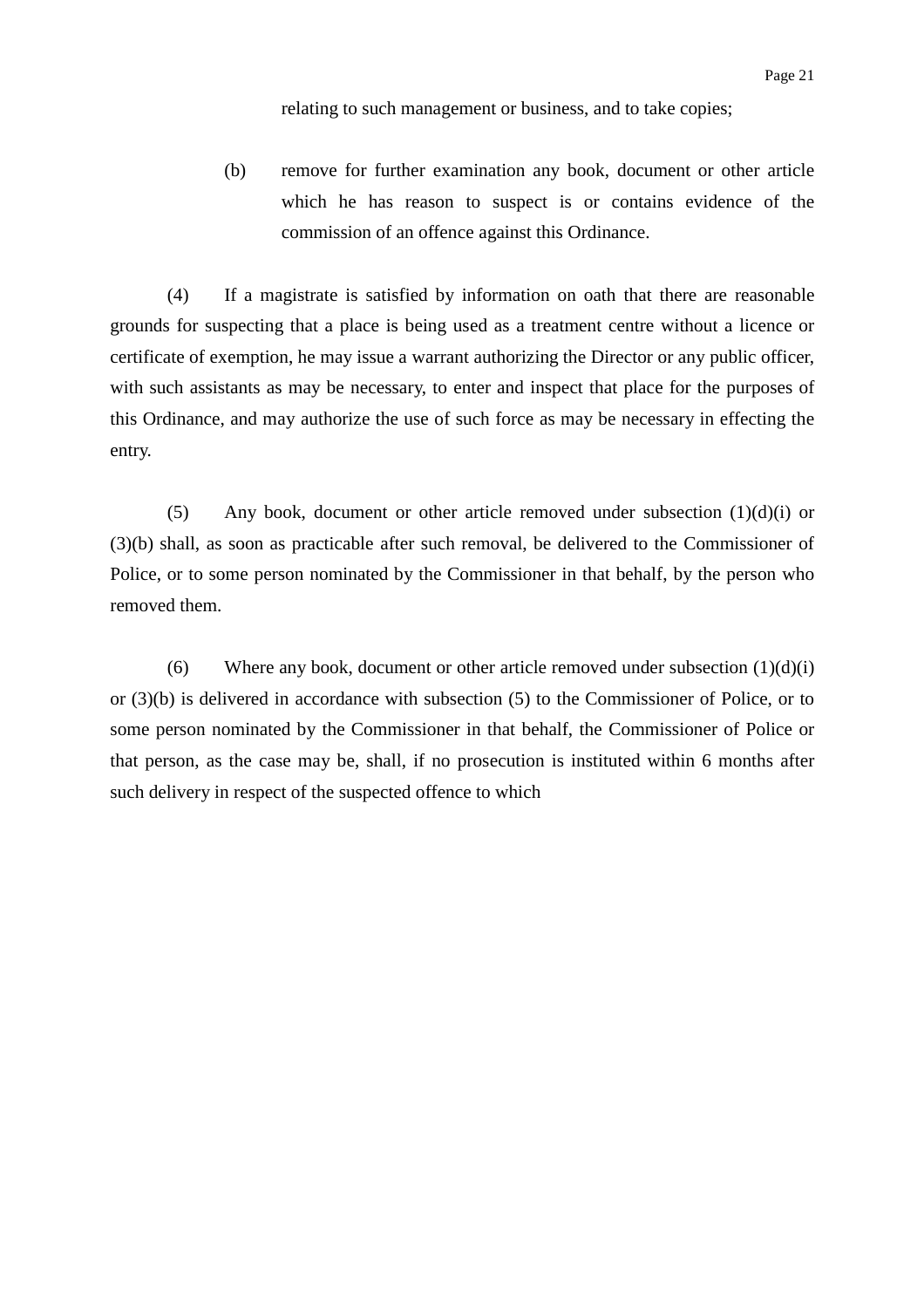relating to such management or business, and to take copies;

(b) remove for further examination any book, document or other article which he has reason to suspect is or contains evidence of the commission of an offence against this Ordinance.

(4) If a magistrate is satisfied by information on oath that there are reasonable grounds for suspecting that a place is being used as a treatment centre without a licence or certificate of exemption, he may issue a warrant authorizing the Director or any public officer, with such assistants as may be necessary, to enter and inspect that place for the purposes of this Ordinance, and may authorize the use of such force as may be necessary in effecting the entry.

(5) Any book, document or other article removed under subsection  $(1)(d)(i)$  or (3)(b) shall, as soon as practicable after such removal, be delivered to the Commissioner of Police, or to some person nominated by the Commissioner in that behalf, by the person who removed them.

(6) Where any book, document or other article removed under subsection  $(1)(d)(i)$ or (3)(b) is delivered in accordance with subsection (5) to the Commissioner of Police, or to some person nominated by the Commissioner in that behalf, the Commissioner of Police or that person, as the case may be, shall, if no prosecution is instituted within 6 months after such delivery in respect of the suspected offence to which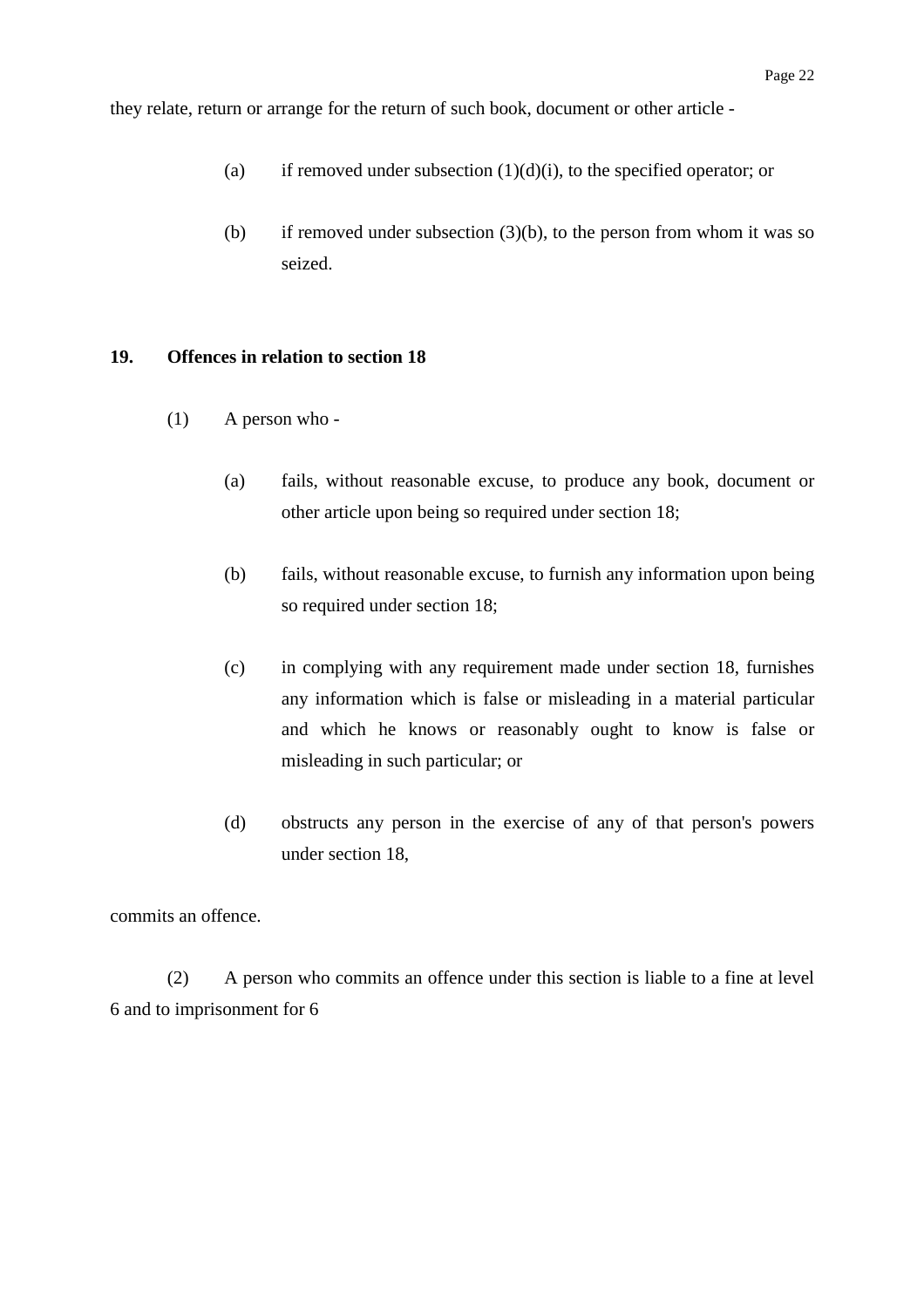- (a) if removed under subsection  $(1)(d)(i)$ , to the specified operator; or
- (b) if removed under subsection  $(3)(b)$ , to the person from whom it was so seized.

#### **19. Offences in relation to section 18**

- (1) A person who
	- (a) fails, without reasonable excuse, to produce any book, document or other article upon being so required under section 18;
	- (b) fails, without reasonable excuse, to furnish any information upon being so required under section 18;
	- (c) in complying with any requirement made under section 18, furnishes any information which is false or misleading in a material particular and which he knows or reasonably ought to know is false or misleading in such particular; or
	- (d) obstructs any person in the exercise of any of that person's powers under section 18,

commits an offence.

(2) A person who commits an offence under this section is liable to a fine at level 6 and to imprisonment for 6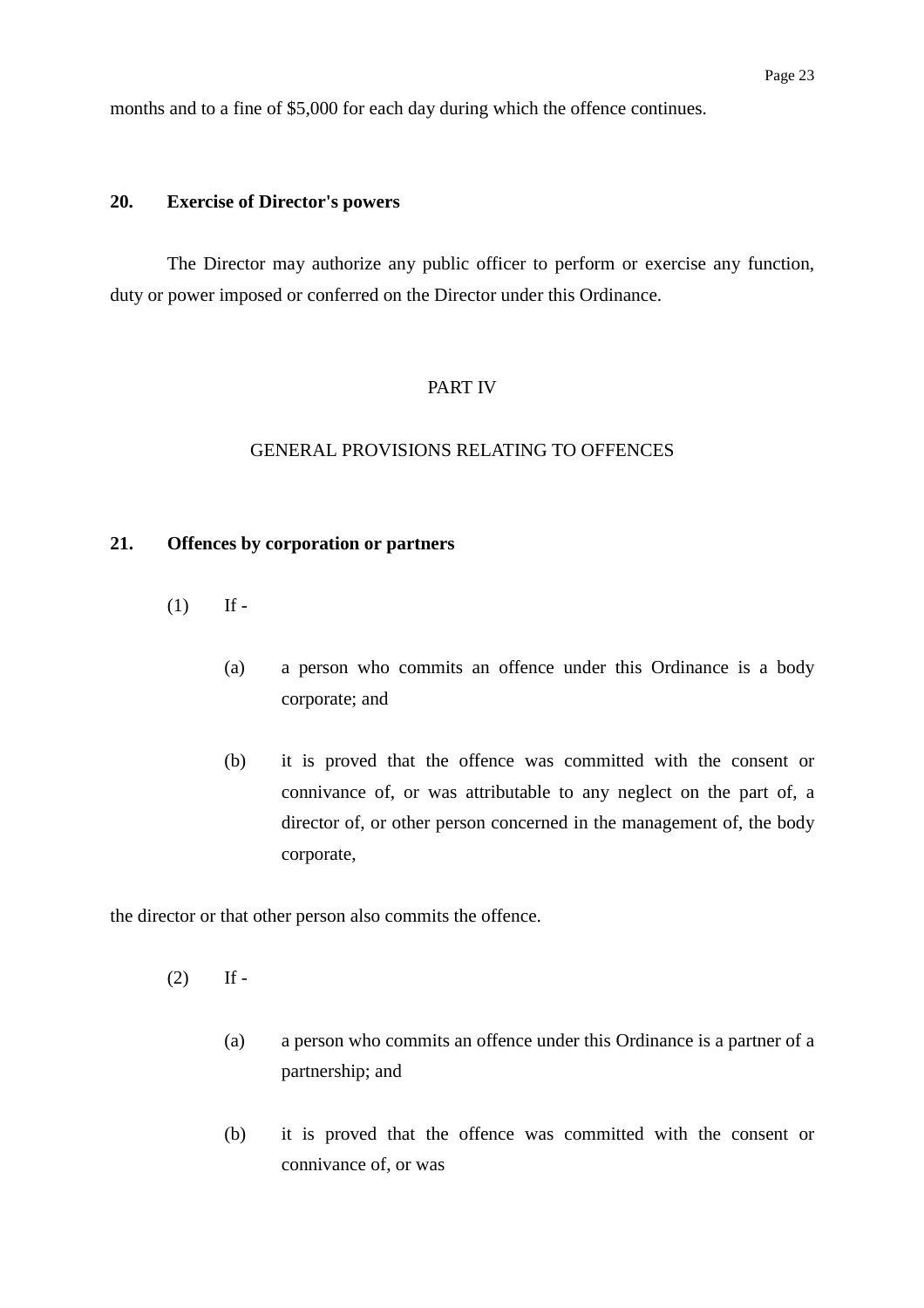months and to a fine of \$5,000 for each day during which the offence continues.

#### **20. Exercise of Director's powers**

The Director may authorize any public officer to perform or exercise any function, duty or power imposed or conferred on the Director under this Ordinance.

#### PART IV

#### GENERAL PROVISIONS RELATING TO OFFENCES

### **21. Offences by corporation or partners**

- $(1)$  If -
	- (a) a person who commits an offence under this Ordinance is a body corporate; and
	- (b) it is proved that the offence was committed with the consent or connivance of, or was attributable to any neglect on the part of, a director of, or other person concerned in the management of, the body corporate,

the director or that other person also commits the offence.

- $(2)$  If -
	- (a) a person who commits an offence under this Ordinance is a partner of a partnership; and
	- (b) it is proved that the offence was committed with the consent or connivance of, or was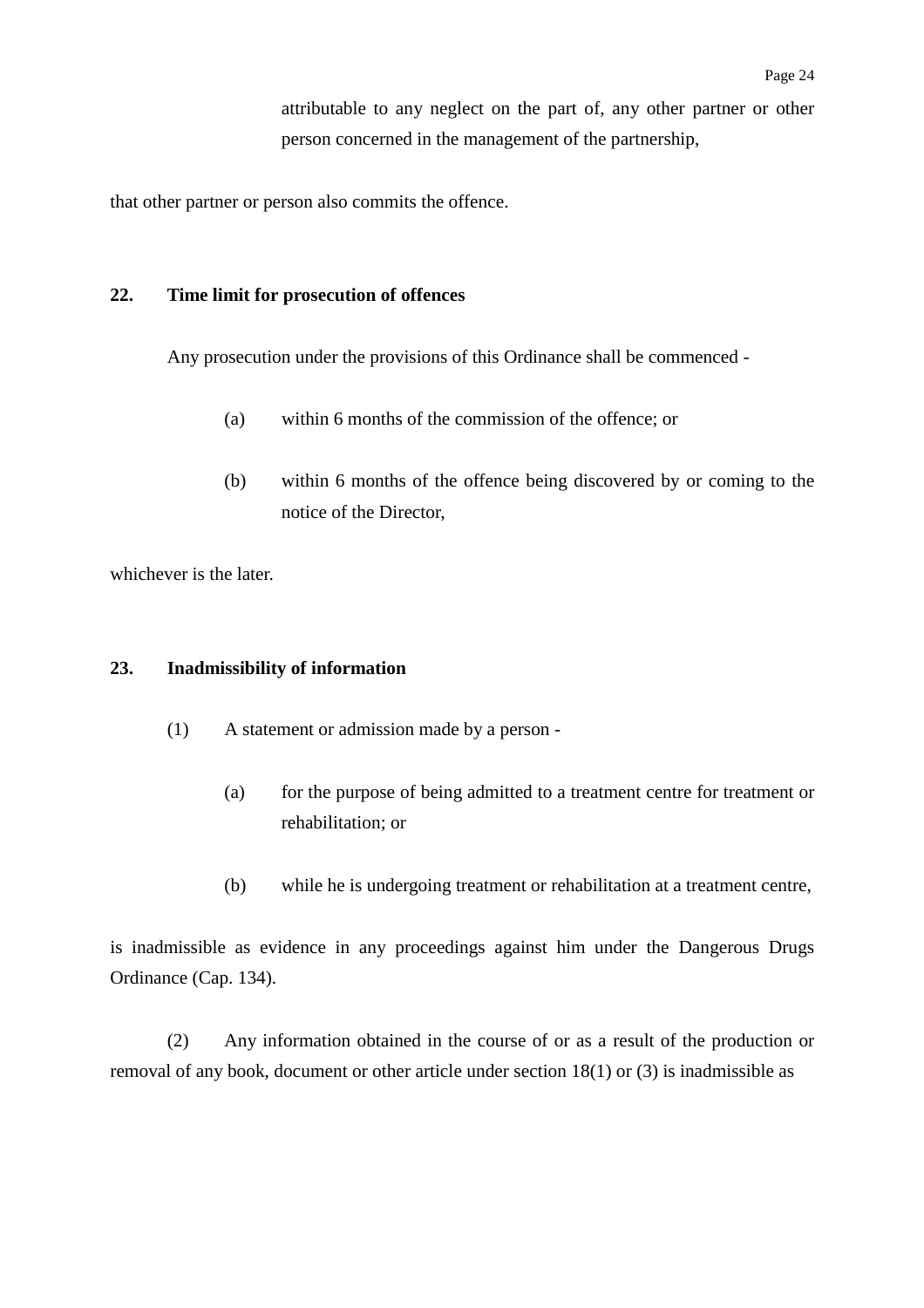attributable to any neglect on the part of, any other partner or other person concerned in the management of the partnership,

that other partner or person also commits the offence.

#### **22. Time limit for prosecution of offences**

Any prosecution under the provisions of this Ordinance shall be commenced -

- (a) within 6 months of the commission of the offence; or
- (b) within 6 months of the offence being discovered by or coming to the notice of the Director,

whichever is the later.

#### **23. Inadmissibility of information**

- (1) A statement or admission made by a person
	- (a) for the purpose of being admitted to a treatment centre for treatment or rehabilitation; or
	- (b) while he is undergoing treatment or rehabilitation at a treatment centre,

is inadmissible as evidence in any proceedings against him under the Dangerous Drugs Ordinance (Cap. 134).

(2) Any information obtained in the course of or as a result of the production or removal of any book, document or other article under section 18(1) or (3) is inadmissible as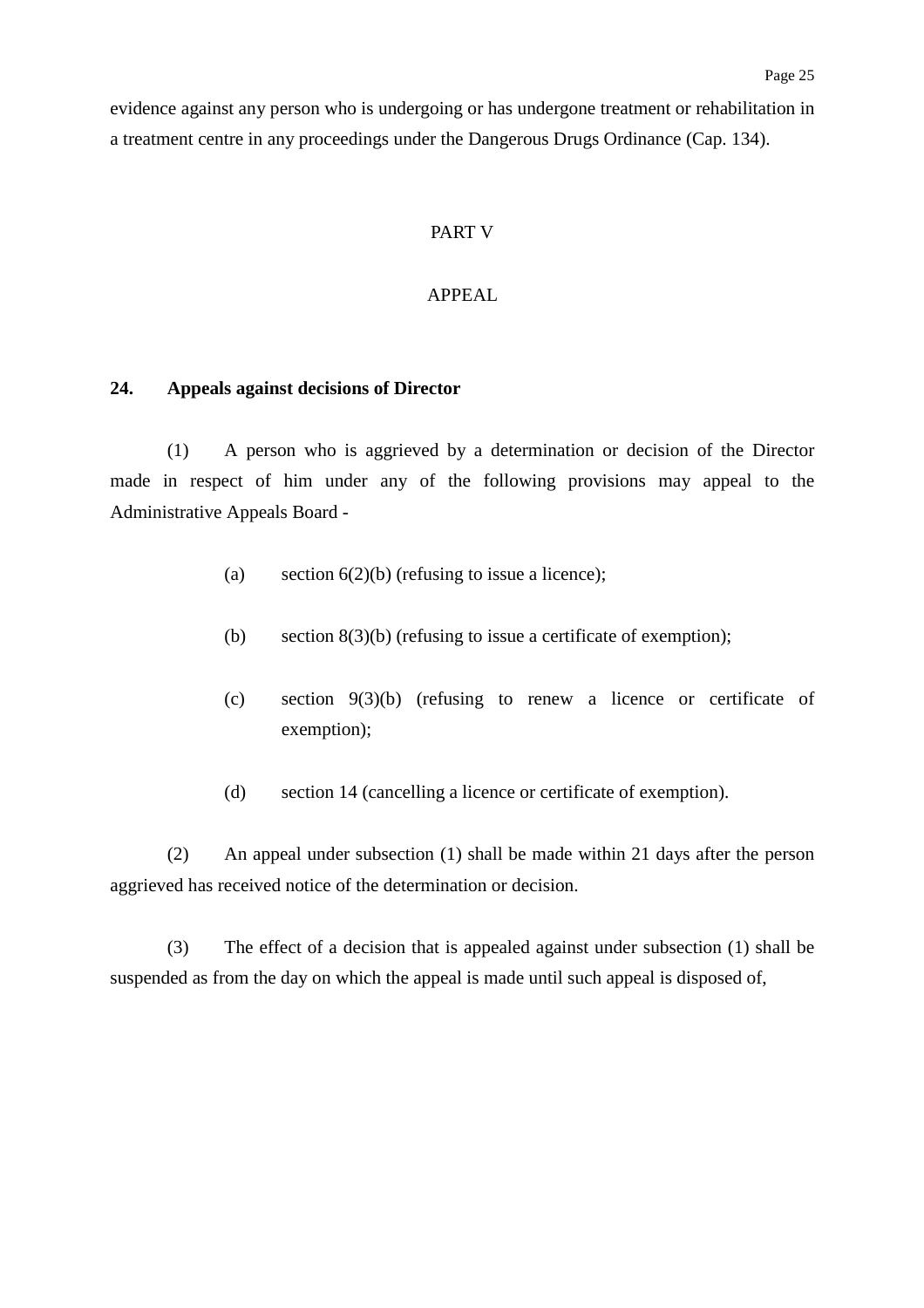evidence against any person who is undergoing or has undergone treatment or rehabilitation in a treatment centre in any proceedings under the Dangerous Drugs Ordinance (Cap. 134).

#### PART V

#### APPEAL

#### **24. Appeals against decisions of Director**

(1) A person who is aggrieved by a determination or decision of the Director made in respect of him under any of the following provisions may appeal to the Administrative Appeals Board -

- (a) section  $6(2)(b)$  (refusing to issue a licence);
- (b) section  $8(3)(b)$  (refusing to issue a certificate of exemption);
- (c) section 9(3)(b) (refusing to renew a licence or certificate of exemption);
- (d) section 14 (cancelling a licence or certificate of exemption).

(2) An appeal under subsection (1) shall be made within 21 days after the person aggrieved has received notice of the determination or decision.

(3) The effect of a decision that is appealed against under subsection (1) shall be suspended as from the day on which the appeal is made until such appeal is disposed of,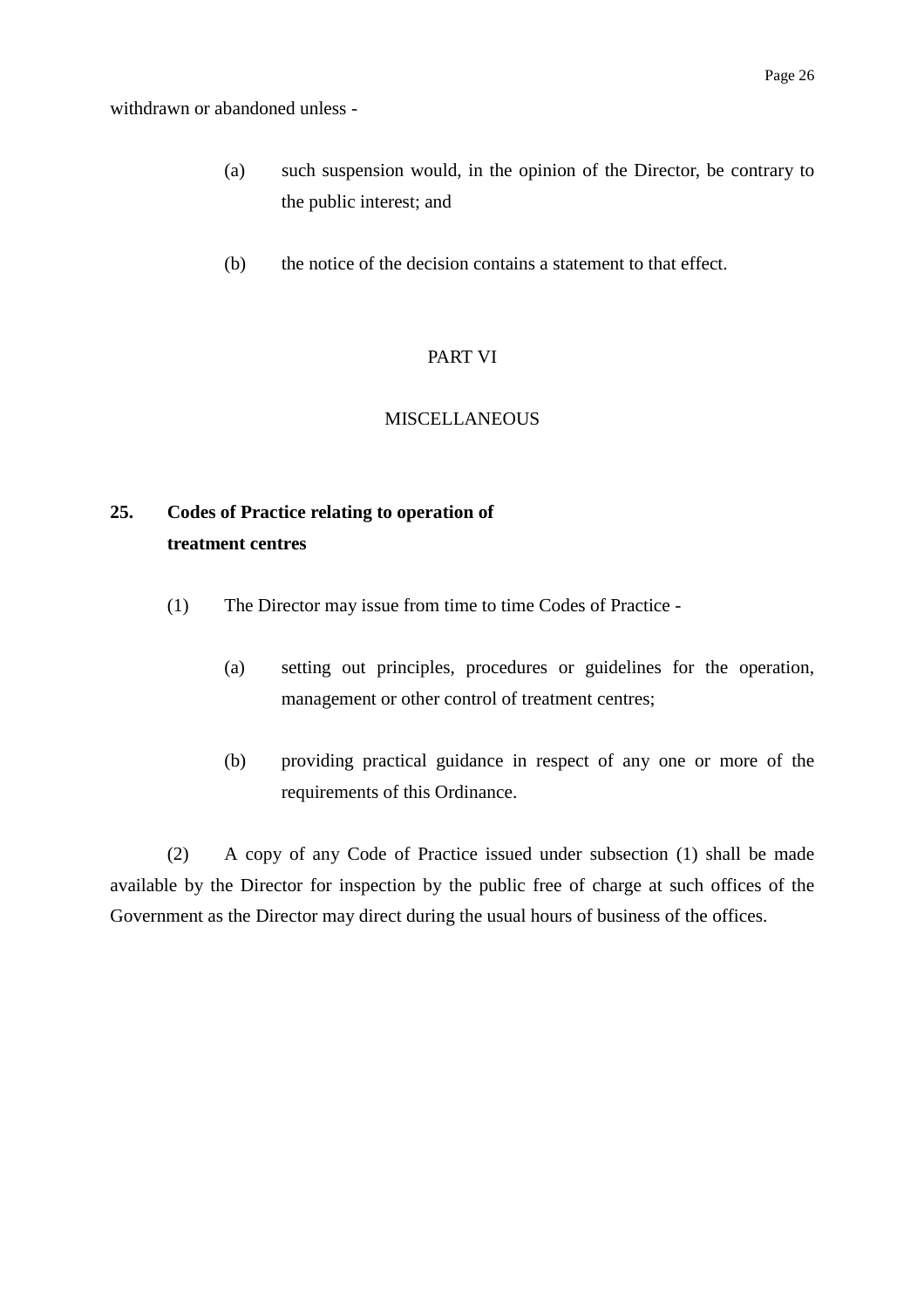- (a) such suspension would, in the opinion of the Director, be contrary to the public interest; and
- (b) the notice of the decision contains a statement to that effect.

# PART VI

## **MISCELLANEOUS**

# **25. Codes of Practice relating to operation of treatment centres**

- (1) The Director may issue from time to time Codes of Practice
	- (a) setting out principles, procedures or guidelines for the operation, management or other control of treatment centres;
	- (b) providing practical guidance in respect of any one or more of the requirements of this Ordinance.

(2) A copy of any Code of Practice issued under subsection (1) shall be made available by the Director for inspection by the public free of charge at such offices of the Government as the Director may direct during the usual hours of business of the offices.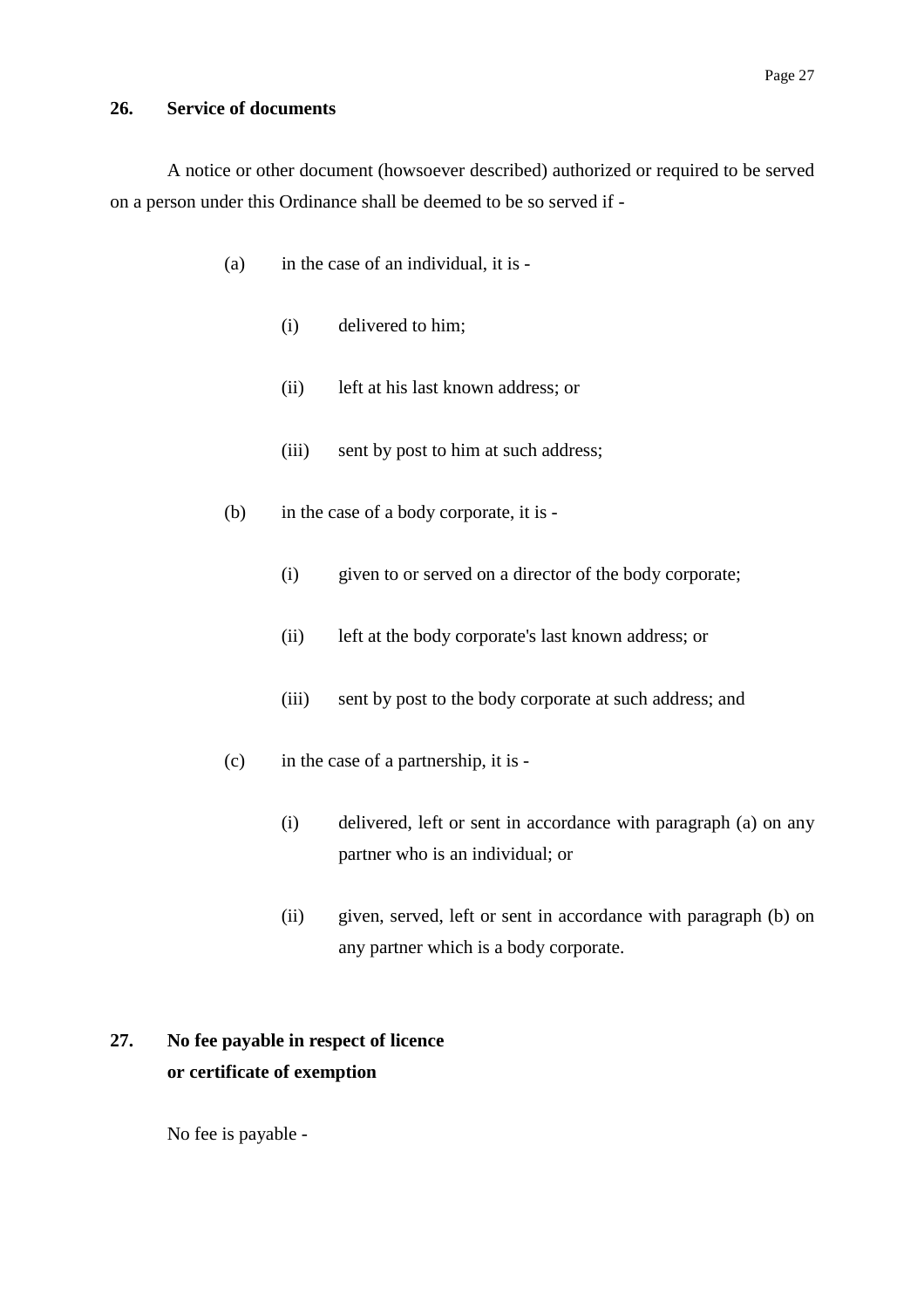#### **26. Service of documents**

A notice or other document (howsoever described) authorized or required to be served on a person under this Ordinance shall be deemed to be so served if -

- (a) in the case of an individual, it is
	- (i) delivered to him;
	- (ii) left at his last known address; or
	- (iii) sent by post to him at such address;
- (b) in the case of a body corporate, it is
	- (i) given to or served on a director of the body corporate;
	- (ii) left at the body corporate's last known address; or
	- (iii) sent by post to the body corporate at such address; and
- (c) in the case of a partnership, it is
	- (i) delivered, left or sent in accordance with paragraph (a) on any partner who is an individual; or
	- (ii) given, served, left or sent in accordance with paragraph (b) on any partner which is a body corporate.

# **27. No fee payable in respect of licence or certificate of exemption**

No fee is payable -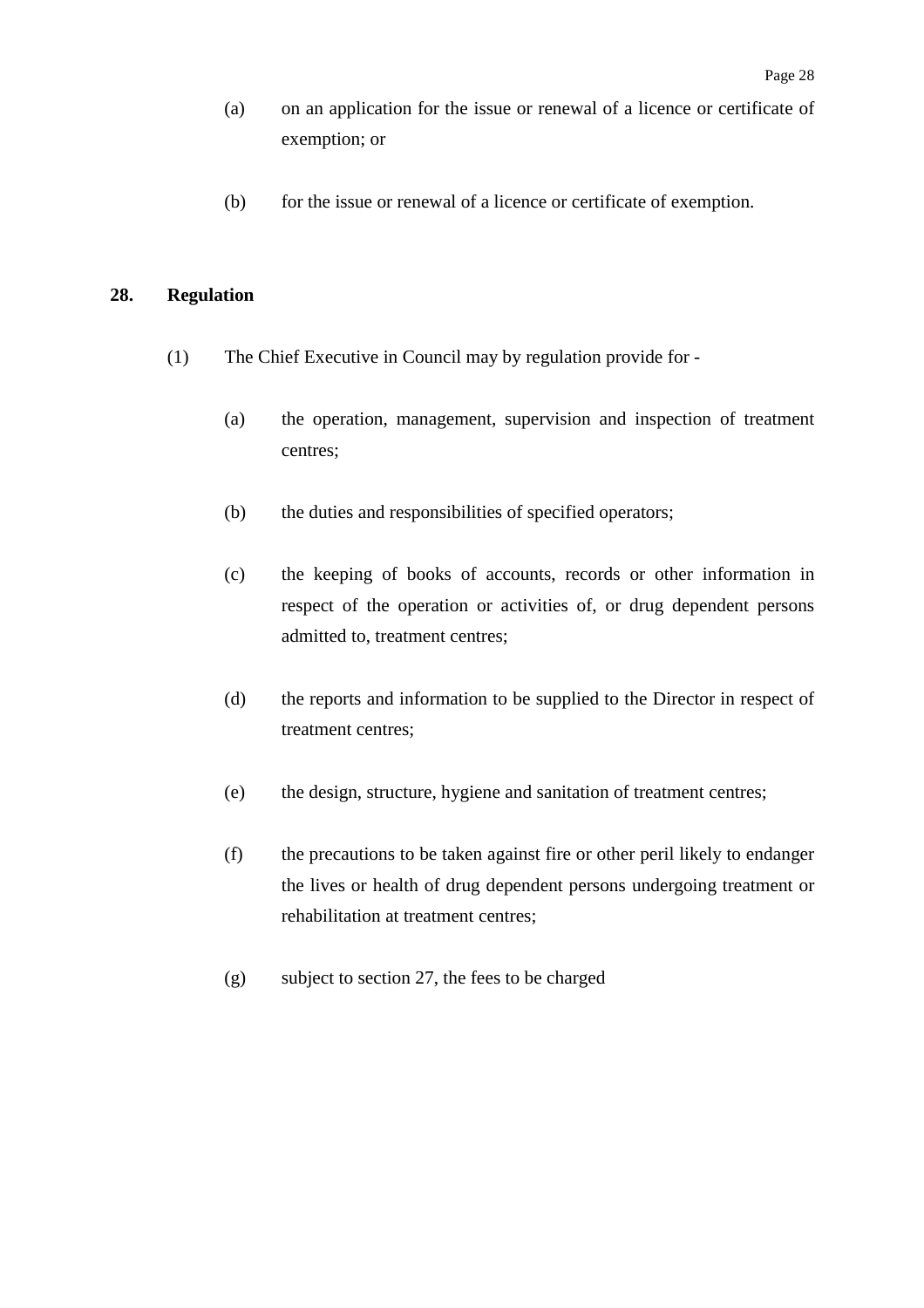- (a) on an application for the issue or renewal of a licence or certificate of exemption; or
- (b) for the issue or renewal of a licence or certificate of exemption.

#### **28. Regulation**

- (1) The Chief Executive in Council may by regulation provide for
	- (a) the operation, management, supervision and inspection of treatment centres;
	- (b) the duties and responsibilities of specified operators;
	- (c) the keeping of books of accounts, records or other information in respect of the operation or activities of, or drug dependent persons admitted to, treatment centres;
	- (d) the reports and information to be supplied to the Director in respect of treatment centres;
	- (e) the design, structure, hygiene and sanitation of treatment centres;
	- (f) the precautions to be taken against fire or other peril likely to endanger the lives or health of drug dependent persons undergoing treatment or rehabilitation at treatment centres;
	- (g) subject to section 27, the fees to be charged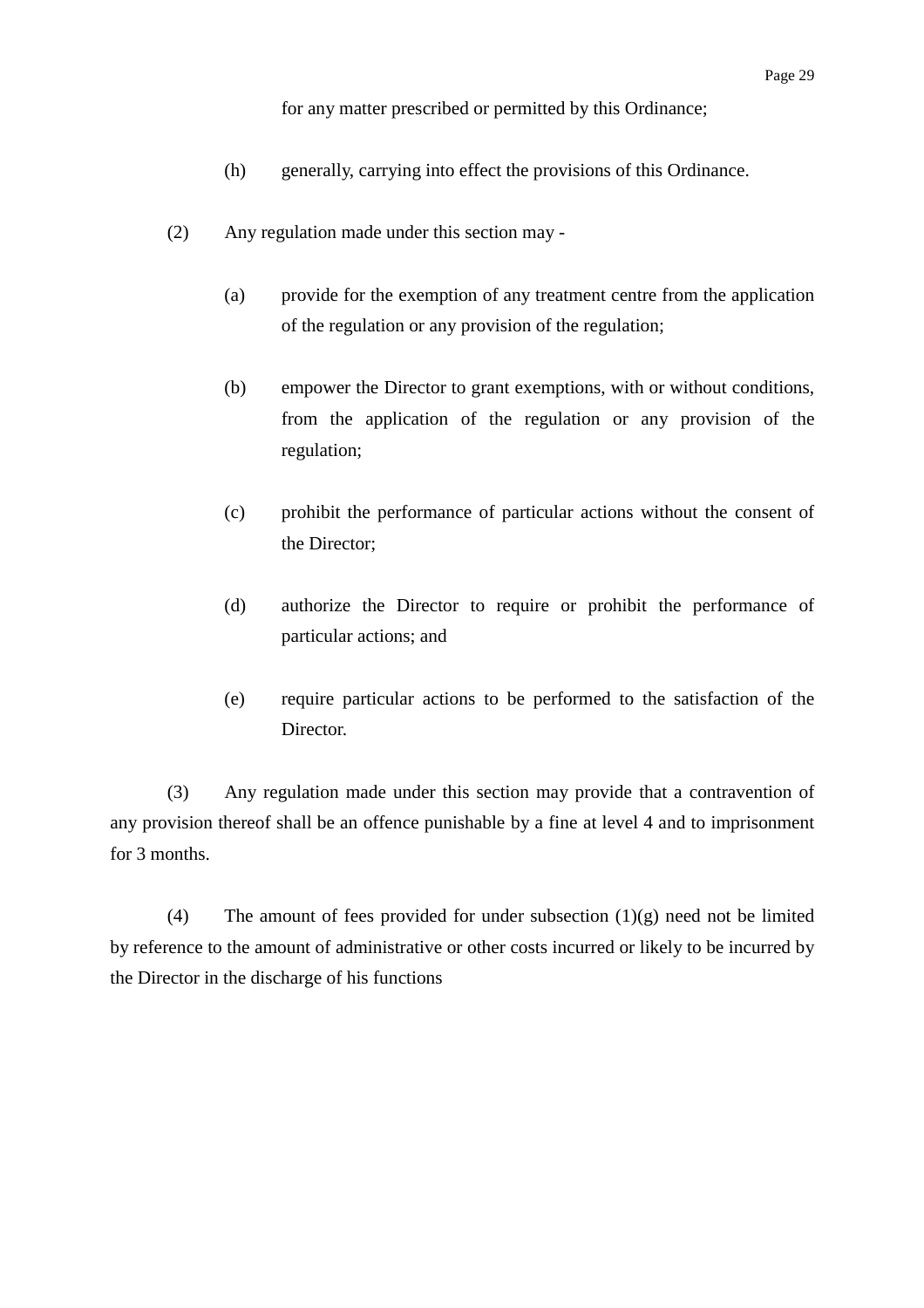for any matter prescribed or permitted by this Ordinance;

- (h) generally, carrying into effect the provisions of this Ordinance.
- (2) Any regulation made under this section may
	- (a) provide for the exemption of any treatment centre from the application of the regulation or any provision of the regulation;
	- (b) empower the Director to grant exemptions, with or without conditions, from the application of the regulation or any provision of the regulation;
	- (c) prohibit the performance of particular actions without the consent of the Director;
	- (d) authorize the Director to require or prohibit the performance of particular actions; and
	- (e) require particular actions to be performed to the satisfaction of the Director.

(3) Any regulation made under this section may provide that a contravention of any provision thereof shall be an offence punishable by a fine at level 4 and to imprisonment for 3 months.

(4) The amount of fees provided for under subsection  $(1)(g)$  need not be limited by reference to the amount of administrative or other costs incurred or likely to be incurred by the Director in the discharge of his functions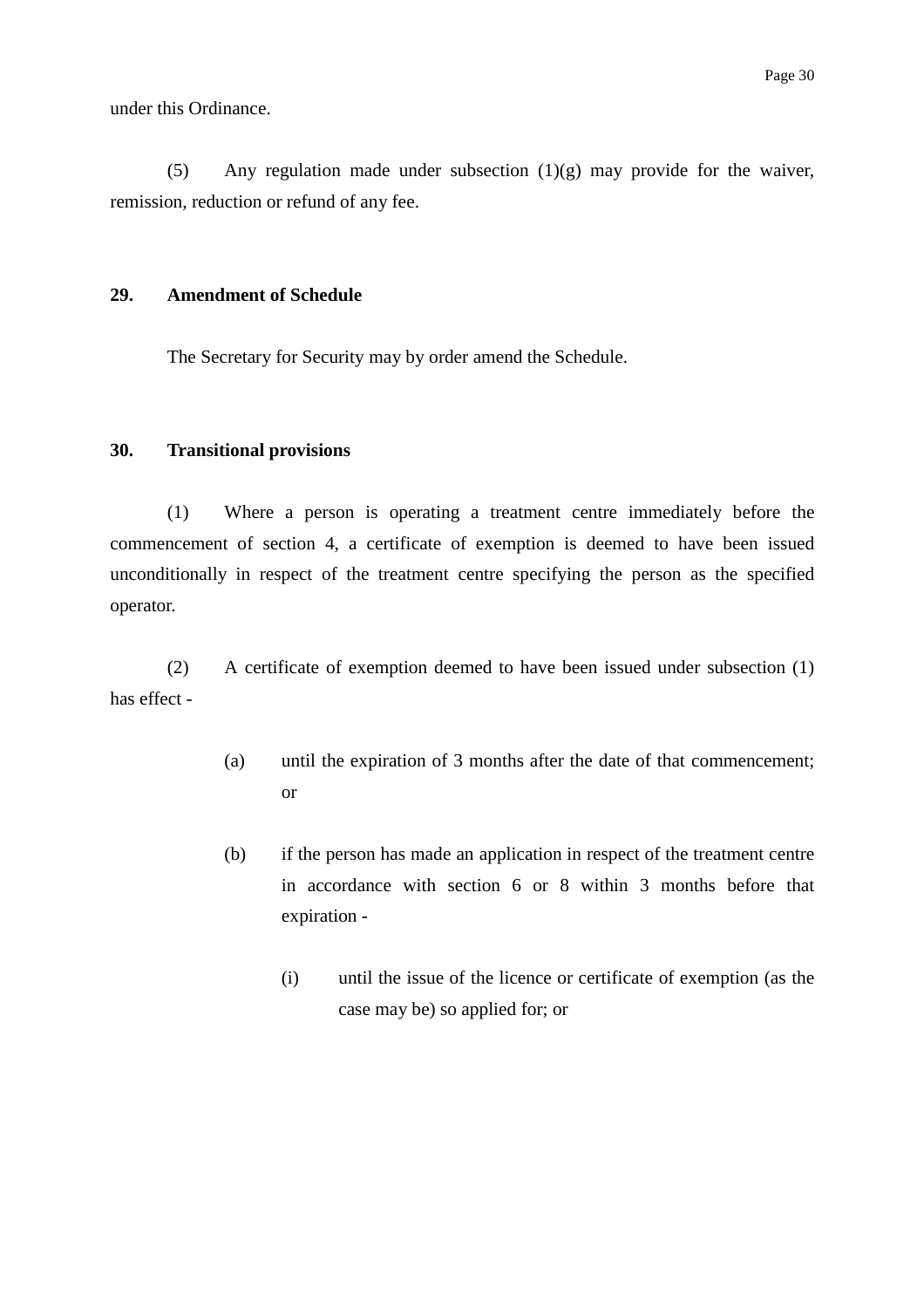under this Ordinance.

(5) Any regulation made under subsection  $(1)(g)$  may provide for the waiver, remission, reduction or refund of any fee.

#### **29. Amendment of Schedule**

The Secretary for Security may by order amend the Schedule.

#### **30. Transitional provisions**

(1) Where a person is operating a treatment centre immediately before the commencement of section 4, a certificate of exemption is deemed to have been issued unconditionally in respect of the treatment centre specifying the person as the specified operator.

(2) A certificate of exemption deemed to have been issued under subsection (1) has effect -

- (a) until the expiration of 3 months after the date of that commencement; or
- (b) if the person has made an application in respect of the treatment centre in accordance with section 6 or 8 within 3 months before that expiration -
	- (i) until the issue of the licence or certificate of exemption (as the case may be) so applied for; or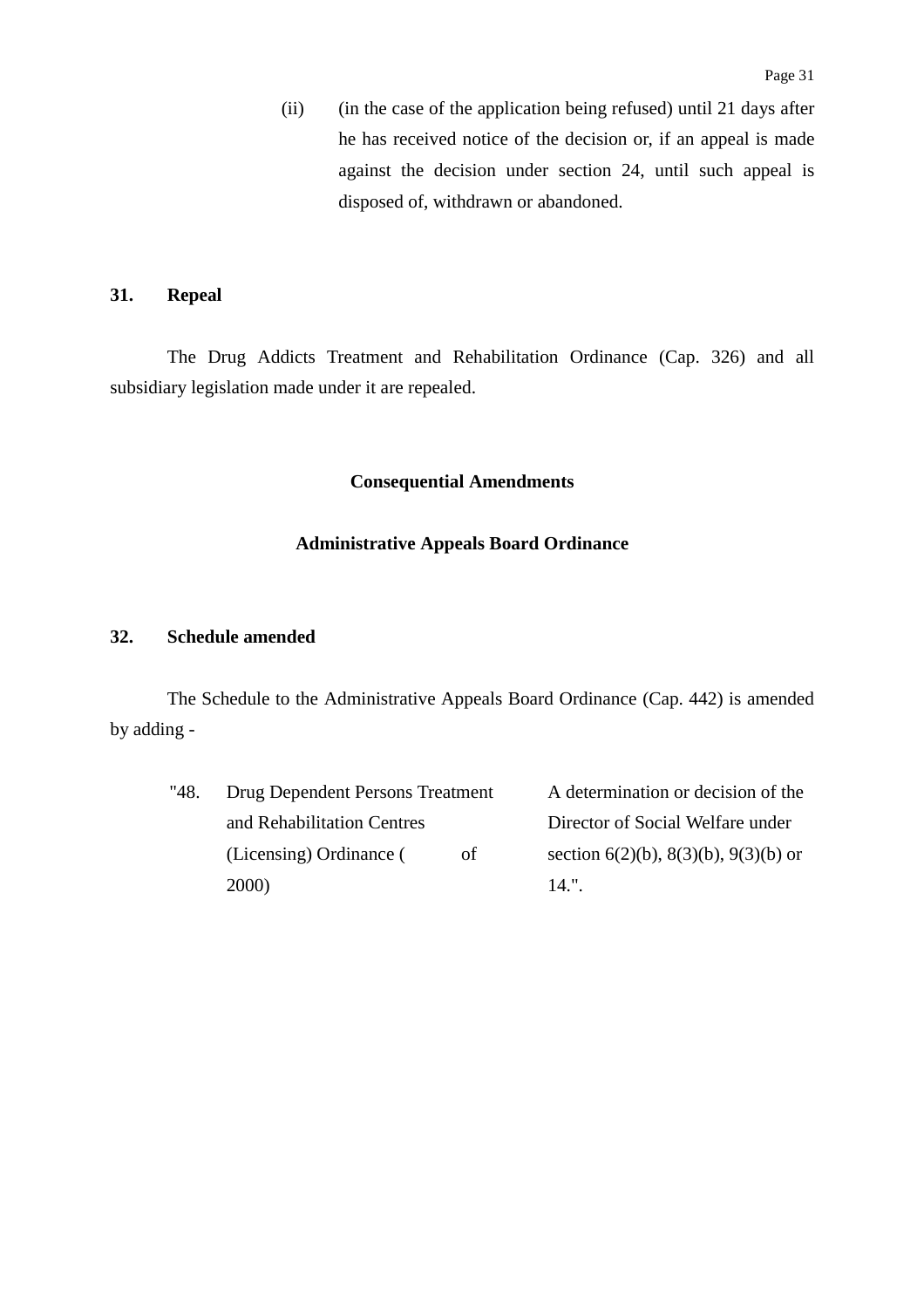(ii) (in the case of the application being refused) until 21 days after he has received notice of the decision or, if an appeal is made against the decision under section 24, until such appeal is disposed of, withdrawn or abandoned.

#### **31. Repeal**

The Drug Addicts Treatment and Rehabilitation Ordinance (Cap. 326) and all subsidiary legislation made under it are repealed.

### **Consequential Amendments**

### **Administrative Appeals Board Ordinance**

### **32. Schedule amended**

The Schedule to the Administrative Appeals Board Ordinance (Cap. 442) is amended by adding -

| "48. | Drug Dependent Persons Treatment | A determination or decision of the |                                      |
|------|----------------------------------|------------------------------------|--------------------------------------|
|      | and Rehabilitation Centres       |                                    | Director of Social Welfare under     |
|      | (Licensing) Ordinance (          | of                                 | section 6(2)(b), 8(3)(b), 9(3)(b) or |
|      | <b>2000</b> )                    |                                    | 14."                                 |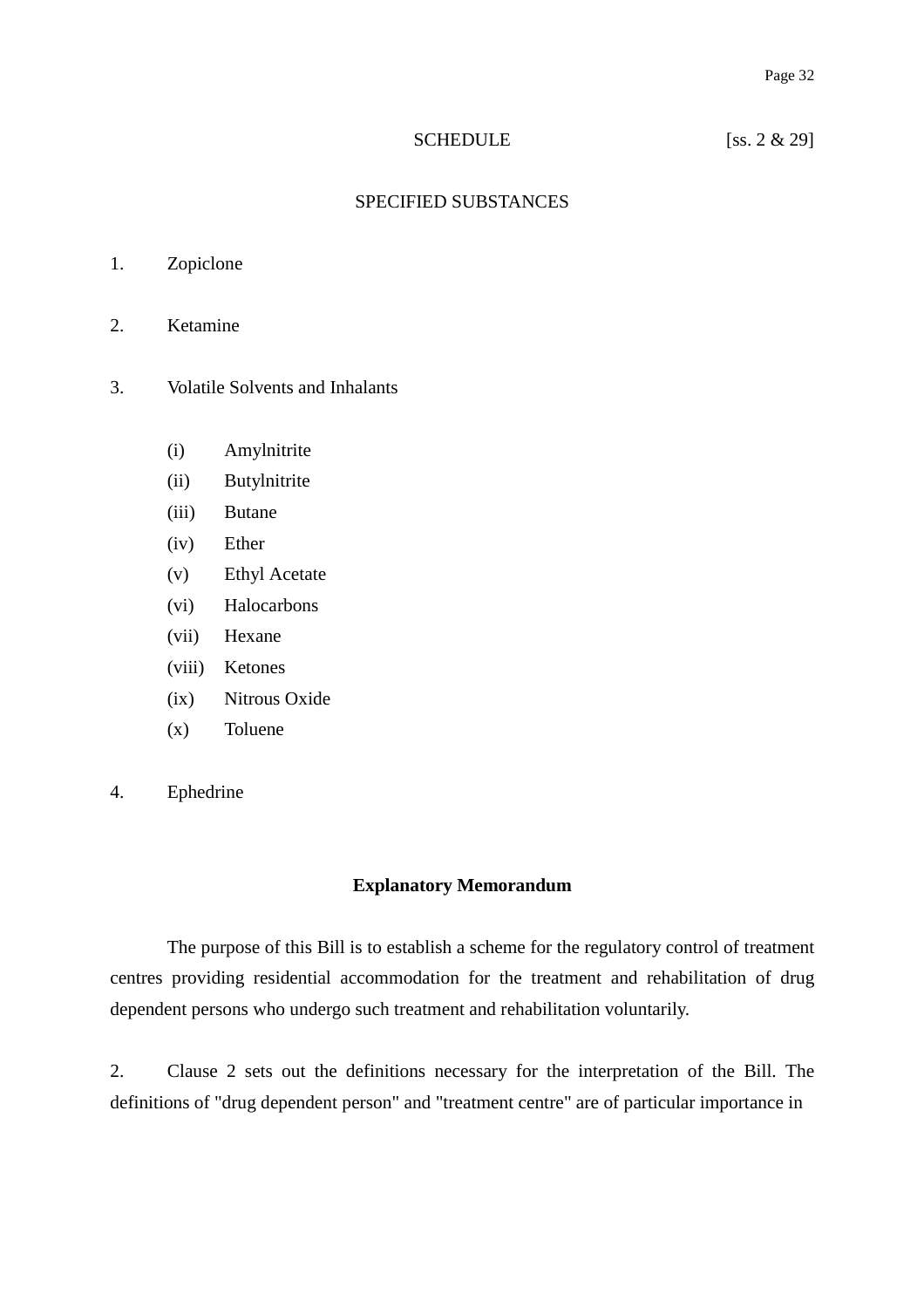### SCHEDULE [ss. 2 & 29]

### SPECIFIED SUBSTANCES

- 1. Zopiclone
- 2. Ketamine
- 3. Volatile Solvents and Inhalants
	- (i) Amylnitrite
	- (ii) Butylnitrite
	- (iii) Butane
	- (iv) Ether
	- (v) Ethyl Acetate
	- (vi) Halocarbons
	- (vii) Hexane
	- (viii) Ketones
	- (ix) Nitrous Oxide
	- (x) Toluene
- 4. Ephedrine

#### **Explanatory Memorandum**

The purpose of this Bill is to establish a scheme for the regulatory control of treatment centres providing residential accommodation for the treatment and rehabilitation of drug dependent persons who undergo such treatment and rehabilitation voluntarily.

2. Clause 2 sets out the definitions necessary for the interpretation of the Bill. The definitions of "drug dependent person" and "treatment centre" are of particular importance in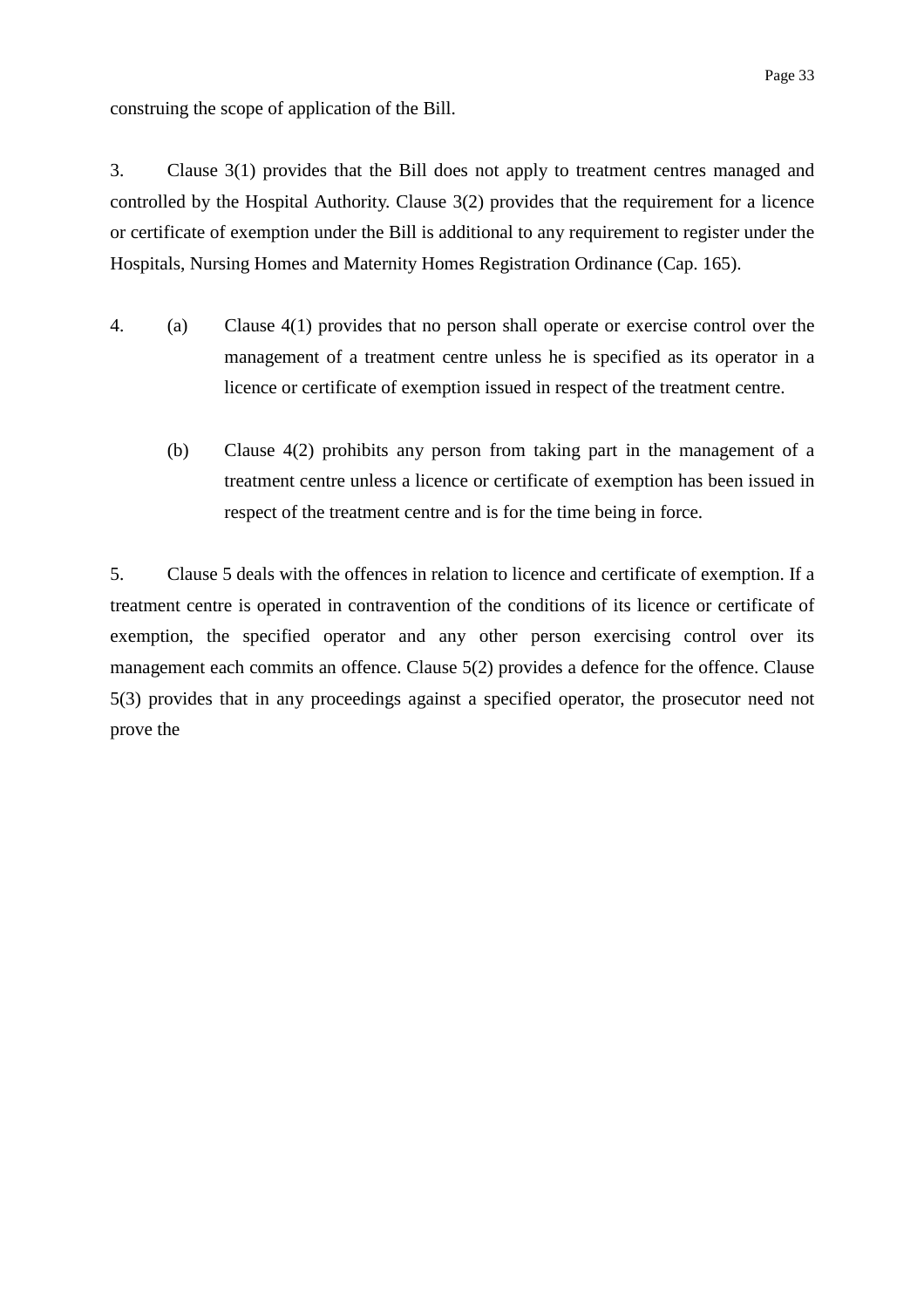construing the scope of application of the Bill.

3. Clause 3(1) provides that the Bill does not apply to treatment centres managed and controlled by the Hospital Authority. Clause 3(2) provides that the requirement for a licence or certificate of exemption under the Bill is additional to any requirement to register under the Hospitals, Nursing Homes and Maternity Homes Registration Ordinance (Cap. 165).

- 4. (a) Clause 4(1) provides that no person shall operate or exercise control over the management of a treatment centre unless he is specified as its operator in a licence or certificate of exemption issued in respect of the treatment centre.
	- (b) Clause 4(2) prohibits any person from taking part in the management of a treatment centre unless a licence or certificate of exemption has been issued in respect of the treatment centre and is for the time being in force.

5. Clause 5 deals with the offences in relation to licence and certificate of exemption. If a treatment centre is operated in contravention of the conditions of its licence or certificate of exemption, the specified operator and any other person exercising control over its management each commits an offence. Clause 5(2) provides a defence for the offence. Clause 5(3) provides that in any proceedings against a specified operator, the prosecutor need not prove the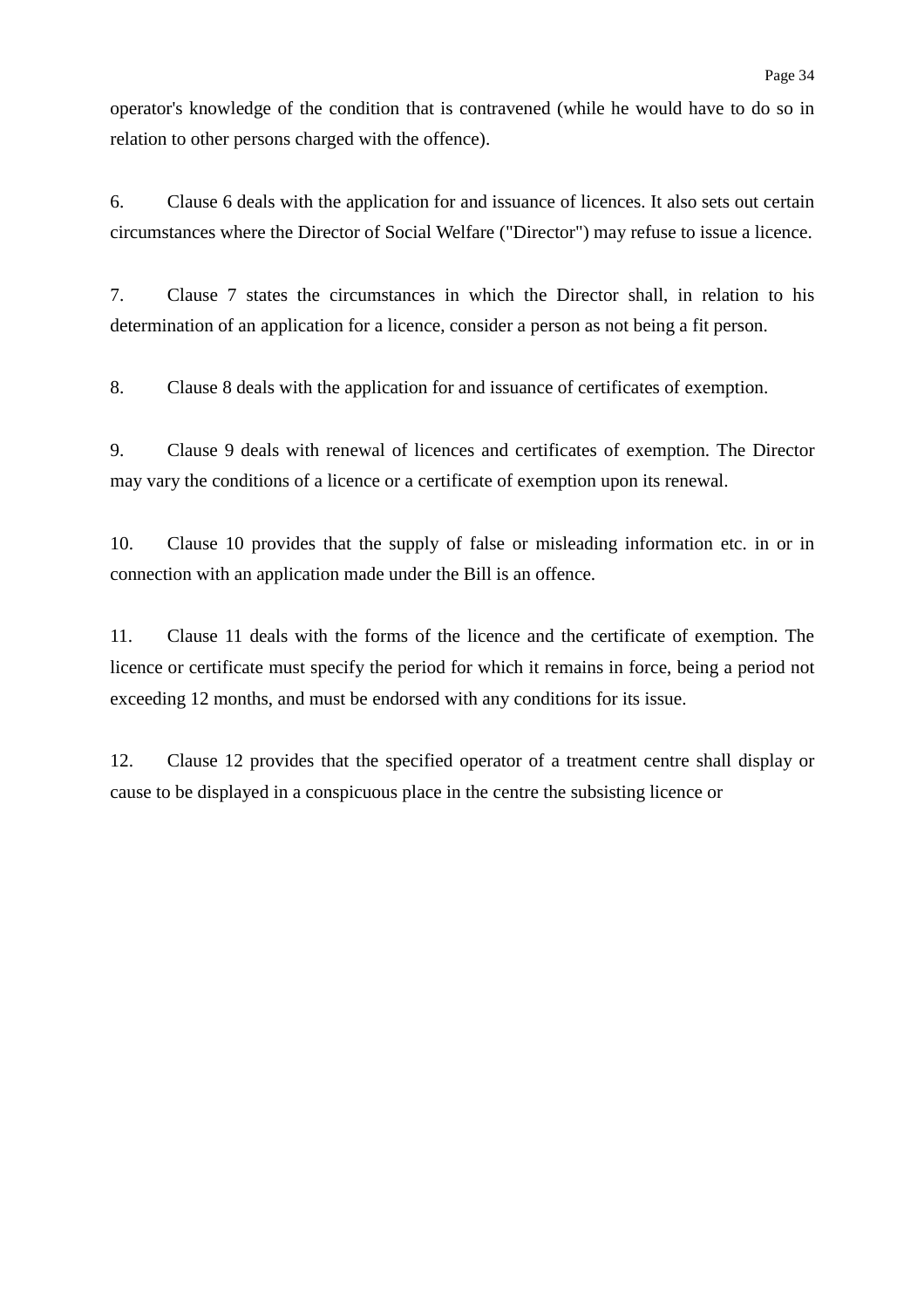operator's knowledge of the condition that is contravened (while he would have to do so in relation to other persons charged with the offence).

6. Clause 6 deals with the application for and issuance of licences. It also sets out certain circumstances where the Director of Social Welfare ("Director") may refuse to issue a licence.

7. Clause 7 states the circumstances in which the Director shall, in relation to his determination of an application for a licence, consider a person as not being a fit person.

8. Clause 8 deals with the application for and issuance of certificates of exemption.

9. Clause 9 deals with renewal of licences and certificates of exemption. The Director may vary the conditions of a licence or a certificate of exemption upon its renewal.

10. Clause 10 provides that the supply of false or misleading information etc. in or in connection with an application made under the Bill is an offence.

11. Clause 11 deals with the forms of the licence and the certificate of exemption. The licence or certificate must specify the period for which it remains in force, being a period not exceeding 12 months, and must be endorsed with any conditions for its issue.

12. Clause 12 provides that the specified operator of a treatment centre shall display or cause to be displayed in a conspicuous place in the centre the subsisting licence or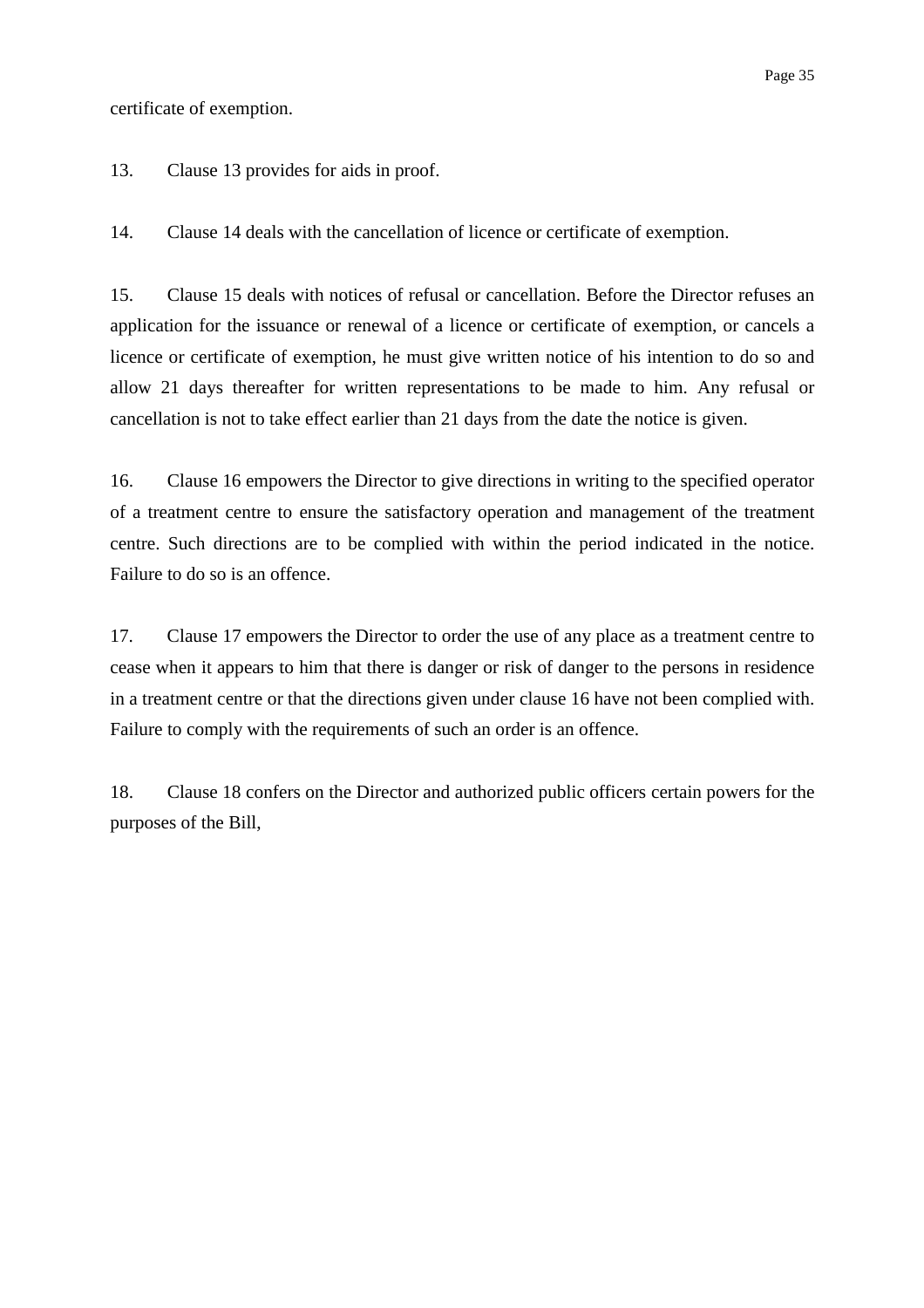certificate of exemption.

13. Clause 13 provides for aids in proof.

14. Clause 14 deals with the cancellation of licence or certificate of exemption.

15. Clause 15 deals with notices of refusal or cancellation. Before the Director refuses an application for the issuance or renewal of a licence or certificate of exemption, or cancels a licence or certificate of exemption, he must give written notice of his intention to do so and allow 21 days thereafter for written representations to be made to him. Any refusal or cancellation is not to take effect earlier than 21 days from the date the notice is given.

16. Clause 16 empowers the Director to give directions in writing to the specified operator of a treatment centre to ensure the satisfactory operation and management of the treatment centre. Such directions are to be complied with within the period indicated in the notice. Failure to do so is an offence.

17. Clause 17 empowers the Director to order the use of any place as a treatment centre to cease when it appears to him that there is danger or risk of danger to the persons in residence in a treatment centre or that the directions given under clause 16 have not been complied with. Failure to comply with the requirements of such an order is an offence.

18. Clause 18 confers on the Director and authorized public officers certain powers for the purposes of the Bill,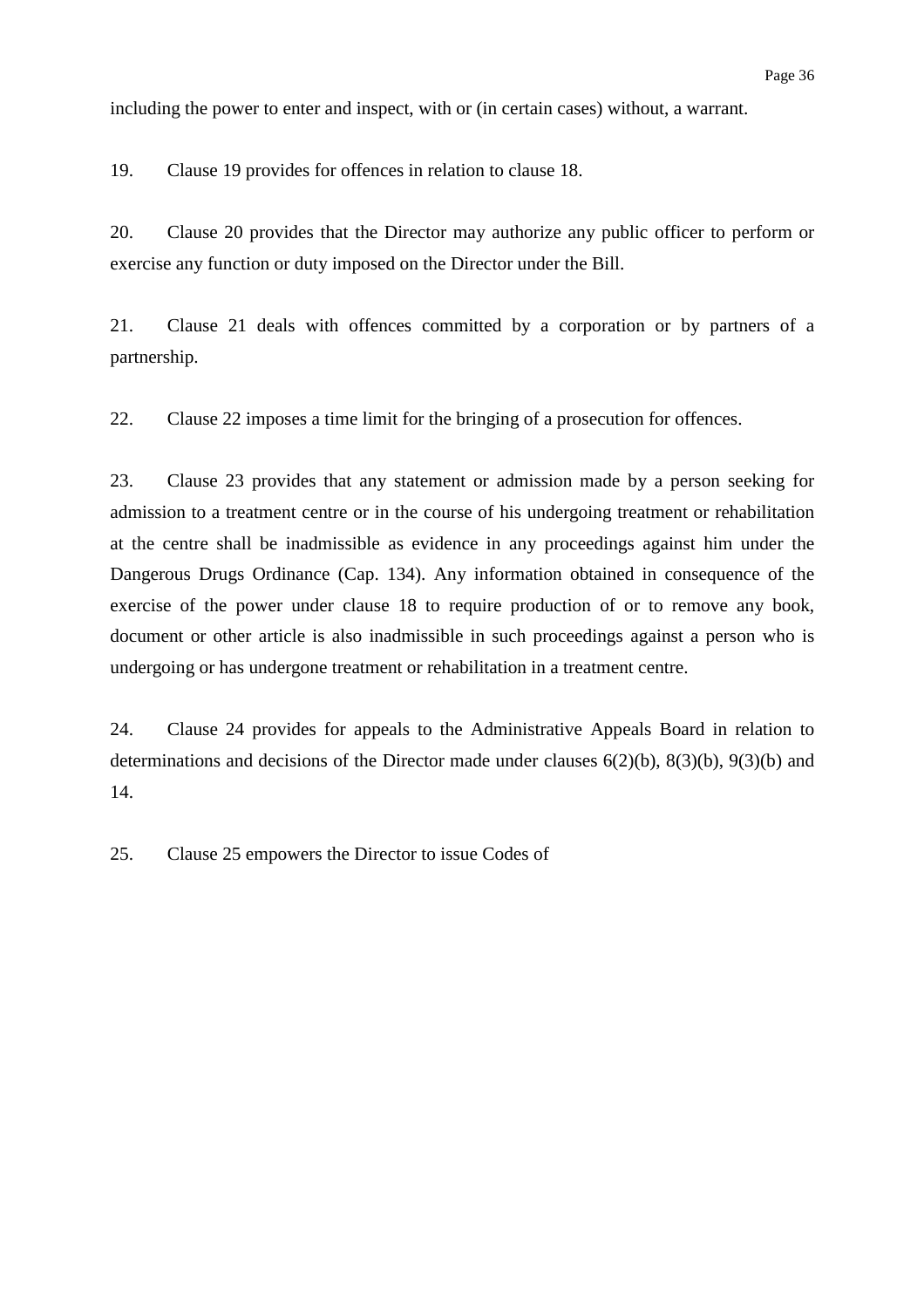including the power to enter and inspect, with or (in certain cases) without, a warrant.

19. Clause 19 provides for offences in relation to clause 18.

20. Clause 20 provides that the Director may authorize any public officer to perform or exercise any function or duty imposed on the Director under the Bill.

21. Clause 21 deals with offences committed by a corporation or by partners of a partnership.

22. Clause 22 imposes a time limit for the bringing of a prosecution for offences.

23. Clause 23 provides that any statement or admission made by a person seeking for admission to a treatment centre or in the course of his undergoing treatment or rehabilitation at the centre shall be inadmissible as evidence in any proceedings against him under the Dangerous Drugs Ordinance (Cap. 134). Any information obtained in consequence of the exercise of the power under clause 18 to require production of or to remove any book, document or other article is also inadmissible in such proceedings against a person who is undergoing or has undergone treatment or rehabilitation in a treatment centre.

24. Clause 24 provides for appeals to the Administrative Appeals Board in relation to determinations and decisions of the Director made under clauses 6(2)(b), 8(3)(b), 9(3)(b) and 14.

25. Clause 25 empowers the Director to issue Codes of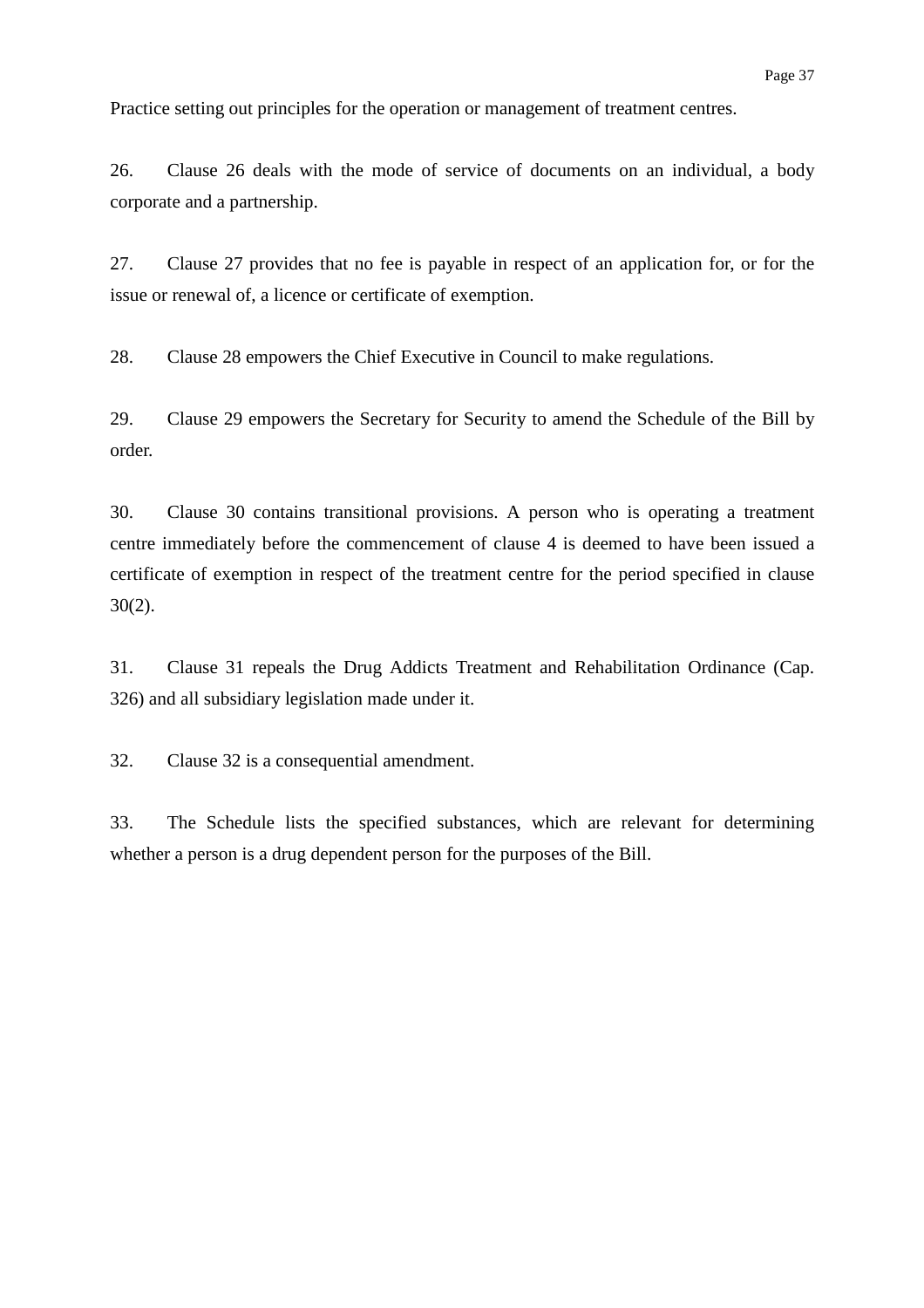Practice setting out principles for the operation or management of treatment centres.

26. Clause 26 deals with the mode of service of documents on an individual, a body corporate and a partnership.

27. Clause 27 provides that no fee is payable in respect of an application for, or for the issue or renewal of, a licence or certificate of exemption.

28. Clause 28 empowers the Chief Executive in Council to make regulations.

29. Clause 29 empowers the Secretary for Security to amend the Schedule of the Bill by order.

30. Clause 30 contains transitional provisions. A person who is operating a treatment centre immediately before the commencement of clause 4 is deemed to have been issued a certificate of exemption in respect of the treatment centre for the period specified in clause 30(2).

31. Clause 31 repeals the Drug Addicts Treatment and Rehabilitation Ordinance (Cap. 326) and all subsidiary legislation made under it.

32. Clause 32 is a consequential amendment.

33. The Schedule lists the specified substances, which are relevant for determining whether a person is a drug dependent person for the purposes of the Bill.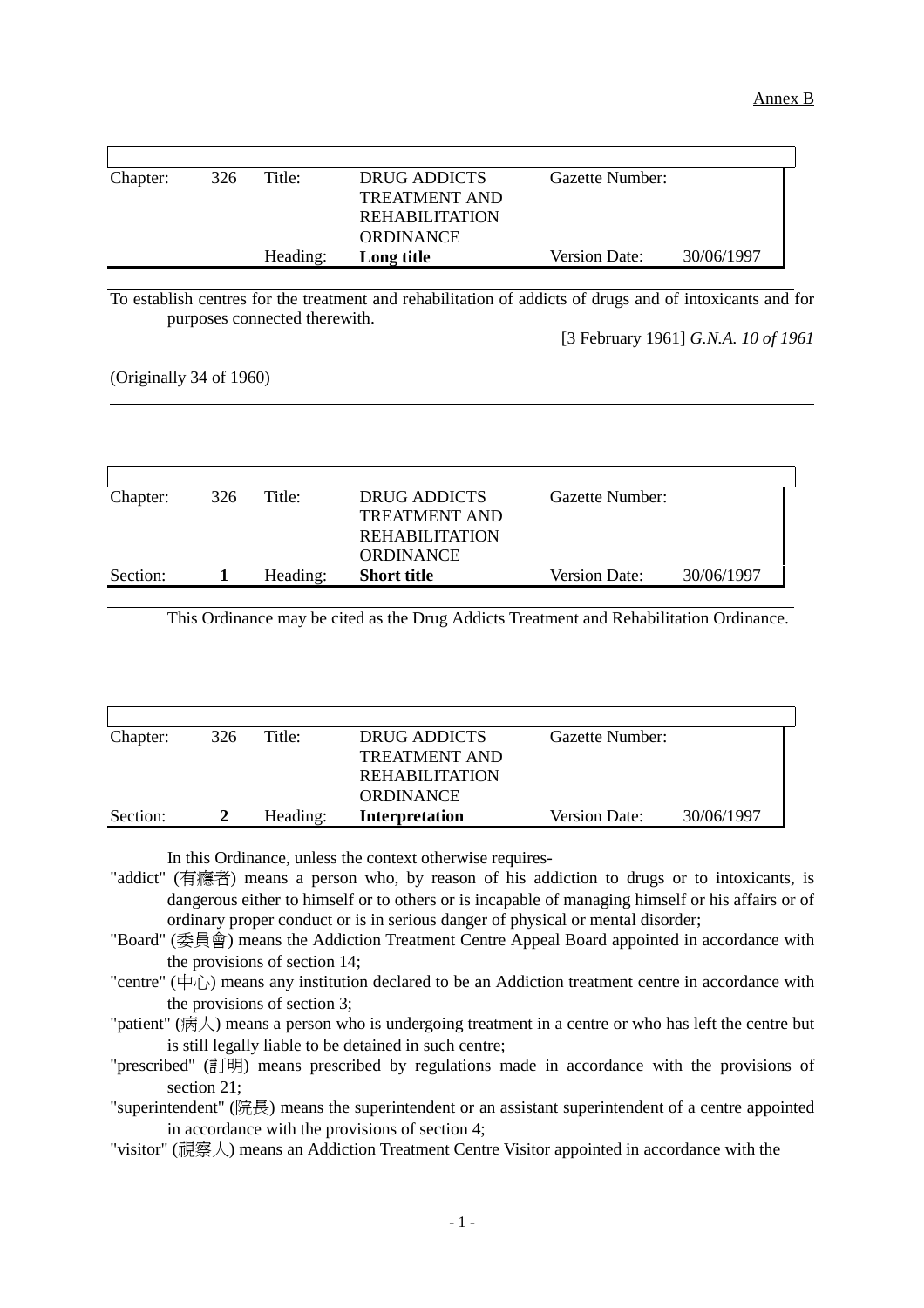| Chapter: | 326 | Title:   | DRUG ADDICTS          | Gazette Number: |            |
|----------|-----|----------|-----------------------|-----------------|------------|
|          |     |          | TREATMENT AND         |                 |            |
|          |     |          | <b>REHABILITATION</b> |                 |            |
|          |     |          | <b>ORDINANCE</b>      |                 |            |
|          |     | Heading: | Long title            | Version Date:   | 30/06/1997 |

To establish centres for the treatment and rehabilitation of addicts of drugs and of intoxicants and for purposes connected therewith.

[3 February 1961] *G.N.A. 10 of 1961*

(Originally 34 of 1960)

 $\overline{a}$ 

 $\overline{a}$ 

| Chapter: | 326 | Title:   | DRUG ADDICTS          | Gazette Number:      |            |
|----------|-----|----------|-----------------------|----------------------|------------|
|          |     |          | <b>TREATMENT AND</b>  |                      |            |
|          |     |          | <b>REHABILITATION</b> |                      |            |
|          |     |          | <b>ORDINANCE</b>      |                      |            |
| Section: |     | Heading: | <b>Short title</b>    | <b>Version Date:</b> | 30/06/1997 |
|          |     |          |                       |                      |            |

This Ordinance may be cited as the Drug Addicts Treatment and Rehabilitation Ordinance.

| Chapter: | 326 | Title:   | DRUG ADDICTS          | Gazette Number: |            |
|----------|-----|----------|-----------------------|-----------------|------------|
|          |     |          | <b>TREATMENT AND</b>  |                 |            |
|          |     |          | REHABILITATION        |                 |            |
|          |     |          | <b>ORDINANCE</b>      |                 |            |
| Section: |     | Heading: | <b>Interpretation</b> | Version Date:   | 30/06/1997 |
|          |     |          |                       |                 |            |

In this Ordinance, unless the context otherwise requires-

"addict" (有癮者) means a person who, by reason of his addiction to drugs or to intoxicants, is dangerous either to himself or to others or is incapable of managing himself or his affairs or of ordinary proper conduct or is in serious danger of physical or mental disorder;

"Board" (委員會) means the Addiction Treatment Centre Appeal Board appointed in accordance with the provisions of section 14;

"centre" ( $\oplus$ ) means any institution declared to be an Addiction treatment centre in accordance with the provisions of section 3;

"patient" (病㆟) means a person who is undergoing treatment in a centre or who has left the centre but is still legally liable to be detained in such centre;

"prescribed" (訂明) means prescribed by regulations made in accordance with the provisions of section 21:

"superintendent" (院長) means the superintendent or an assistant superintendent of a centre appointed in accordance with the provisions of section 4;

"visitor" (視察㆟) means an Addiction Treatment Centre Visitor appointed in accordance with the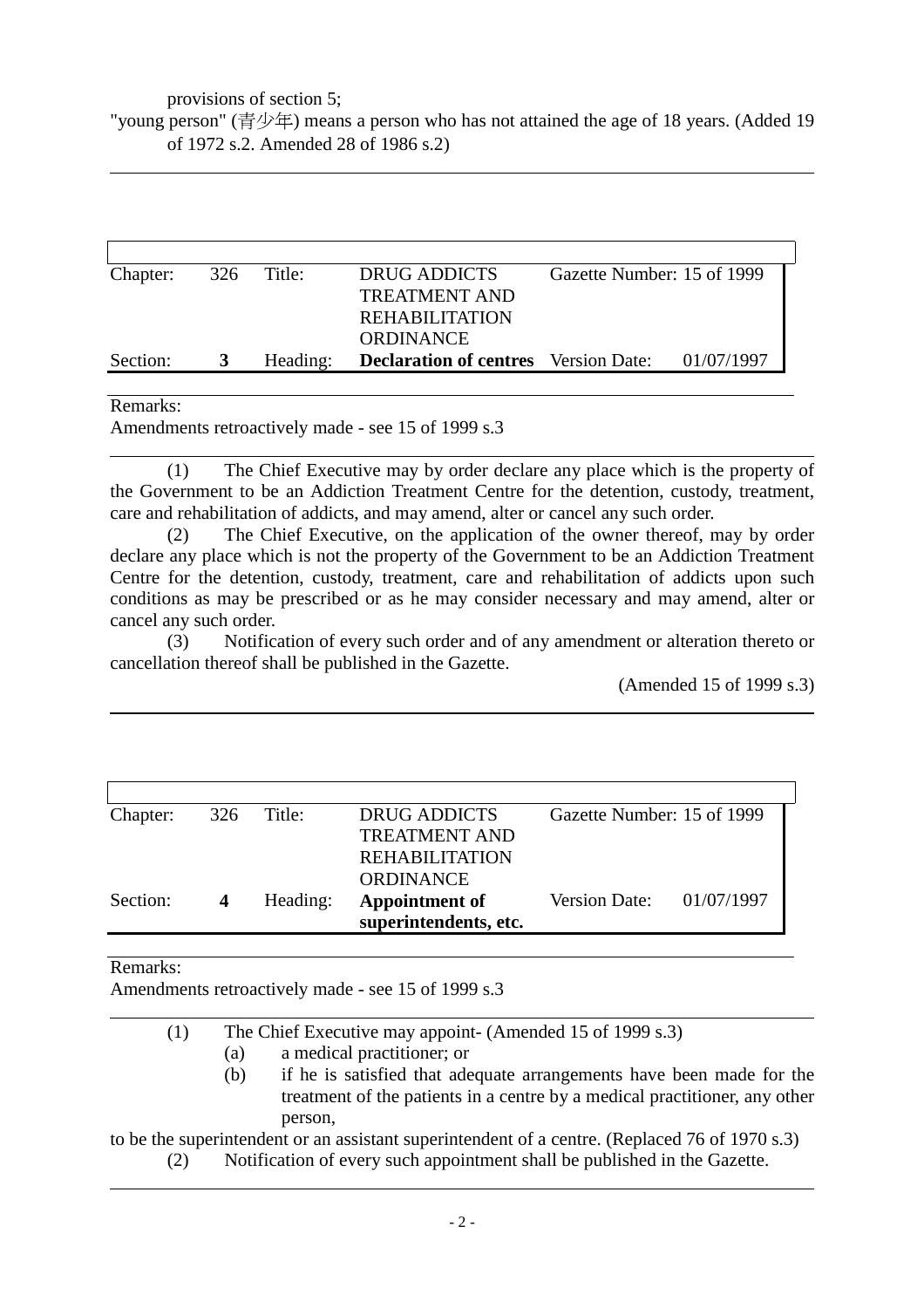provisions of section 5;

"young person" (青少年) means a person who has not attained the age of 18 years. (Added 19 of 1972 s.2. Amended 28 of 1986 s.2)

|   |          | <b>DRUG ADDICTS</b>   | Gazette Number: 15 of 1999 |                                                        |
|---|----------|-----------------------|----------------------------|--------------------------------------------------------|
|   |          | <b>TREATMENT AND</b>  |                            |                                                        |
|   |          | <b>REHABILITATION</b> |                            |                                                        |
|   |          | <b>ORDINANCE</b>      |                            |                                                        |
| 3 | Heading: |                       |                            |                                                        |
|   |          | 326 Title:            |                            | <b>Declaration of centres</b> Version Date: 01/07/1997 |

#### Remarks:

l

l

l

Amendments retroactively made - see 15 of 1999 s.3

(1) The Chief Executive may by order declare any place which is the property of the Government to be an Addiction Treatment Centre for the detention, custody, treatment, care and rehabilitation of addicts, and may amend, alter or cancel any such order.

(2) The Chief Executive, on the application of the owner thereof, may by order declare any place which is not the property of the Government to be an Addiction Treatment Centre for the detention, custody, treatment, care and rehabilitation of addicts upon such conditions as may be prescribed or as he may consider necessary and may amend, alter or cancel any such order.

(3) Notification of every such order and of any amendment or alteration thereto or cancellation thereof shall be published in the Gazette.

(Amended 15 of 1999 s.3)

| Chapter: | 326 | Title:   | <b>DRUG ADDICTS</b><br><b>TREATMENT AND</b><br><b>REHABILITATION</b> | Gazette Number: 15 of 1999 |  |
|----------|-----|----------|----------------------------------------------------------------------|----------------------------|--|
| Section: | 4   | Heading: | <b>ORDINANCE</b><br>Appointment of<br>superintendents, etc.          | Version Date: $01/07/1997$ |  |

#### Remarks:

 $\overline{a}$ 

l

Amendments retroactively made - see 15 of 1999 s.3

| (1) |     | The Chief Executive may appoint- (Amended 15 of 1999 s.3)                                      |
|-----|-----|------------------------------------------------------------------------------------------------|
|     | (a) | a medical practitioner; or                                                                     |
|     | (b) | if he is satisfied that adequate arrangements have been made for the                           |
|     |     | treatment of the patients in a centre by a medical practitioner, any other                     |
|     |     | person,                                                                                        |
|     |     | to be the superintendent or an assistant superintendent of a centre. (Replaced 76 of 1970 s.3) |
| (2) |     | Notification of every such appointment shall be published in the Gazette.                      |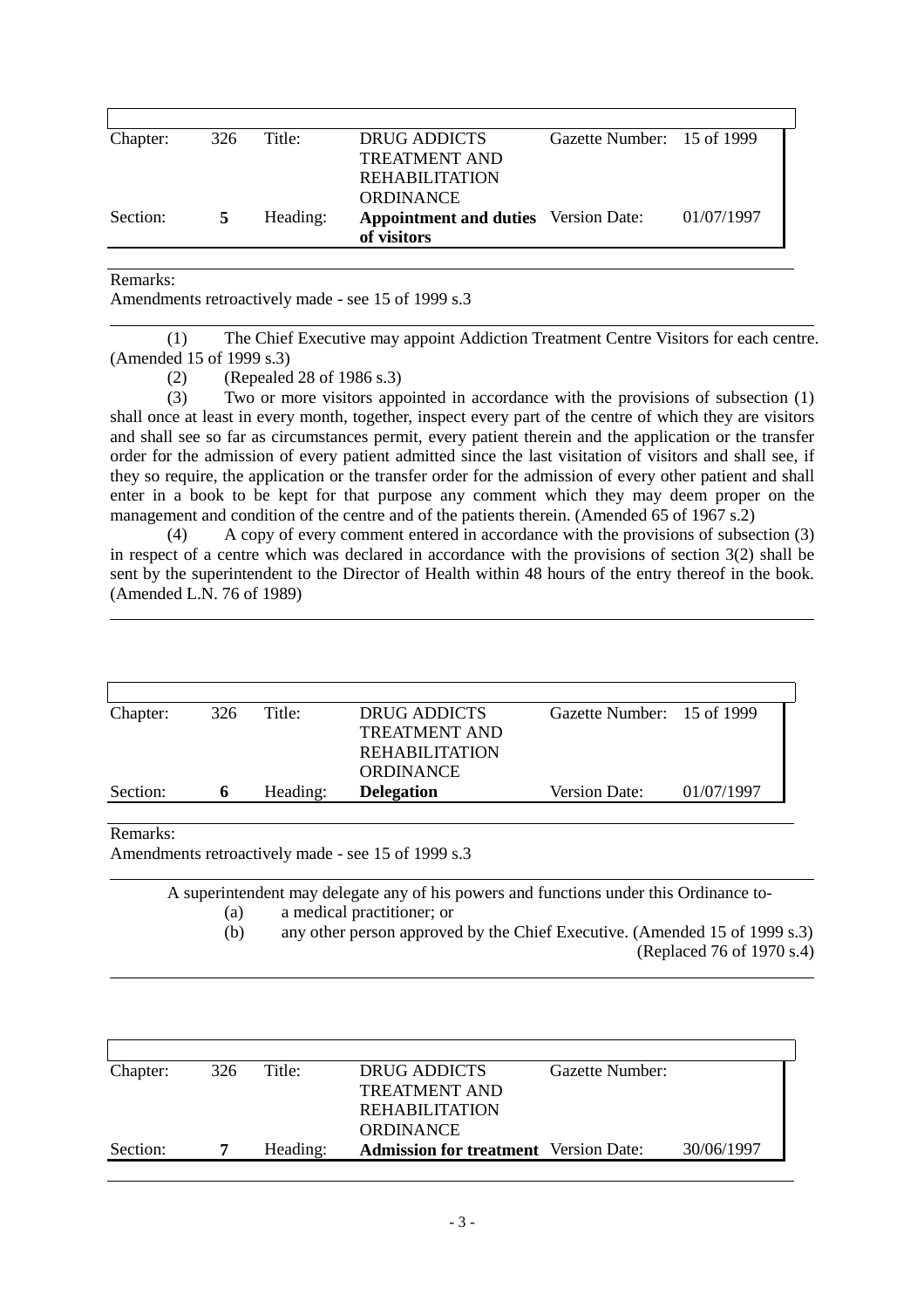| Chapter: | 326 | Title:   | DRUG ADDICTS                                               | Gazette Number: 15 of 1999 |            |
|----------|-----|----------|------------------------------------------------------------|----------------------------|------------|
|          |     |          | <b>TREATMENT AND</b>                                       |                            |            |
|          |     |          | <b>REHABILITATION</b>                                      |                            |            |
|          |     |          | <b>ORDINANCE</b>                                           |                            |            |
| Section: | 5   | Heading: | <b>Appointment and duties</b> Version Date:<br>of visitors |                            | 01/07/1997 |
|          |     |          |                                                            |                            |            |

#### Remarks:

Amendments retroactively made - see 15 of 1999 s.3

 $\overline{a}$ (1) The Chief Executive may appoint Addiction Treatment Centre Visitors for each centre. (Amended 15 of 1999 s.3)

(2) (Repealed 28 of 1986 s.3)

(3) Two or more visitors appointed in accordance with the provisions of subsection (1) shall once at least in every month, together, inspect every part of the centre of which they are visitors and shall see so far as circumstances permit, every patient therein and the application or the transfer order for the admission of every patient admitted since the last visitation of visitors and shall see, if they so require, the application or the transfer order for the admission of every other patient and shall enter in a book to be kept for that purpose any comment which they may deem proper on the management and condition of the centre and of the patients therein. (Amended 65 of 1967 s.2)

(4) A copy of every comment entered in accordance with the provisions of subsection (3) in respect of a centre which was declared in accordance with the provisions of section 3(2) shall be sent by the superintendent to the Director of Health within 48 hours of the entry thereof in the book. (Amended L.N. 76 of 1989)

| Chapter: | 326 | Title:   | DRUG ADDICTS          | Gazette Number: 15 of 1999 |            |
|----------|-----|----------|-----------------------|----------------------------|------------|
|          |     |          | <b>TREATMENT AND</b>  |                            |            |
|          |     |          | <b>REHABILITATION</b> |                            |            |
|          |     |          | <b>ORDINANCE</b>      |                            |            |
| Section: | n   | Heading: | <b>Delegation</b>     | Version Date:              | 01/07/1997 |
|          |     |          |                       |                            |            |

Remarks:

 $\overline{a}$ 

 $\overline{a}$ 

 $\overline{a}$ 

Amendments retroactively made - see 15 of 1999 s.3

A superintendent may delegate any of his powers and functions under this Ordinance to- (a) a medical practitioner; or (b) any other person approved by the Chief Executive. (Amended 15 of 1999 s.3)

(Replaced 76 of 1970 s.4)

| Chapter: | 326 | Title:   | DRUG ADDICTS                                 | Gazette Number: |            |
|----------|-----|----------|----------------------------------------------|-----------------|------------|
|          |     |          | TREATMENT AND                                |                 |            |
|          |     |          | REHABILITATION                               |                 |            |
|          |     |          | <b>ORDINANCE</b>                             |                 |            |
| Section: |     | Heading: | <b>Admission for treatment</b> Version Date: |                 | 30/06/1997 |
|          |     |          |                                              |                 |            |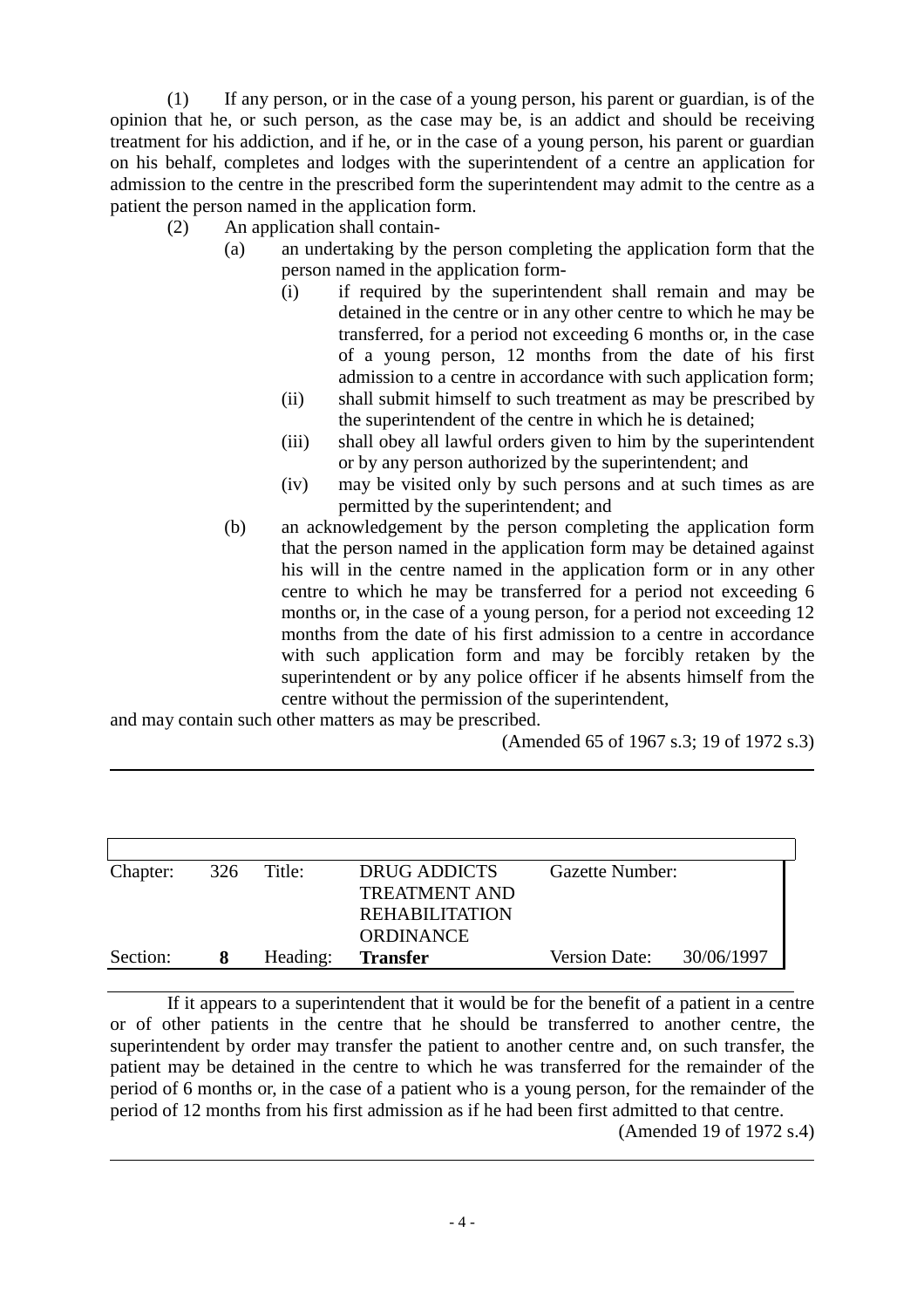(1) If any person, or in the case of a young person, his parent or guardian, is of the opinion that he, or such person, as the case may be, is an addict and should be receiving treatment for his addiction, and if he, or in the case of a young person, his parent or guardian on his behalf, completes and lodges with the superintendent of a centre an application for admission to the centre in the prescribed form the superintendent may admit to the centre as a patient the person named in the application form.

- (2) An application shall contain-
	- (a) an undertaking by the person completing the application form that the person named in the application form-
		- (i) if required by the superintendent shall remain and may be detained in the centre or in any other centre to which he may be transferred, for a period not exceeding 6 months or, in the case of a young person, 12 months from the date of his first admission to a centre in accordance with such application form;
		- (ii) shall submit himself to such treatment as may be prescribed by the superintendent of the centre in which he is detained;
		- (iii) shall obey all lawful orders given to him by the superintendent or by any person authorized by the superintendent; and
		- (iv) may be visited only by such persons and at such times as are permitted by the superintendent; and
	- (b) an acknowledgement by the person completing the application form that the person named in the application form may be detained against his will in the centre named in the application form or in any other centre to which he may be transferred for a period not exceeding 6 months or, in the case of a young person, for a period not exceeding 12 months from the date of his first admission to a centre in accordance with such application form and may be forcibly retaken by the superintendent or by any police officer if he absents himself from the centre without the permission of the superintendent,

and may contain such other matters as may be prescribed.

l

l

(Amended 65 of 1967 s.3; 19 of 1972 s.3)

| Chapter: | 326 | Title:   | <b>DRUG ADDICTS</b>   | Gazette Number: |            |
|----------|-----|----------|-----------------------|-----------------|------------|
|          |     |          | <b>TREATMENT AND</b>  |                 |            |
|          |     |          | <b>REHABILITATION</b> |                 |            |
|          |     |          | <b>ORDINANCE</b>      |                 |            |
| Section: |     | Heading: | <b>Transfer</b>       | Version Date:   | 30/06/1997 |

If it appears to a superintendent that it would be for the benefit of a patient in a centre or of other patients in the centre that he should be transferred to another centre, the superintendent by order may transfer the patient to another centre and, on such transfer, the patient may be detained in the centre to which he was transferred for the remainder of the period of 6 months or, in the case of a patient who is a young person, for the remainder of the period of 12 months from his first admission as if he had been first admitted to that centre.

(Amended 19 of 1972 s.4)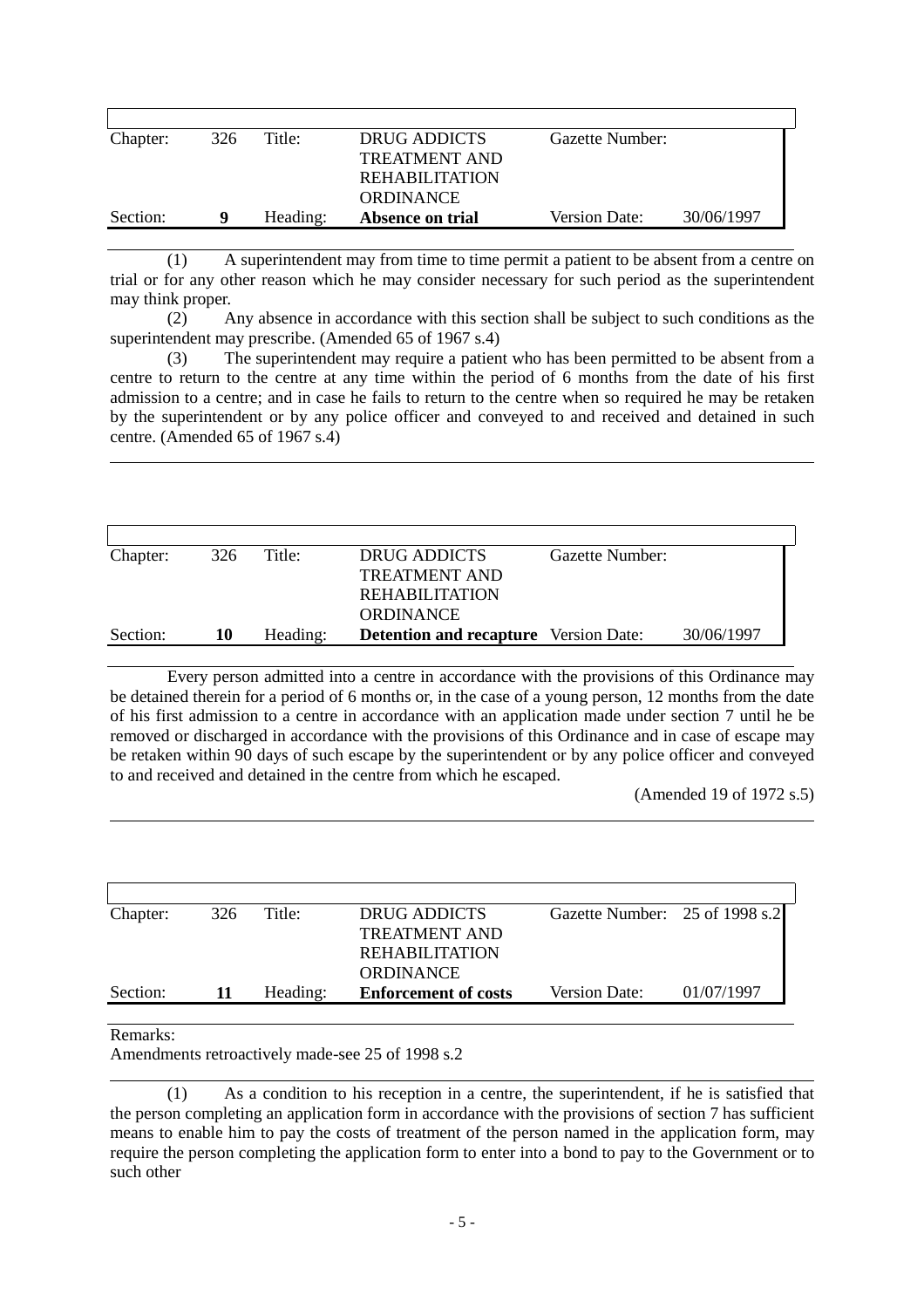| 326 | Title:   | DRUG ADDICTS         | Gazette Number:      |            |
|-----|----------|----------------------|----------------------|------------|
|     |          | <b>TREATMENT AND</b> |                      |            |
|     |          | REHABILITATION       |                      |            |
|     |          | <b>ORDINANCE</b>     |                      |            |
| 9   | Heading: | Absence on trial     | <b>Version Date:</b> | 30/06/1997 |
|     |          |                      |                      |            |

(1) A superintendent may from time to time permit a patient to be absent from a centre on trial or for any other reason which he may consider necessary for such period as the superintendent may think proper.

(2) Any absence in accordance with this section shall be subject to such conditions as the superintendent may prescribe. (Amended 65 of 1967 s.4)

(3) The superintendent may require a patient who has been permitted to be absent from a centre to return to the centre at any time within the period of 6 months from the date of his first admission to a centre; and in case he fails to return to the centre when so required he may be retaken by the superintendent or by any police officer and conveyed to and received and detained in such centre. (Amended 65 of 1967 s.4)

| 326 | Title:   | DRUG ADDICTS          | Gazette Number: |                                              |
|-----|----------|-----------------------|-----------------|----------------------------------------------|
|     |          | <b>TREATMENT AND</b>  |                 |                                              |
|     |          | <b>REHABILITATION</b> |                 |                                              |
|     |          | <b>ORDINANCE</b>      |                 |                                              |
| 10  | Heading: |                       |                 | 30/06/1997                                   |
|     |          |                       |                 | <b>Detention and recapture</b> Version Date: |

Every person admitted into a centre in accordance with the provisions of this Ordinance may be detained therein for a period of 6 months or, in the case of a young person, 12 months from the date of his first admission to a centre in accordance with an application made under section 7 until he be removed or discharged in accordance with the provisions of this Ordinance and in case of escape may be retaken within 90 days of such escape by the superintendent or by any police officer and conveyed to and received and detained in the centre from which he escaped.

(Amended 19 of 1972 s.5)

| Chapter: | 326 | Title:   | DRUG ADDICTS                | Gazette Number: 25 of 1998 s.2 |            |
|----------|-----|----------|-----------------------------|--------------------------------|------------|
|          |     |          | <b>TREATMENT AND</b>        |                                |            |
|          |     |          | REHABILITATION              |                                |            |
|          |     |          | <b>ORDINANCE</b>            |                                |            |
| Section: |     | Heading: | <b>Enforcement of costs</b> | <b>Version Date:</b>           | 01/07/1997 |
|          |     |          |                             |                                |            |

#### Remarks:

 $\overline{a}$ 

 $\overline{a}$ 

 $\overline{a}$ 

Amendments retroactively made-see 25 of 1998 s.2

(1) As a condition to his reception in a centre, the superintendent, if he is satisfied that the person completing an application form in accordance with the provisions of section 7 has sufficient means to enable him to pay the costs of treatment of the person named in the application form, may require the person completing the application form to enter into a bond to pay to the Government or to such other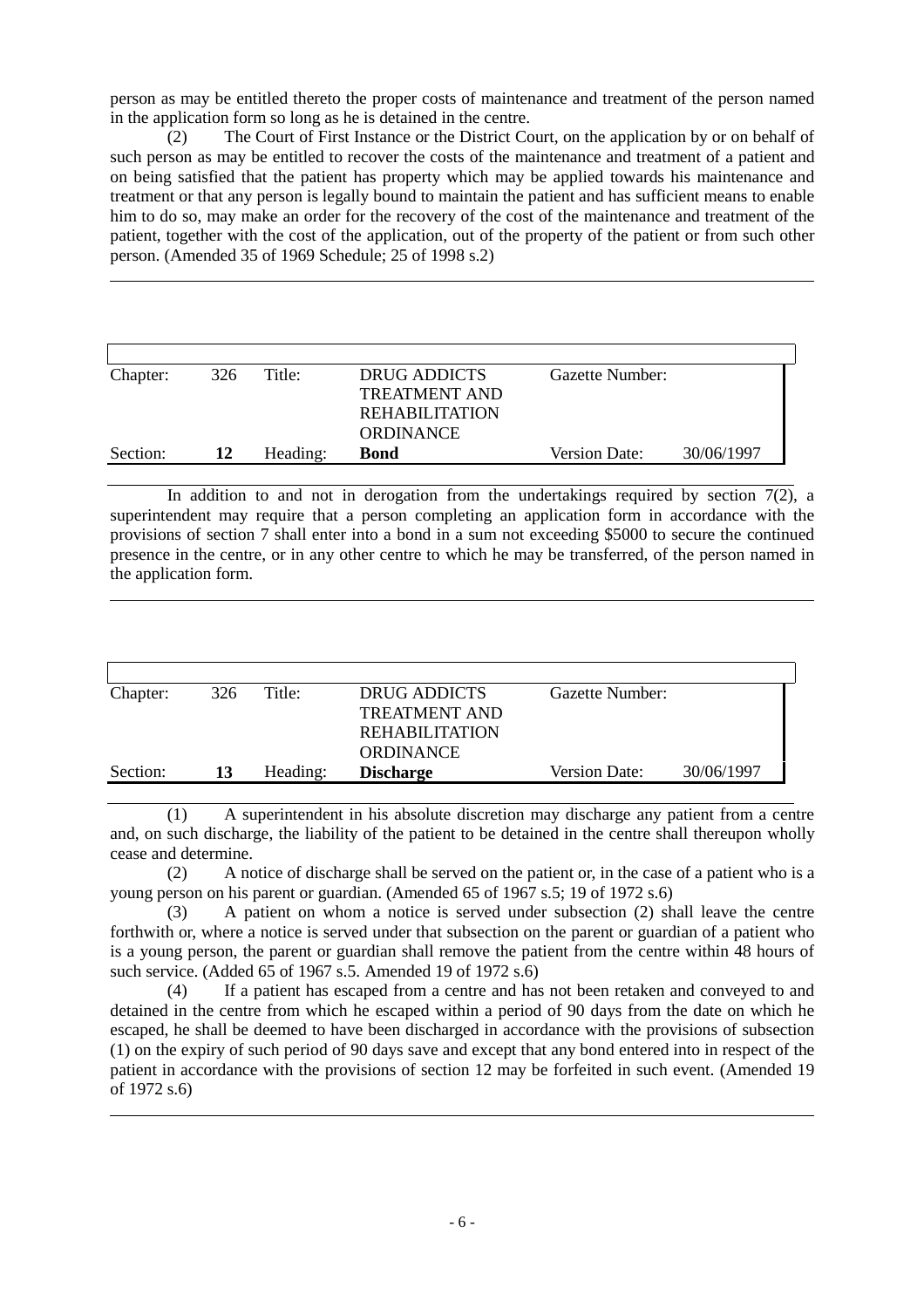person as may be entitled thereto the proper costs of maintenance and treatment of the person named in the application form so long as he is detained in the centre.

(2) The Court of First Instance or the District Court, on the application by or on behalf of such person as may be entitled to recover the costs of the maintenance and treatment of a patient and on being satisfied that the patient has property which may be applied towards his maintenance and treatment or that any person is legally bound to maintain the patient and has sufficient means to enable him to do so, may make an order for the recovery of the cost of the maintenance and treatment of the patient, together with the cost of the application, out of the property of the patient or from such other person. (Amended 35 of 1969 Schedule; 25 of 1998 s.2)

| Chapter: | 326 | Title:   | DRUG ADDICTS          | Gazette Number:      |            |
|----------|-----|----------|-----------------------|----------------------|------------|
|          |     |          | TREATMENT AND         |                      |            |
|          |     |          | <b>REHABILITATION</b> |                      |            |
|          |     |          | ORDINANCE             |                      |            |
| Section: | 12  | Heading: | <b>Bond</b>           | <b>Version Date:</b> | 30/06/1997 |

 $\overline{a}$ 

 $\overline{a}$ 

In addition to and not in derogation from the undertakings required by section  $7(2)$ , a superintendent may require that a person completing an application form in accordance with the provisions of section 7 shall enter into a bond in a sum not exceeding \$5000 to secure the continued presence in the centre, or in any other centre to which he may be transferred, of the person named in the application form.

| Chapter: | 326 | Title:   | DRUG ADDICTS          | Gazette Number:      |            |
|----------|-----|----------|-----------------------|----------------------|------------|
|          |     |          | <b>TREATMENT AND</b>  |                      |            |
|          |     |          | <b>REHABILITATION</b> |                      |            |
|          |     |          | <b>ORDINANCE</b>      |                      |            |
| Section: | 13  | Heading: | <b>Discharge</b>      | <b>Version Date:</b> | 30/06/1997 |

(1) A superintendent in his absolute discretion may discharge any patient from a centre and, on such discharge, the liability of the patient to be detained in the centre shall thereupon wholly cease and determine.

(2) A notice of discharge shall be served on the patient or, in the case of a patient who is a young person on his parent or guardian. (Amended 65 of 1967 s.5; 19 of 1972 s.6)

(3) A patient on whom a notice is served under subsection (2) shall leave the centre forthwith or, where a notice is served under that subsection on the parent or guardian of a patient who is a young person, the parent or guardian shall remove the patient from the centre within 48 hours of such service. (Added 65 of 1967 s.5. Amended 19 of 1972 s.6)

(4) If a patient has escaped from a centre and has not been retaken and conveyed to and detained in the centre from which he escaped within a period of 90 days from the date on which he escaped, he shall be deemed to have been discharged in accordance with the provisions of subsection (1) on the expiry of such period of 90 days save and except that any bond entered into in respect of the patient in accordance with the provisions of section 12 may be forfeited in such event. (Amended 19 of 1972 s.6)  $\overline{a}$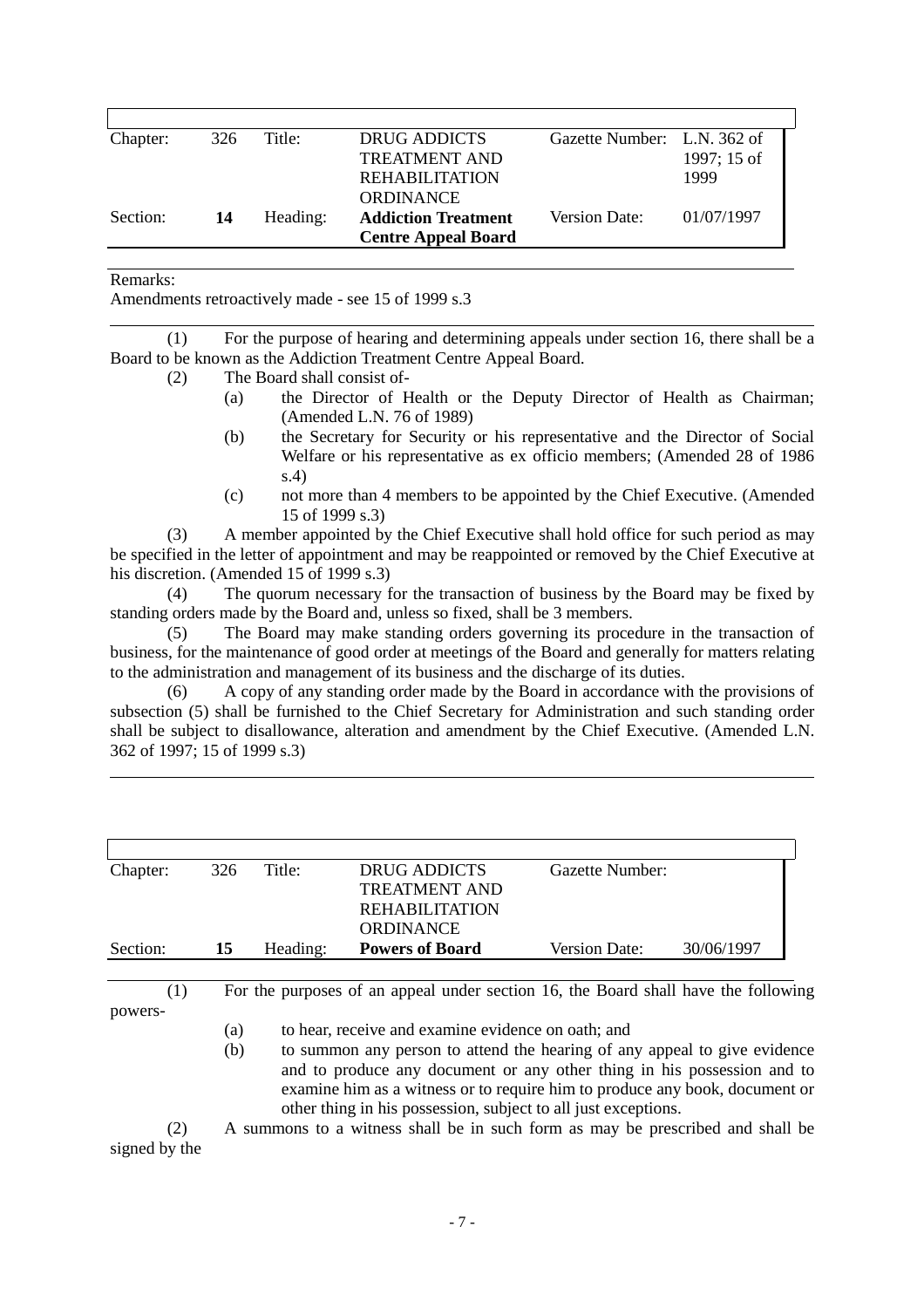| 326 | Title:   | DRUG ADDICTS               | Gazette Number: L.N. 362 of |             |
|-----|----------|----------------------------|-----------------------------|-------------|
|     |          | <b>TREATMENT AND</b>       |                             | 1997; 15 of |
|     |          | <b>REHABILITATION</b>      |                             | 1999        |
|     |          | <b>ORDINANCE</b>           |                             |             |
| 14  | Heading: | <b>Addiction Treatment</b> | Version Date:               | 01/07/1997  |
|     |          | <b>Centre Appeal Board</b> |                             |             |
|     |          |                            |                             |             |

Remarks:

 $\overline{a}$ 

 $\overline{a}$ 

Amendments retroactively made - see 15 of 1999 s.3

(1) For the purpose of hearing and determining appeals under section 16, there shall be a Board to be known as the Addiction Treatment Centre Appeal Board.

- (2) The Board shall consist of-
	- (a) the Director of Health or the Deputy Director of Health as Chairman; (Amended L.N. 76 of 1989)
	- (b) the Secretary for Security or his representative and the Director of Social Welfare or his representative as ex officio members; (Amended 28 of 1986 s.4)
	- (c) not more than 4 members to be appointed by the Chief Executive. (Amended 15 of 1999 s.3)

(3) A member appointed by the Chief Executive shall hold office for such period as may be specified in the letter of appointment and may be reappointed or removed by the Chief Executive at his discretion. (Amended 15 of 1999 s.3)

(4) The quorum necessary for the transaction of business by the Board may be fixed by standing orders made by the Board and, unless so fixed, shall be 3 members.

(5) The Board may make standing orders governing its procedure in the transaction of business, for the maintenance of good order at meetings of the Board and generally for matters relating to the administration and management of its business and the discharge of its duties.

(6) A copy of any standing order made by the Board in accordance with the provisions of subsection (5) shall be furnished to the Chief Secretary for Administration and such standing order shall be subject to disallowance, alteration and amendment by the Chief Executive. (Amended L.N. 362 of 1997; 15 of 1999 s.3)

| Chapter: | 326 | Title:   | DRUG ADDICTS<br><b>TREATMENT AND</b><br>REHABILITATION | Gazette Number: |            |
|----------|-----|----------|--------------------------------------------------------|-----------------|------------|
| Section: | 15  | Heading: | <b>ORDINANCE</b><br><b>Powers of Board</b>             | Version Date:   | 30/06/1997 |

(1) For the purposes of an appeal under section 16, the Board shall have the following powers-

(a) to hear, receive and examine evidence on oath; and

(b) to summon any person to attend the hearing of any appeal to give evidence and to produce any document or any other thing in his possession and to examine him as a witness or to require him to produce any book, document or other thing in his possession, subject to all just exceptions.

(2) A summons to a witness shall be in such form as may be prescribed and shall be signed by the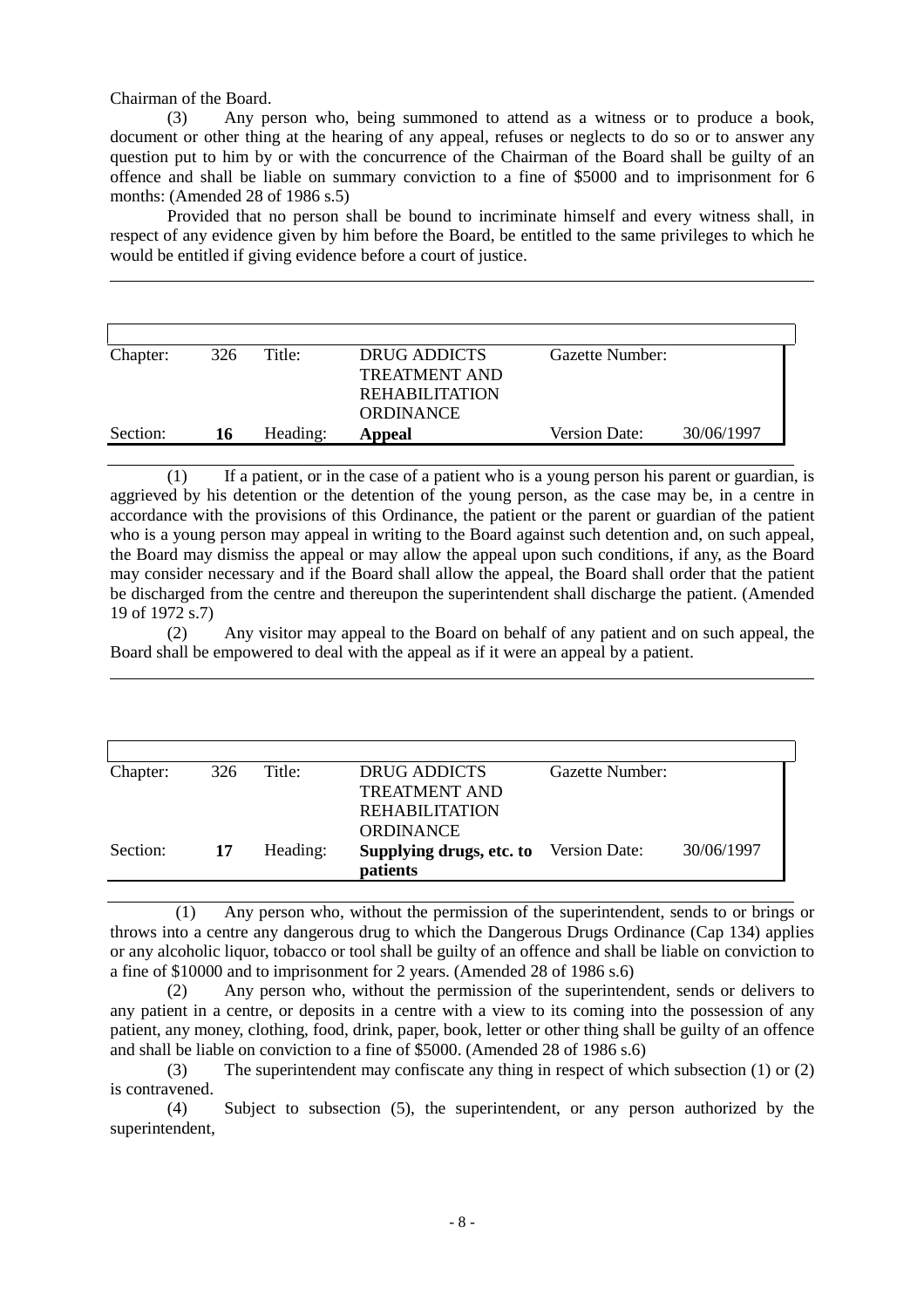Chairman of the Board.

 $\overline{a}$ 

 $\overline{a}$ 

(3) Any person who, being summoned to attend as a witness or to produce a book, document or other thing at the hearing of any appeal, refuses or neglects to do so or to answer any question put to him by or with the concurrence of the Chairman of the Board shall be guilty of an offence and shall be liable on summary conviction to a fine of \$5000 and to imprisonment for 6 months: (Amended 28 of 1986 s.5)

Provided that no person shall be bound to incriminate himself and every witness shall, in respect of any evidence given by him before the Board, be entitled to the same privileges to which he would be entitled if giving evidence before a court of justice.

| Chapter: | 326 | Title:   | DRUG ADDICTS          | Gazette Number:      |            |
|----------|-----|----------|-----------------------|----------------------|------------|
|          |     |          | <b>TREATMENT AND</b>  |                      |            |
|          |     |          | <b>REHABILITATION</b> |                      |            |
|          |     |          | <b>ORDINANCE</b>      |                      |            |
| Section: | 16  | Heading: | Appeal                | <b>Version Date:</b> | 30/06/1997 |

(1) If a patient, or in the case of a patient who is a young person his parent or guardian, is aggrieved by his detention or the detention of the young person, as the case may be, in a centre in accordance with the provisions of this Ordinance, the patient or the parent or guardian of the patient who is a young person may appeal in writing to the Board against such detention and, on such appeal, the Board may dismiss the appeal or may allow the appeal upon such conditions, if any, as the Board may consider necessary and if the Board shall allow the appeal, the Board shall order that the patient be discharged from the centre and thereupon the superintendent shall discharge the patient. (Amended 19 of 1972 s.7)

(2) Any visitor may appeal to the Board on behalf of any patient and on such appeal, the Board shall be empowered to deal with the appeal as if it were an appeal by a patient.

| Chapter: | 326 | Title:   | DRUG ADDICTS                                  | Gazette Number: |            |
|----------|-----|----------|-----------------------------------------------|-----------------|------------|
|          |     |          | <b>TREATMENT AND</b>                          |                 |            |
|          |     |          | REHABILITATION                                |                 |            |
|          |     |          | <b>ORDINANCE</b>                              |                 |            |
| Section: | 17  | Heading: | <b>Supplying drugs, etc. to</b> Version Date: |                 | 30/06/1997 |
|          |     |          | <i>patients</i>                               |                 |            |

 (1) Any person who, without the permission of the superintendent, sends to or brings or throws into a centre any dangerous drug to which the Dangerous Drugs Ordinance (Cap 134) applies or any alcoholic liquor, tobacco or tool shall be guilty of an offence and shall be liable on conviction to a fine of \$10000 and to imprisonment for 2 years. (Amended 28 of 1986 s.6)

(2) Any person who, without the permission of the superintendent, sends or delivers to any patient in a centre, or deposits in a centre with a view to its coming into the possession of any patient, any money, clothing, food, drink, paper, book, letter or other thing shall be guilty of an offence and shall be liable on conviction to a fine of \$5000. (Amended 28 of 1986 s.6)

(3) The superintendent may confiscate any thing in respect of which subsection (1) or (2) is contravened.

(4) Subject to subsection (5), the superintendent, or any person authorized by the superintendent,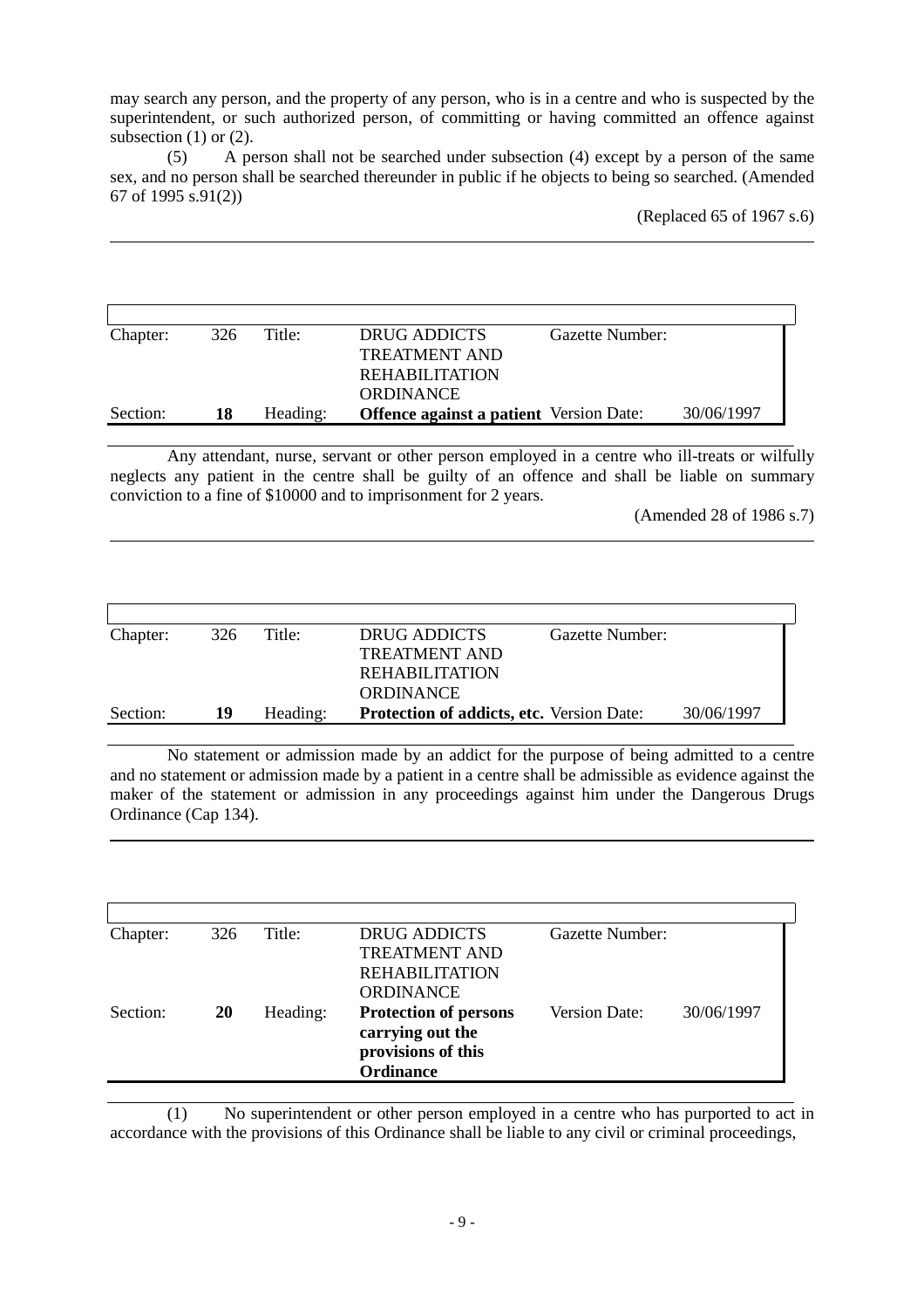may search any person, and the property of any person, who is in a centre and who is suspected by the superintendent, or such authorized person, of committing or having committed an offence against subsection  $(1)$  or  $(2)$ .

(5) A person shall not be searched under subsection (4) except by a person of the same sex, and no person shall be searched thereunder in public if he objects to being so searched. (Amended 67 of 1995 s.91(2))

 $\overline{a}$ 

 $\overline{a}$ 

 $\overline{a}$ 

(Replaced 65 of 1967 s.6)

| Chapter: | 326 | Title:   | DRUG ADDICTS<br>Gazette Number:                |            |
|----------|-----|----------|------------------------------------------------|------------|
|          |     |          | <b>TREATMENT AND</b>                           |            |
|          |     |          | <b>REHABILITATION</b>                          |            |
|          |     |          | <b>ORDINANCE</b>                               |            |
| Section: | 18  | Heading: | <b>Offence against a patient</b> Version Date: | 30/06/1997 |

Any attendant, nurse, servant or other person employed in a centre who ill-treats or wilfully neglects any patient in the centre shall be guilty of an offence and shall be liable on summary conviction to a fine of \$10000 and to imprisonment for 2 years.

(Amended 28 of 1986 s.7)

| Chapter: | 326 | Title:   | DRUG ADDICTS<br>Gazette Number:                  |            |
|----------|-----|----------|--------------------------------------------------|------------|
|          |     |          | <b>TREATMENT AND</b>                             |            |
|          |     |          | REHABILITATION                                   |            |
|          |     |          | <b>ORDINANCE</b>                                 |            |
| Section: | 19  | Heading: | <b>Protection of addicts, etc.</b> Version Date: | 30/06/1997 |
|          |     |          |                                                  |            |

No statement or admission made by an addict for the purpose of being admitted to a centre and no statement or admission made by a patient in a centre shall be admissible as evidence against the maker of the statement or admission in any proceedings against him under the Dangerous Drugs Ordinance (Cap 134).

| Chapter: | 326 | Title:   | <b>DRUG ADDICTS</b>          | Gazette Number:      |            |
|----------|-----|----------|------------------------------|----------------------|------------|
|          |     |          | <b>TREATMENT AND</b>         |                      |            |
|          |     |          | <b>REHABILITATION</b>        |                      |            |
|          |     |          | <b>ORDINANCE</b>             |                      |            |
| Section: | 20  | Heading: | <b>Protection of persons</b> | <b>Version Date:</b> | 30/06/1997 |
|          |     |          | carrying out the             |                      |            |
|          |     |          | provisions of this           |                      |            |
|          |     |          | <b>Ordinance</b>             |                      |            |

(1) No superintendent or other person employed in a centre who has purported to act in accordance with the provisions of this Ordinance shall be liable to any civil or criminal proceedings,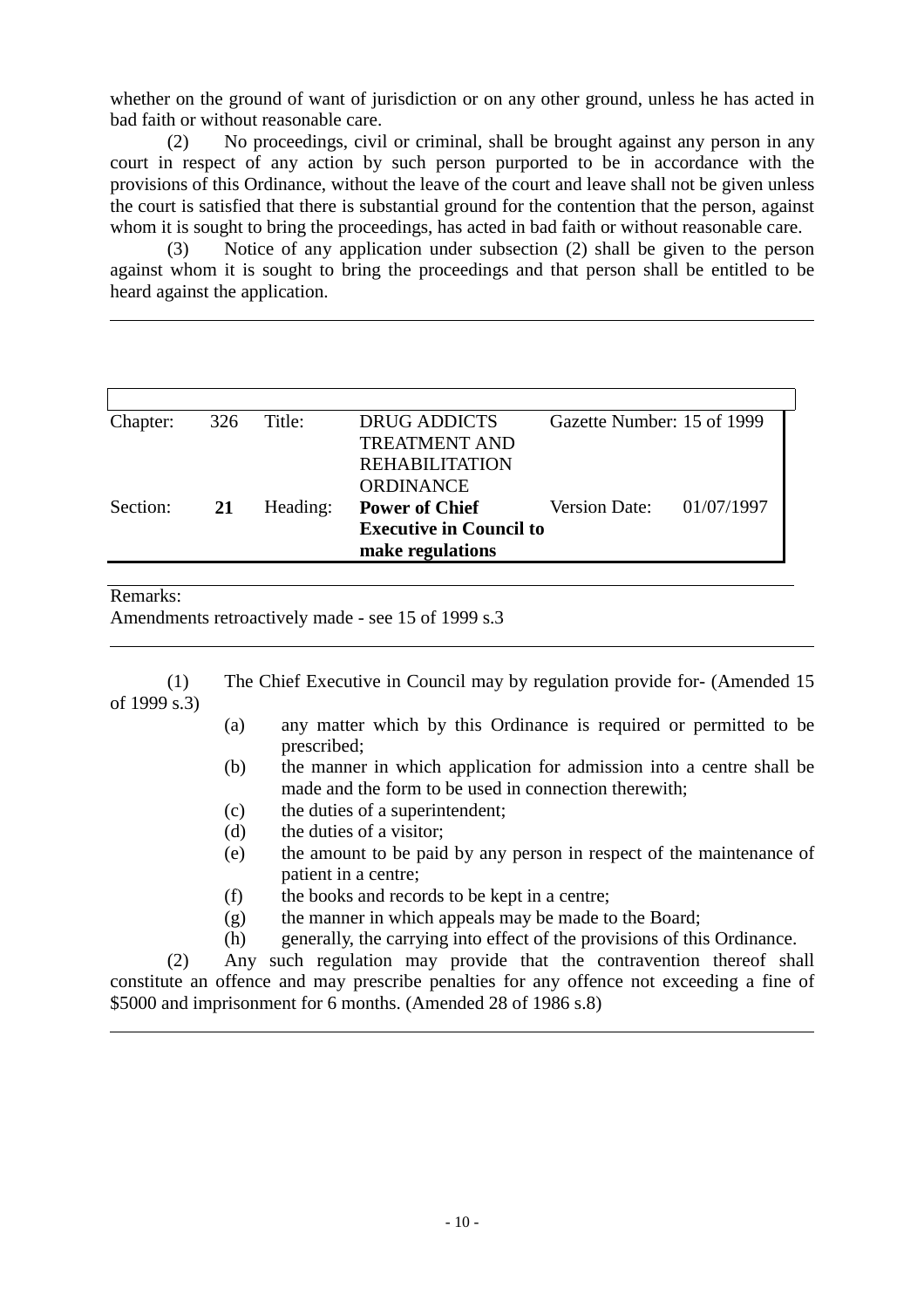whether on the ground of want of jurisdiction or on any other ground, unless he has acted in bad faith or without reasonable care.

(2) No proceedings, civil or criminal, shall be brought against any person in any court in respect of any action by such person purported to be in accordance with the provisions of this Ordinance, without the leave of the court and leave shall not be given unless the court is satisfied that there is substantial ground for the contention that the person, against whom it is sought to bring the proceedings, has acted in bad faith or without reasonable care.

(3) Notice of any application under subsection (2) shall be given to the person against whom it is sought to bring the proceedings and that person shall be entitled to be heard against the application.  $\overline{a}$ 

| Chapter:<br>326 |    | Title:   | <b>DRUG ADDICTS</b>            | Gazette Number: 15 of 1999 |  |
|-----------------|----|----------|--------------------------------|----------------------------|--|
|                 |    |          | <b>TREATMENT AND</b>           |                            |  |
|                 |    |          | <b>REHABILITATION</b>          |                            |  |
|                 |    |          | ORDINANCE                      |                            |  |
| Section:        | 21 | Heading: | <b>Power of Chief</b>          | Version Date: $01/07/1997$ |  |
|                 |    |          | <b>Executive in Council to</b> |                            |  |
|                 |    |          | make regulations               |                            |  |

#### Remarks:

 $\overline{a}$ 

 $\overline{a}$ 

Amendments retroactively made - see 15 of 1999 s.3

(1) The Chief Executive in Council may by regulation provide for- (Amended 15 of 1999 s.3)

- (a) any matter which by this Ordinance is required or permitted to be prescribed;
- (b) the manner in which application for admission into a centre shall be made and the form to be used in connection therewith;
- (c) the duties of a superintendent;
- (d) the duties of a visitor;
- (e) the amount to be paid by any person in respect of the maintenance of patient in a centre;
- (f) the books and records to be kept in a centre;
- (g) the manner in which appeals may be made to the Board;
- (h) generally, the carrying into effect of the provisions of this Ordinance.

(2) Any such regulation may provide that the contravention thereof shall constitute an offence and may prescribe penalties for any offence not exceeding a fine of \$5000 and imprisonment for 6 months. (Amended 28 of 1986 s.8)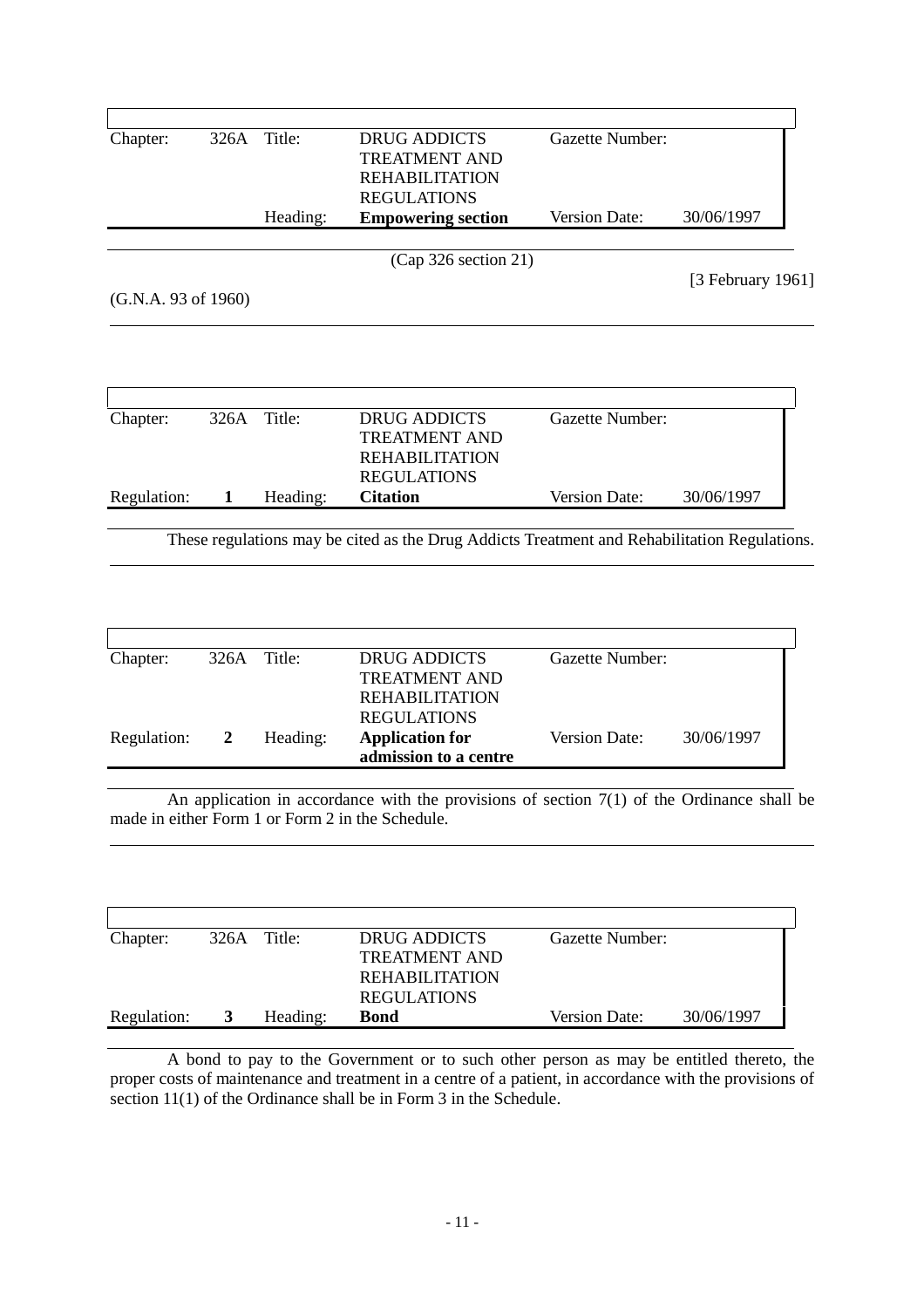| Chapter:            | 326A           | Title:          | <b>DRUG ADDICTS</b><br><b>TREATMENT AND</b><br><b>REHABILITATION</b>                                                                             | <b>Gazette Number:</b> |                   |
|---------------------|----------------|-----------------|--------------------------------------------------------------------------------------------------------------------------------------------------|------------------------|-------------------|
|                     |                |                 | <b>REGULATIONS</b>                                                                                                                               |                        |                   |
|                     |                | Heading:        | <b>Empowering section</b>                                                                                                                        | Version Date:          | 30/06/1997        |
|                     |                |                 | (Cap 326 section 21)                                                                                                                             |                        |                   |
|                     |                |                 |                                                                                                                                                  |                        | [3 February 1961] |
| (G.N.A. 93 of 1960) |                |                 |                                                                                                                                                  |                        |                   |
|                     |                |                 |                                                                                                                                                  |                        |                   |
| Chapter:            | 326A           | Title:          | <b>DRUG ADDICTS</b><br><b>TREATMENT AND</b><br><b>REHABILITATION</b><br><b>REGULATIONS</b>                                                       | Gazette Number:        |                   |
| Regulation:         | $\mathbf{1}$   | Heading:        | <b>Citation</b>                                                                                                                                  | Version Date:          | 30/06/1997        |
|                     |                |                 |                                                                                                                                                  |                        |                   |
| Chapter:            | 326A           | Title:          | <b>DRUG ADDICTS</b><br><b>TREATMENT AND</b>                                                                                                      | <b>Gazette Number:</b> |                   |
|                     |                |                 | <b>REHABILITATION</b><br><b>REGULATIONS</b>                                                                                                      |                        |                   |
| Regulation:         | $\overline{2}$ | Heading:        | <b>Application for</b><br>admission to a centre                                                                                                  | Version Date:          | 30/06/1997        |
|                     |                |                 |                                                                                                                                                  |                        |                   |
|                     |                |                 | An application in accordance with the provisions of section $7(1)$ of the Ordinance shall be<br>made in either Form 1 or Form 2 in the Schedule. |                        |                   |
|                     |                |                 |                                                                                                                                                  |                        |                   |
|                     |                |                 |                                                                                                                                                  |                        |                   |
|                     |                | $T^{\prime}$ .1 |                                                                                                                                                  |                        |                   |

| Chapter:    | 326A         | Title:   | DRUG ADDICTS          | Gazette Number: |            |
|-------------|--------------|----------|-----------------------|-----------------|------------|
|             |              |          | <b>TREATMENT AND</b>  |                 |            |
|             |              |          | <b>REHABILITATION</b> |                 |            |
|             |              |          | <b>REGULATIONS</b>    |                 |            |
| Regulation: | $\mathbf{E}$ | Heading: | Bond                  | Version Date:   | 30/06/1997 |

A bond to pay to the Government or to such other person as may be entitled thereto, the proper costs of maintenance and treatment in a centre of a patient, in accordance with the provisions of section 11(1) of the Ordinance shall be in Form 3 in the Schedule.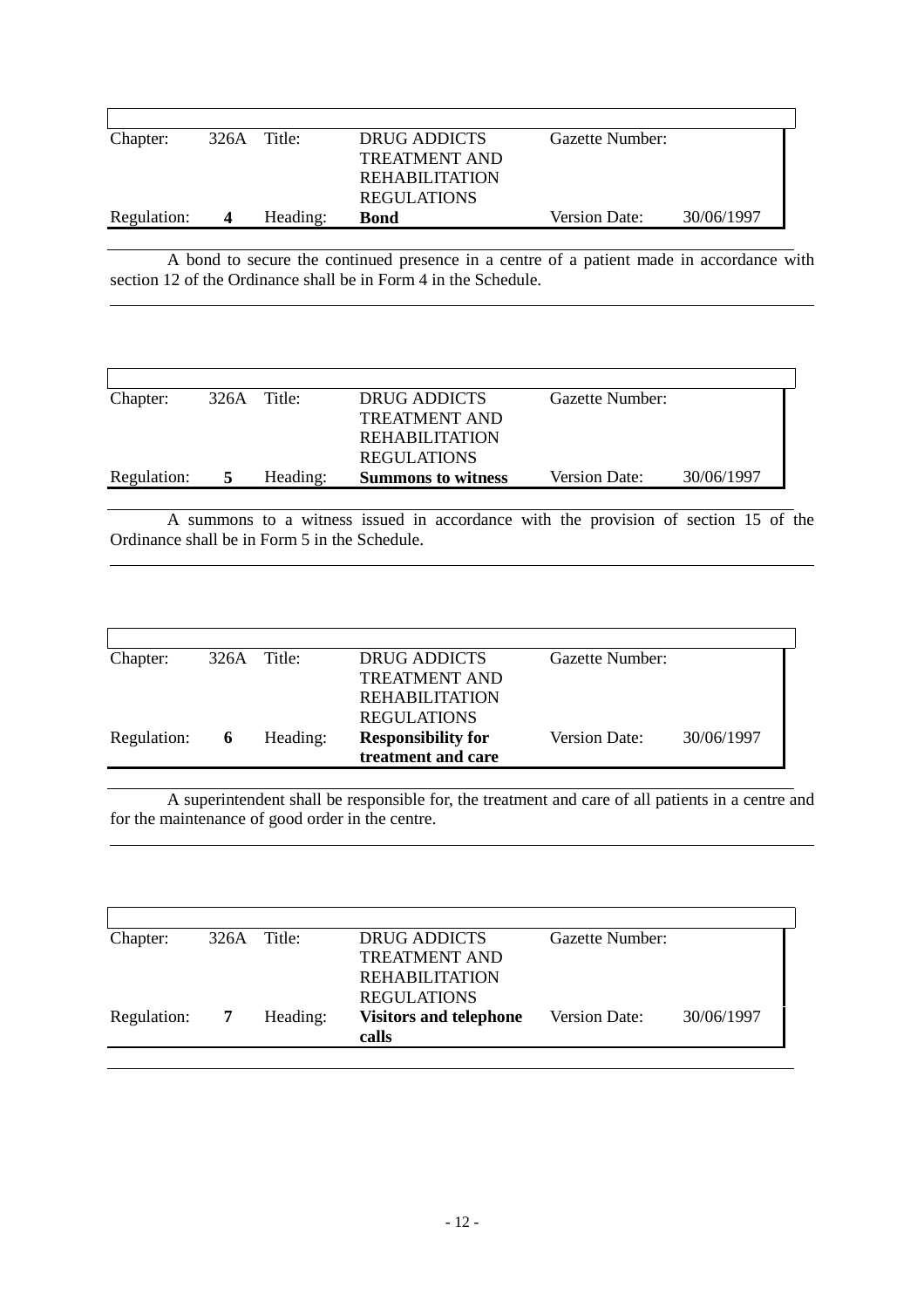|                  |          | DRUG ADDICTS          | Gazette Number: |            |
|------------------|----------|-----------------------|-----------------|------------|
|                  |          | TREATMENT AND         |                 |            |
|                  |          | <b>REHABILITATION</b> |                 |            |
|                  |          | <b>REGULATIONS</b>    |                 |            |
| $\boldsymbol{4}$ | Heading: | <b>Bond</b>           | Version Date:   | 30/06/1997 |
|                  |          | 326A Title:           |                 |            |

A bond to secure the continued presence in a centre of a patient made in accordance with section 12 of the Ordinance shall be in Form 4 in the Schedule.

 $\overline{a}$ 

 $\overline{a}$ 

 $\overline{a}$ 

| Chapter:    | 326A | Title:   | DRUG ADDICTS              | Gazette Number:      |            |
|-------------|------|----------|---------------------------|----------------------|------------|
|             |      |          | <b>TREATMENT AND</b>      |                      |            |
|             |      |          | <b>REHABILITATION</b>     |                      |            |
|             |      |          | <b>REGULATIONS</b>        |                      |            |
| Regulation: |      | Heading: | <b>Summons to witness</b> | <b>Version Date:</b> | 30/06/1997 |

A summons to a witness issued in accordance with the provision of section 15 of the Ordinance shall be in Form 5 in the Schedule.

| Chapter:    |   | $326A$ Title: | DRUG ADDICTS              | Gazette Number:      |            |
|-------------|---|---------------|---------------------------|----------------------|------------|
|             |   |               | <b>TREATMENT AND</b>      |                      |            |
|             |   |               | <b>REHABILITATION</b>     |                      |            |
|             |   |               | <b>REGULATIONS</b>        |                      |            |
| Regulation: | 6 | Heading:      | <b>Responsibility for</b> | <b>Version Date:</b> | 30/06/1997 |
|             |   |               | treatment and care        |                      |            |
|             |   |               |                           |                      |            |

A superintendent shall be responsible for, the treatment and care of all patients in a centre and for the maintenance of good order in the centre.

| Chapter:    | 326A | Title:   | DRUG ADDICTS                  | Gazette Number:      |            |
|-------------|------|----------|-------------------------------|----------------------|------------|
|             |      |          | <b>TREATMENT AND</b>          |                      |            |
|             |      |          | <b>REHABILITATION</b>         |                      |            |
|             |      |          | <b>REGULATIONS</b>            |                      |            |
| Regulation: |      | Heading: | <b>Visitors and telephone</b> | <b>Version Date:</b> | 30/06/1997 |
|             |      |          | calls                         |                      |            |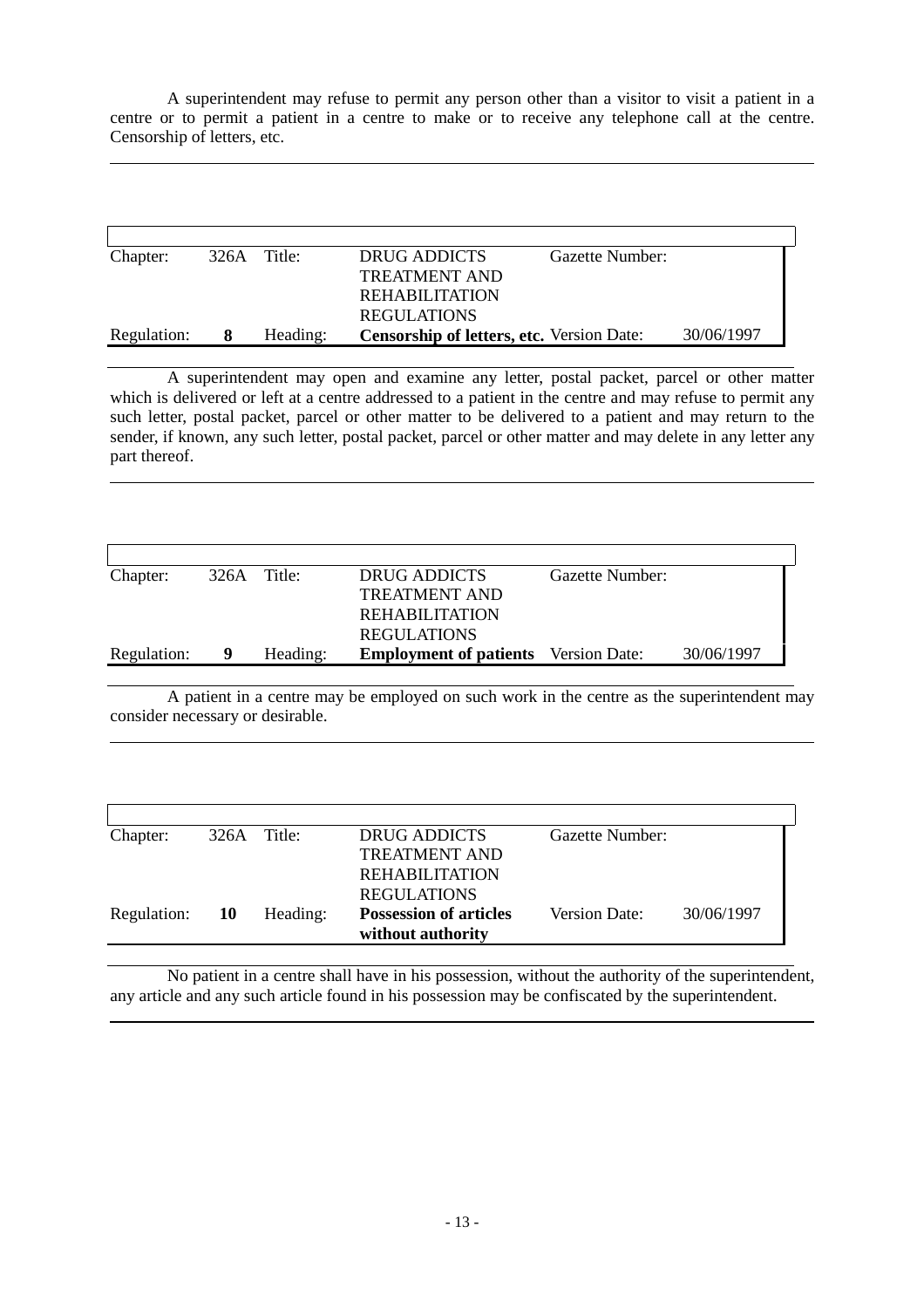A superintendent may refuse to permit any person other than a visitor to visit a patient in a centre or to permit a patient in a centre to make or to receive any telephone call at the centre. Censorship of letters, etc.

 $\overline{a}$ 

 $\overline{a}$ 

 $\overline{a}$ 

 $\overline{a}$ 

| Chapter:    | 326A Title: |          | DRUG ADDICTS<br>Gazette Number:                  |            |
|-------------|-------------|----------|--------------------------------------------------|------------|
|             |             |          | <b>TREATMENT AND</b>                             |            |
|             |             |          | REHABILITATION                                   |            |
|             |             |          | <b>REGULATIONS</b>                               |            |
| Regulation: | 8.          | Heading: | <b>Censorship of letters, etc.</b> Version Date: | 30/06/1997 |

A superintendent may open and examine any letter, postal packet, parcel or other matter which is delivered or left at a centre addressed to a patient in the centre and may refuse to permit any such letter, postal packet, parcel or other matter to be delivered to a patient and may return to the sender, if known, any such letter, postal packet, parcel or other matter and may delete in any letter any part thereof.

| Chapter:    | 326A | Title:   | DRUG ADDICTS                                | Gazette Number: |            |
|-------------|------|----------|---------------------------------------------|-----------------|------------|
|             |      |          | <b>TREATMENT AND</b>                        |                 |            |
|             |      |          | <b>REHABILITATION</b>                       |                 |            |
|             |      |          | <b>REGULATIONS</b>                          |                 |            |
| Regulation: |      | Heading: | <b>Employment of patients</b> Version Date: |                 | 30/06/1997 |

A patient in a centre may be employed on such work in the centre as the superintendent may consider necessary or desirable.

| Chapter:    |     | 326A Title: | DRUG ADDICTS                                       | Gazette Number:      |            |
|-------------|-----|-------------|----------------------------------------------------|----------------------|------------|
|             |     |             | <b>TREATMENT AND</b>                               |                      |            |
|             |     |             | <b>REHABILITATION</b>                              |                      |            |
|             |     |             | <b>REGULATIONS</b>                                 |                      |            |
| Regulation: | -10 | Heading:    | <b>Possession of articles</b><br>without authority | <b>Version Date:</b> | 30/06/1997 |

No patient in a centre shall have in his possession, without the authority of the superintendent, any article and any such article found in his possession may be confiscated by the superintendent.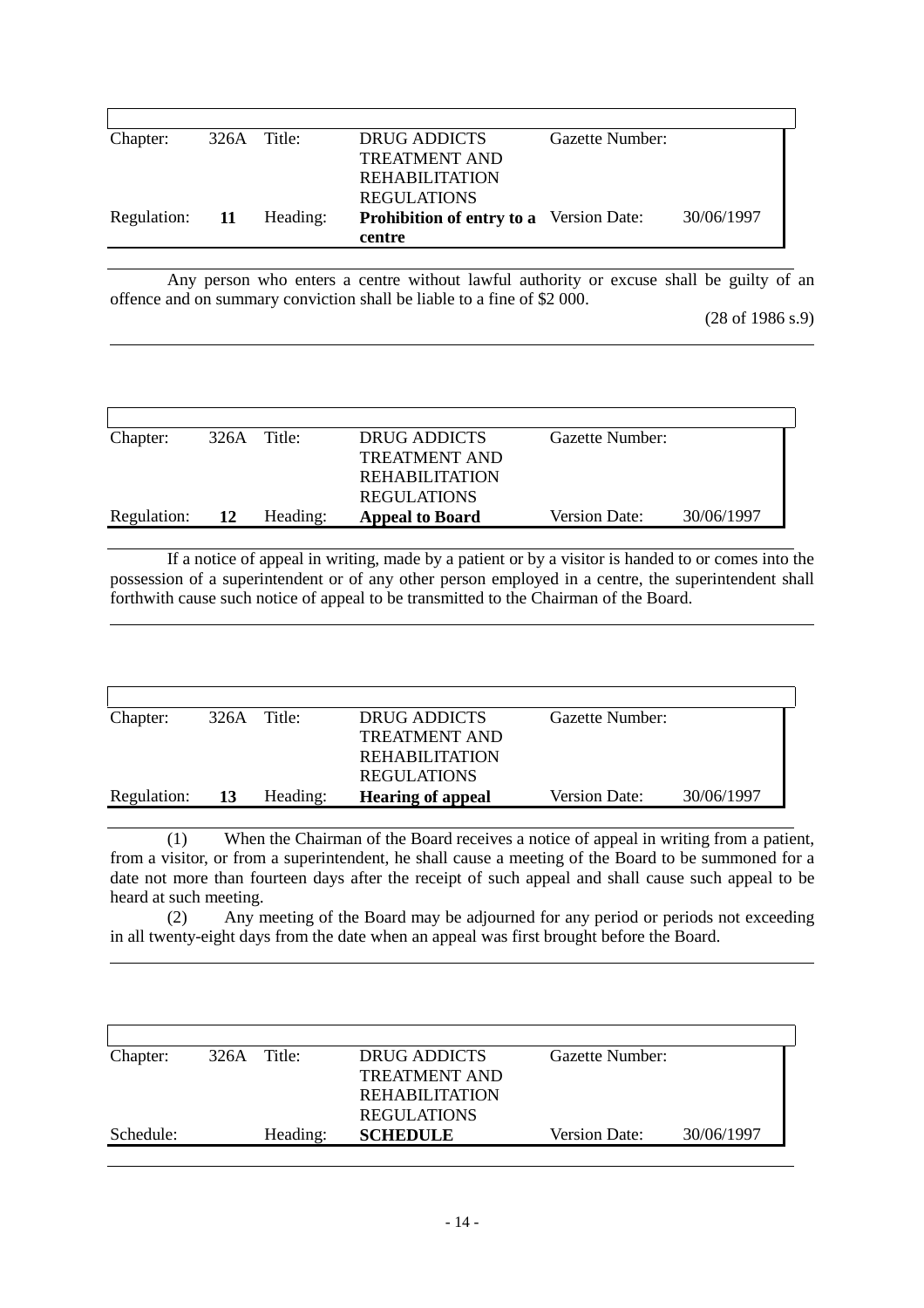| Chapter:       | 326A Title: |          | DRUG ADDICTS                                   | Gazette Number: |            |
|----------------|-------------|----------|------------------------------------------------|-----------------|------------|
|                |             |          | <b>TREATMENT AND</b>                           |                 |            |
|                |             |          | <b>REHABILITATION</b>                          |                 |            |
|                |             |          | <b>REGULATIONS</b>                             |                 |            |
| Regulation: 11 |             | Heading: | <b>Prohibition of entry to a</b> Version Date: |                 | 30/06/1997 |
|                |             |          | centre                                         |                 |            |

Any person who enters a centre without lawful authority or excuse shall be guilty of an offence and on summary conviction shall be liable to a fine of \$2 000.

 $\overline{a}$ 

 $\overline{a}$ 

 $\overline{a}$ 

(28 of 1986 s.9)

| Chapter:    | 326A Title: |          | DRUG ADDICTS           | Gazette Number:      |            |
|-------------|-------------|----------|------------------------|----------------------|------------|
|             |             |          | <b>TREATMENT AND</b>   |                      |            |
|             |             |          | REHABILITATION         |                      |            |
|             |             |          | <b>REGULATIONS</b>     |                      |            |
| Regulation: | -12         | Heading: | <b>Appeal to Board</b> | <b>Version Date:</b> | 30/06/1997 |

If a notice of appeal in writing, made by a patient or by a visitor is handed to or comes into the possession of a superintendent or of any other person employed in a centre, the superintendent shall forthwith cause such notice of appeal to be transmitted to the Chairman of the Board.

| 326A | Title:   | <b>DRUG ADDICTS</b>      | Gazette Number: |            |
|------|----------|--------------------------|-----------------|------------|
|      |          | <b>TREATMENT AND</b>     |                 |            |
|      |          | <b>REHABILITATION</b>    |                 |            |
|      |          | <b>REGULATIONS</b>       |                 |            |
| 13   | Heading: | <b>Hearing of appeal</b> | Version Date:   | 30/06/1997 |
|      |          |                          |                 |            |

(1) When the Chairman of the Board receives a notice of appeal in writing from a patient, from a visitor, or from a superintendent, he shall cause a meeting of the Board to be summoned for a date not more than fourteen days after the receipt of such appeal and shall cause such appeal to be heard at such meeting.

(2) Any meeting of the Board may be adjourned for any period or periods not exceeding in all twenty-eight days from the date when an appeal was first brought before the Board.

| Chapter:  | 326A Title: | DRUG ADDICTS          | Gazette Number: |            |
|-----------|-------------|-----------------------|-----------------|------------|
|           |             | TREATMENT AND         |                 |            |
|           |             | <b>REHABILITATION</b> |                 |            |
|           |             | <b>REGULATIONS</b>    |                 |            |
| Schedule: | Heading:    | <b>SCHEDULE</b>       | Version Date:   | 30/06/1997 |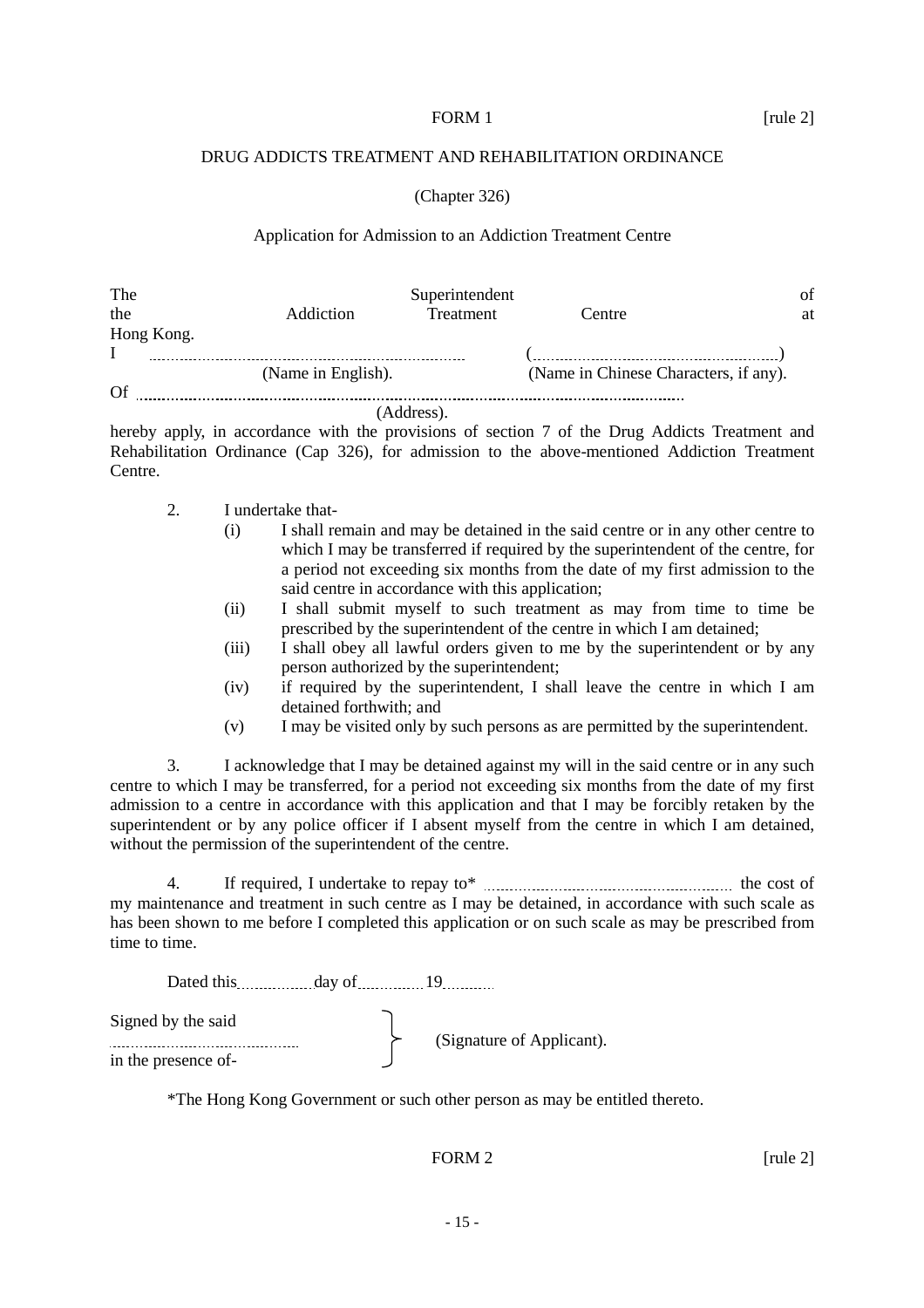#### FORM 1 [rule 2]

#### DRUG ADDICTS TREATMENT AND REHABILITATION ORDINANCE

#### (Chapter 326)

#### Application for Admission to an Addiction Treatment Centre

| The        |                    | Superintendent |                                       | Οt |
|------------|--------------------|----------------|---------------------------------------|----|
| the        | Addiction          | Treatment      | Centre                                | at |
| Hong Kong. |                    |                |                                       |    |
|            |                    |                |                                       |    |
|            | (Name in English). |                | (Name in Chinese Characters, if any). |    |
| Of         |                    |                |                                       |    |
|            |                    | (Address).     |                                       |    |

hereby apply, in accordance with the provisions of section 7 of the Drug Addicts Treatment and Rehabilitation Ordinance (Cap 326), for admission to the above-mentioned Addiction Treatment Centre.

- 2. I undertake that-
	- (i) I shall remain and may be detained in the said centre or in any other centre to which I may be transferred if required by the superintendent of the centre, for a period not exceeding six months from the date of my first admission to the said centre in accordance with this application;
	- (ii) I shall submit myself to such treatment as may from time to time be prescribed by the superintendent of the centre in which I am detained;
	- (iii) I shall obey all lawful orders given to me by the superintendent or by any person authorized by the superintendent;
	- (iv) if required by the superintendent, I shall leave the centre in which I am detained forthwith; and
	- (v) I may be visited only by such persons as are permitted by the superintendent.

3. I acknowledge that I may be detained against my will in the said centre or in any such centre to which I may be transferred, for a period not exceeding six months from the date of my first admission to a centre in accordance with this application and that I may be forcibly retaken by the superintendent or by any police officer if I absent myself from the centre in which I am detained, without the permission of the superintendent of the centre.

4. If required, I undertake to repay to\*  $\ldots$   $\ldots$   $\ldots$   $\ldots$   $\ldots$   $\ldots$  the cost of my maintenance and treatment in such centre as I may be detained, in accordance with such scale as has been shown to me before I completed this application or on such scale as may be prescribed from time to time.

| Dated this day of   |                           |
|---------------------|---------------------------|
| Signed by the said  | (Signature of Applicant). |
| in the presence of- |                           |

\*The Hong Kong Government or such other person as may be entitled thereto.

#### FORM  $2$  [rule 2]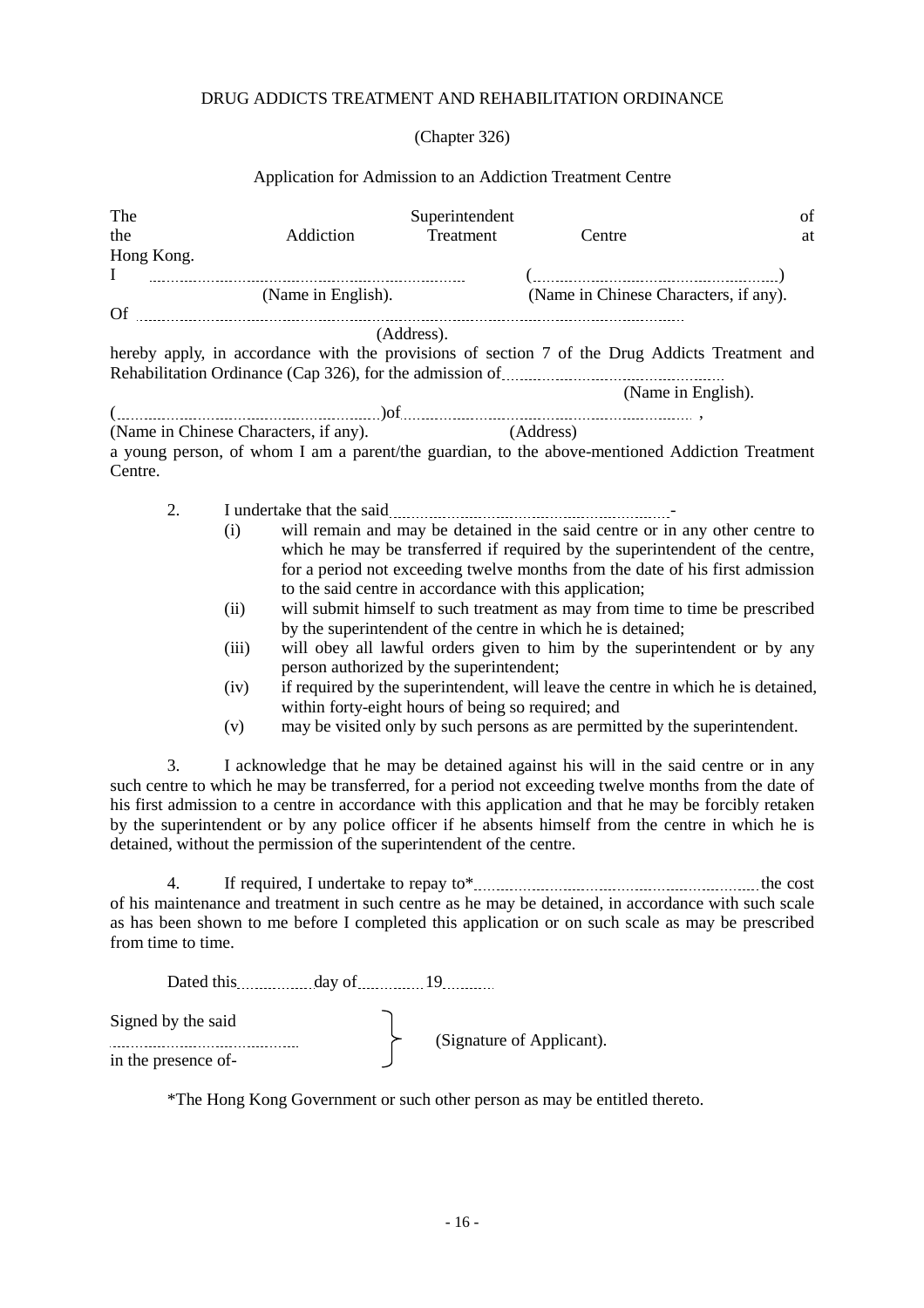### DRUG ADDICTS TREATMENT AND REHABILITATION ORDINANCE

(Chapter 326)

### Application for Admission to an Addiction Treatment Centre

| The<br>the<br>Hong Kong. |                                     | Addiction                                                                                                                                                                                                                      | Superintendent<br>Treatment | Centre                                                                                                                                                                                                                                                                                                                                                                                                                                                                                                                                                                                                                                                                                                   | of<br>at |
|--------------------------|-------------------------------------|--------------------------------------------------------------------------------------------------------------------------------------------------------------------------------------------------------------------------------|-----------------------------|----------------------------------------------------------------------------------------------------------------------------------------------------------------------------------------------------------------------------------------------------------------------------------------------------------------------------------------------------------------------------------------------------------------------------------------------------------------------------------------------------------------------------------------------------------------------------------------------------------------------------------------------------------------------------------------------------------|----------|
|                          |                                     | (Name in English).                                                                                                                                                                                                             |                             | $(\ldots,\ldots,\ldots,\ldots,\ldots,\ldots,\ldots,\ldots,\ldots,\ldots,\ldots))$<br>(Name in Chinese Characters, if any).                                                                                                                                                                                                                                                                                                                                                                                                                                                                                                                                                                               |          |
|                          |                                     |                                                                                                                                                                                                                                | (Address).                  | hereby apply, in accordance with the provisions of section 7 of the Drug Addicts Treatment and                                                                                                                                                                                                                                                                                                                                                                                                                                                                                                                                                                                                           |          |
|                          |                                     |                                                                                                                                                                                                                                |                             | (Name in English).                                                                                                                                                                                                                                                                                                                                                                                                                                                                                                                                                                                                                                                                                       |          |
| Centre.                  |                                     | (Name in Chinese Characters, if any).                                                                                                                                                                                          |                             | (Address)<br>a young person, of whom I am a parent/the guardian, to the above-mentioned Addiction Treatment                                                                                                                                                                                                                                                                                                                                                                                                                                                                                                                                                                                              |          |
| 2.                       | (i)<br>(ii)<br>(iii)<br>(iv)<br>(v) | person authorized by the superintendent;<br>within forty-eight hours of being so required; and                                                                                                                                 |                             | will remain and may be detained in the said centre or in any other centre to<br>which he may be transferred if required by the superintendent of the centre,<br>for a period not exceeding twelve months from the date of his first admission<br>to the said centre in accordance with this application;<br>will submit himself to such treatment as may from time to time be prescribed<br>by the superintendent of the centre in which he is detained;<br>will obey all lawful orders given to him by the superintendent or by any<br>if required by the superintendent, will leave the centre in which he is detained,<br>may be visited only by such persons as are permitted by the superintendent. |          |
| 3.                       |                                     | detained, without the permission of the superintendent of the centre.                                                                                                                                                          |                             | I acknowledge that he may be detained against his will in the said centre or in any<br>such centre to which he may be transferred, for a period not exceeding twelve months from the date of<br>his first admission to a centre in accordance with this application and that he may be forcibly retaken<br>by the superintendent or by any police officer if he absents himself from the centre in which he is                                                                                                                                                                                                                                                                                           |          |
| 4.<br>from time to time. |                                     |                                                                                                                                                                                                                                |                             | of his maintenance and treatment in such centre as he may be detained, in accordance with such scale<br>as has been shown to me before I completed this application or on such scale as may be prescribed                                                                                                                                                                                                                                                                                                                                                                                                                                                                                                |          |
|                          |                                     | Dated this day of 19 and 19 and 19 and 19 and 19 and 19 and 19 and 19 and 19 and 19 and 19 and 19 and 19 and 19 and 19 and 19 and 19 and 19 and 19 and 19 and 19 and 19 and 19 and 19 and 19 and 19 and 19 and 19 and 19 and 1 |                             |                                                                                                                                                                                                                                                                                                                                                                                                                                                                                                                                                                                                                                                                                                          |          |

| Signed by the said  | (Signature of Applicant). |
|---------------------|---------------------------|
| in the presence of- |                           |

\*The Hong Kong Government or such other person as may be entitled thereto.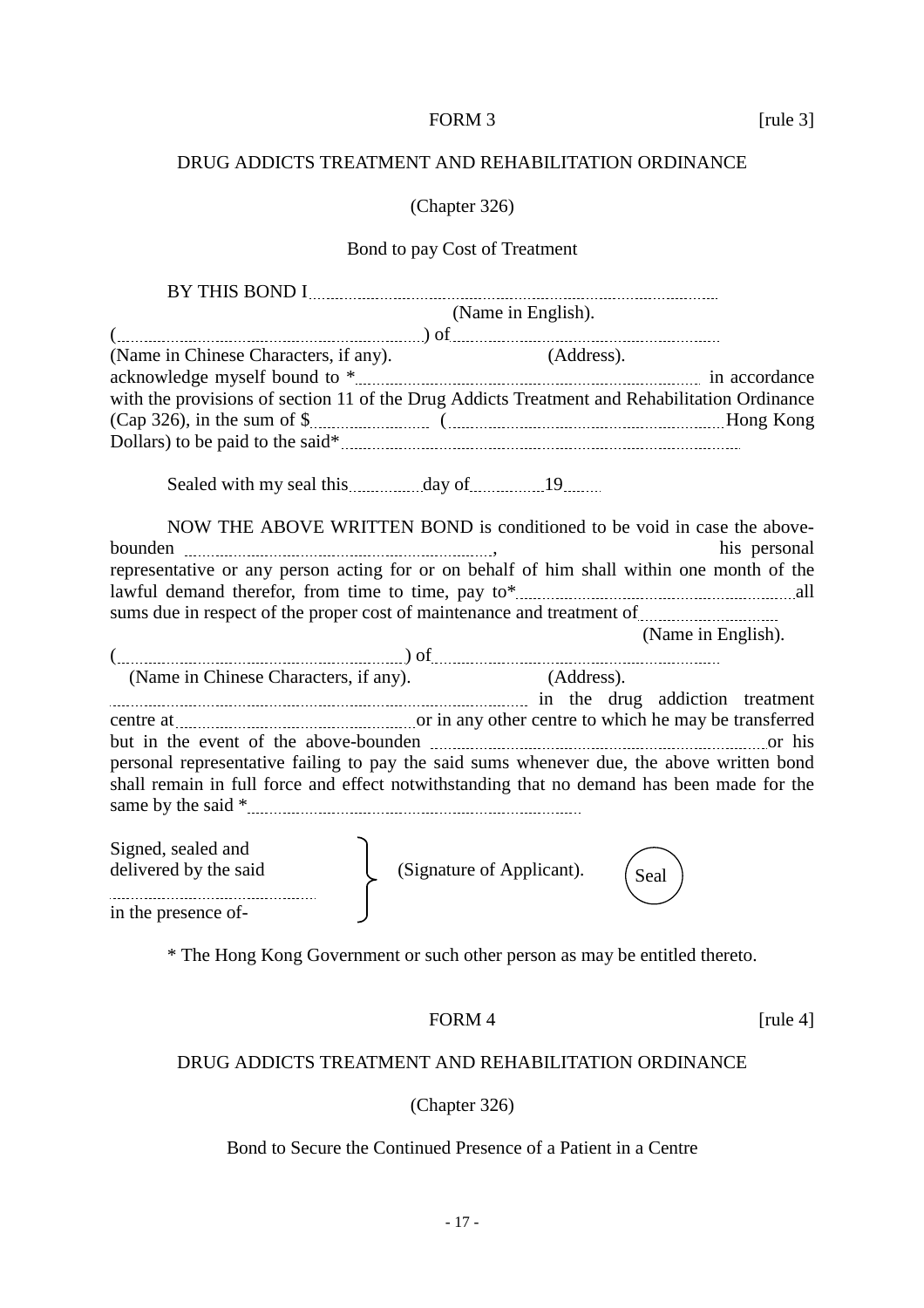## FORM 3 [rule 3]

### DRUG ADDICTS TREATMENT AND REHABILITATION ORDINANCE

#### (Chapter 326)

# Bond to pay Cost of Treatment

| (Name in English).                                                                           |
|----------------------------------------------------------------------------------------------|
|                                                                                              |
| (Address).<br>(Name in Chinese Characters, if any).                                          |
|                                                                                              |
| with the provisions of section 11 of the Drug Addicts Treatment and Rehabilitation Ordinance |
|                                                                                              |
|                                                                                              |
| Sealed with my seal this <i>manuflage of manuflage of</i> 19 minutes.                        |
| NOW THE ABOVE WRITTEN BOND is conditioned to be void in case the above-                      |
| his personal                                                                                 |
| representative or any person acting for or on behalf of him shall within one month of the    |
|                                                                                              |
|                                                                                              |
| (Name in English).                                                                           |
|                                                                                              |
| (Name in Chinese Characters, if any).<br>(Address).                                          |
| in the drug addiction treatment                                                              |
| centre at <u>manual control of</u> in any other centre to which he may be transferred        |
|                                                                                              |
| personal representative failing to pay the said sums whenever due, the above written bond    |
| shall remain in full force and effect notwithstanding that no demand has been made for the   |
|                                                                                              |
| Signed, sealed and                                                                           |
| (Signature of Applicant).<br>delivered by the said<br>Seal                                   |
|                                                                                              |
| in the presence of-                                                                          |

\* The Hong Kong Government or such other person as may be entitled thereto.

# FORM 4 [rule 4]

### DRUG ADDICTS TREATMENT AND REHABILITATION ORDINANCE

### (Chapter 326)

## Bond to Secure the Continued Presence of a Patient in a Centre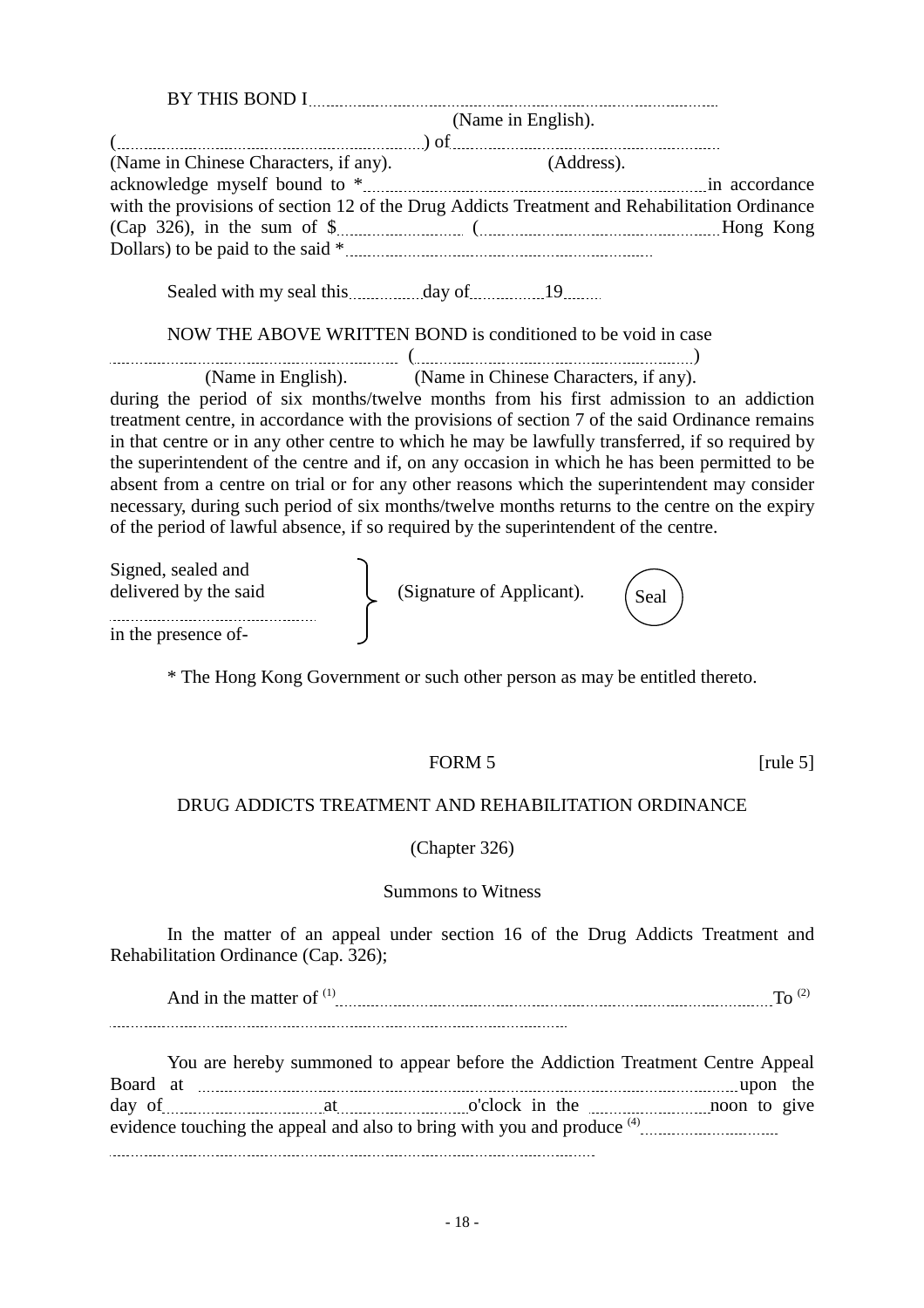|                                                                                                                                                                                                                                                                                                                                                                                                                                                                                                                                                                                                                                                                                        | (Name in English).                                       |             |
|----------------------------------------------------------------------------------------------------------------------------------------------------------------------------------------------------------------------------------------------------------------------------------------------------------------------------------------------------------------------------------------------------------------------------------------------------------------------------------------------------------------------------------------------------------------------------------------------------------------------------------------------------------------------------------------|----------------------------------------------------------|-------------|
| with the provisions of section 12 of the Drug Addicts Treatment and Rehabilitation Ordinance                                                                                                                                                                                                                                                                                                                                                                                                                                                                                                                                                                                           |                                                          |             |
|                                                                                                                                                                                                                                                                                                                                                                                                                                                                                                                                                                                                                                                                                        |                                                          |             |
| NOW THE ABOVE WRITTEN BOND is conditioned to be void in case                                                                                                                                                                                                                                                                                                                                                                                                                                                                                                                                                                                                                           |                                                          |             |
| during the period of six months/twelve months from his first admission to an addiction<br>treatment centre, in accordance with the provisions of section 7 of the said Ordinance remains<br>in that centre or in any other centre to which he may be lawfully transferred, if so required by<br>the superintendent of the centre and if, on any occasion in which he has been permitted to be<br>absent from a centre on trial or for any other reasons which the superintendent may consider<br>necessary, during such period of six months/twelve months returns to the centre on the expiry<br>of the period of lawful absence, if so required by the superintendent of the centre. | (Name in English). (Name in Chinese Characters, if any). |             |
| Signed, sealed and<br>delivered by the said                                                                                                                                                                                                                                                                                                                                                                                                                                                                                                                                                                                                                                            | (Signature of Applicant).                                | Seal        |
| in the presence of-                                                                                                                                                                                                                                                                                                                                                                                                                                                                                                                                                                                                                                                                    |                                                          |             |
| * The Hong Kong Government or such other person as may be entitled thereto.                                                                                                                                                                                                                                                                                                                                                                                                                                                                                                                                                                                                            |                                                          |             |
|                                                                                                                                                                                                                                                                                                                                                                                                                                                                                                                                                                                                                                                                                        | FORM <sub>5</sub>                                        | [rule $5$ ] |
| DRUG ADDICTS TREATMENT AND REHABILITATION ORDINANCE                                                                                                                                                                                                                                                                                                                                                                                                                                                                                                                                                                                                                                    |                                                          |             |
|                                                                                                                                                                                                                                                                                                                                                                                                                                                                                                                                                                                                                                                                                        | (Chapter 326)                                            |             |

#### Summons to Witness

In the matter of an appeal under section 16 of the Drug Addicts Treatment and Rehabilitation Ordinance (Cap. 326);

And in the matter of  $(1)$   $\ldots$   $\ldots$   $\ldots$   $\ldots$   $\ldots$   $\ldots$   $\ldots$   $\ldots$   $\ldots$   $\ldots$   $\ldots$   $\ldots$   $\ldots$   $\ldots$   $\ldots$   $\ldots$   $\ldots$   $\ldots$   $\ldots$   $\ldots$   $\ldots$   $\ldots$   $\ldots$ 

You are hereby summoned to appear before the Addiction Treatment Centre Appeal Board at upon the day of <u>manual contact and at a controlled</u> at original contact of the non-moon to give evidence touching the appeal and also to bring with you and produce <sup>(4)</sup>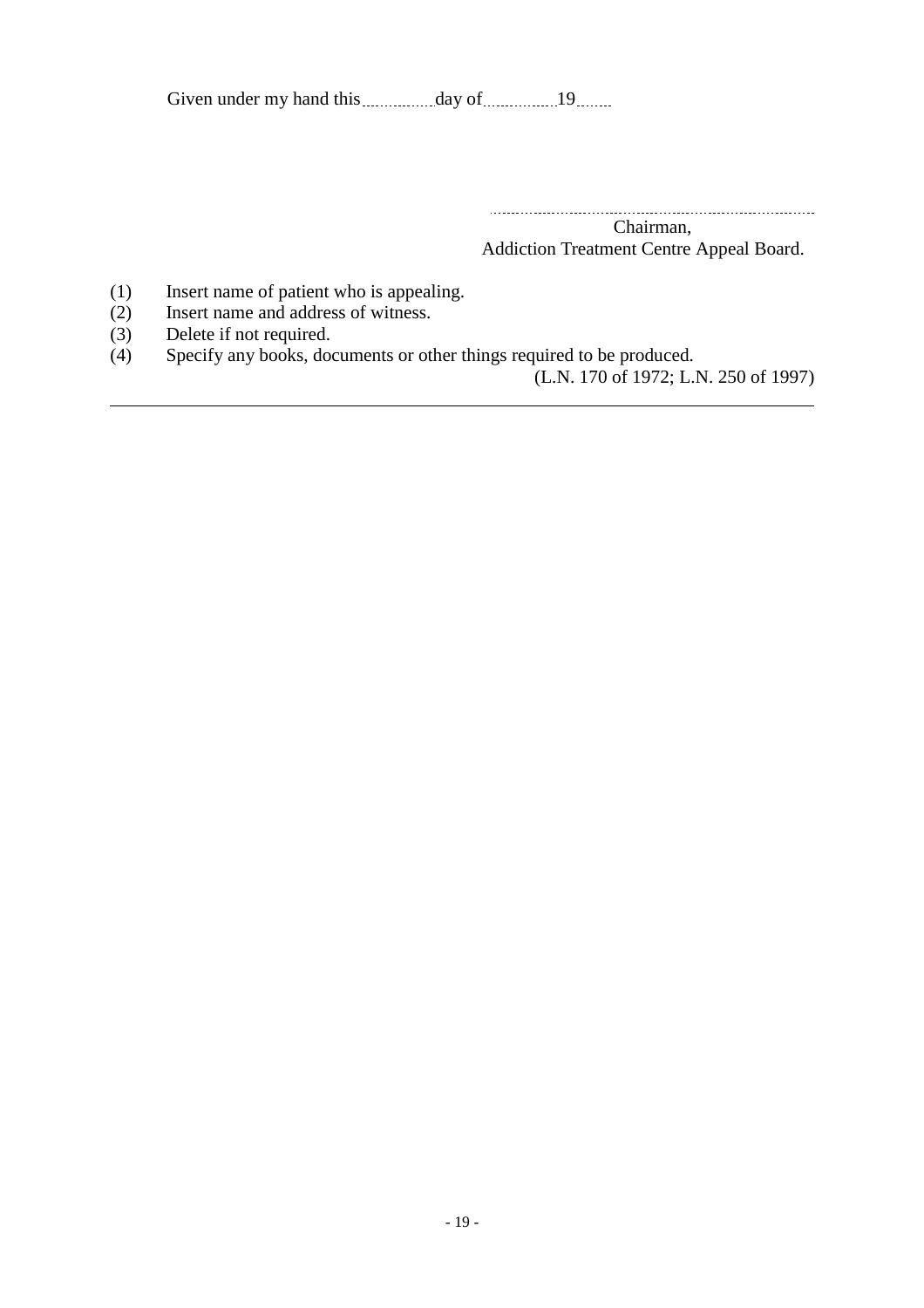Given under my hand this day of 19

 Chairman,

Addiction Treatment Centre Appeal Board.

- (1) Insert name of patient who is appealing.
- (2) Insert name and address of witness.
- (3) Delete if not required.

l

(4) Specify any books, documents or other things required to be produced.

(L.N. 170 of 1972; L.N. 250 of 1997)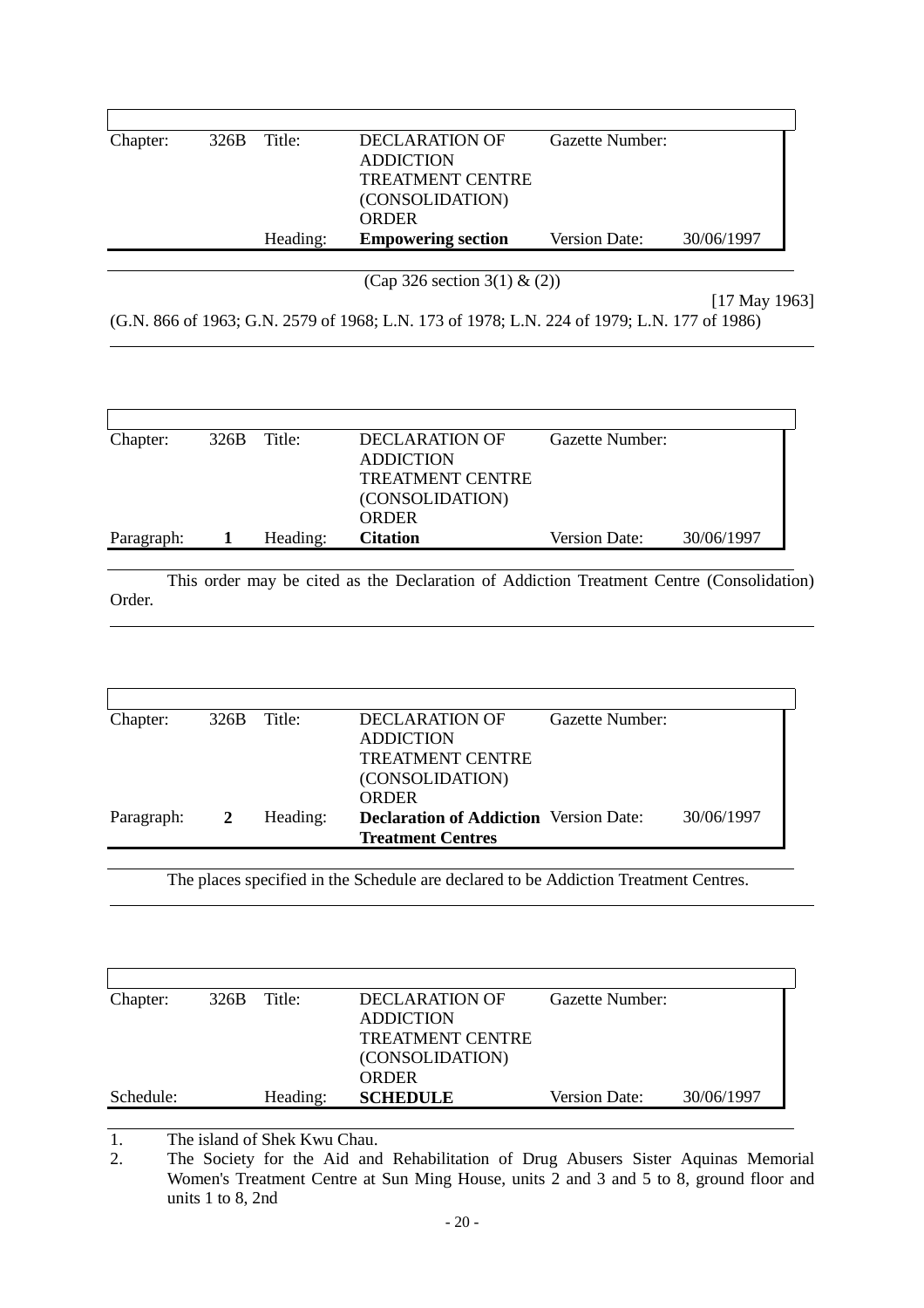| Chapter: | $326B$ Title: |          | DECLARATION OF            | Gazette Number: |            |
|----------|---------------|----------|---------------------------|-----------------|------------|
|          |               |          | <b>ADDICTION</b>          |                 |            |
|          |               |          | <b>TREATMENT CENTRE</b>   |                 |            |
|          |               |          | (CONSOLIDATION)           |                 |            |
|          |               |          | <b>ORDER</b>              |                 |            |
|          |               | Heading: | <b>Empowering section</b> | Version Date:   | 30/06/1997 |
|          |               |          |                           |                 |            |

(Cap 326 section 3(1) & (2))

[17 May 1963] (G.N. 866 of 1963; G.N. 2579 of 1968; L.N. 173 of 1978; L.N. 224 of 1979; L.N. 177 of 1986)

| Chapter:   | $326B$ Title: |          | DECLARATION OF          | Gazette Number: |            |
|------------|---------------|----------|-------------------------|-----------------|------------|
|            |               |          | <b>ADDICTION</b>        |                 |            |
|            |               |          | <b>TREATMENT CENTRE</b> |                 |            |
|            |               |          | (CONSOLIDATION)         |                 |            |
|            |               |          | <b>ORDER</b>            |                 |            |
| Paragraph: |               | Heading: | <b>Citation</b>         | Version Date:   | 30/06/1997 |

This order may be cited as the Declaration of Addiction Treatment Centre (Consolidation) Order.

| DECLARATION OF<br>Gazette Number:<br>Title:<br>Chapter:<br>326B                                         |  |
|---------------------------------------------------------------------------------------------------------|--|
|                                                                                                         |  |
| <b>ADDICTION</b>                                                                                        |  |
| <b>TREATMENT CENTRE</b>                                                                                 |  |
| (CONSOLIDATION)                                                                                         |  |
| <b>ORDER</b>                                                                                            |  |
| 30/06/1997<br><b>Declaration of Addiction</b> Version Date:<br>Heading:<br>Paragraph:<br>$\overline{2}$ |  |
| <b>Treatment Centres</b>                                                                                |  |

The places specified in the Schedule are declared to be Addiction Treatment Centres.

| Chapter:  | 326B | Title:   | DECLARATION OF          | Gazette Number:      |            |
|-----------|------|----------|-------------------------|----------------------|------------|
|           |      |          | <b>ADDICTION</b>        |                      |            |
|           |      |          | <b>TREATMENT CENTRE</b> |                      |            |
|           |      |          | (CONSOLIDATION)         |                      |            |
|           |      |          | <b>ORDER</b>            |                      |            |
| Schedule: |      | Heading: | <b>SCHEDULE</b>         | <b>Version Date:</b> | 30/06/1997 |
|           |      |          |                         |                      |            |

1. The island of Shek Kwu Chau.<br>2. The Society for the Aid and

 $\overline{a}$ 

 $\overline{a}$ 

 $\overline{a}$ 

2. The Society for the Aid and Rehabilitation of Drug Abusers Sister Aquinas Memorial Women's Treatment Centre at Sun Ming House, units 2 and 3 and 5 to 8, ground floor and units 1 to 8, 2nd